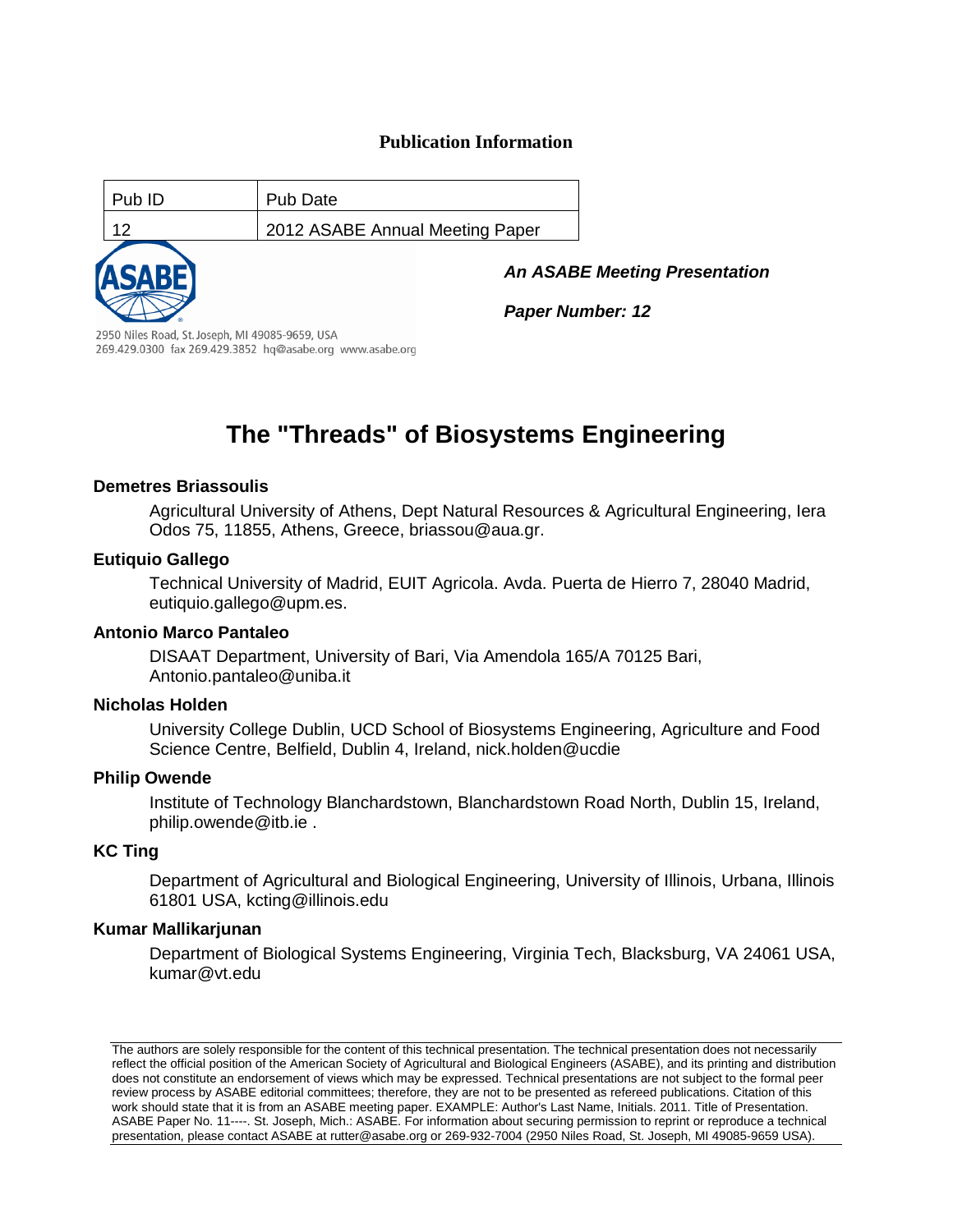#### **Publication Information**

| $ $ Pub ID | Pub Date                        |
|------------|---------------------------------|
| 12         | 2012 ASABE Annual Meeting Paper |



*An ASABE Meeting Presentation*

*Paper Number: 12*

2950 Niles Road, St. Joseph, MI 49085-9659, USA 269.429.0300 fax 269.429.3852 hq@asabe.org www.asabe.org

# **The "Threads" of Biosystems Engineering**

#### **Demetres Briassoulis**

Agricultural University of Athens, Dept Natural Resources & Agricultural Engineering, Iera Odos 75, 11855, Athens, Greece, briassou@aua.gr.

#### **Eutiquio Gallego**

Technical University of Madrid, EUIT Agricola. Avda. Puerta de Hierro 7, 28040 Madrid, eutiquio.gallego@upm.es.

#### **Antonio Marco Pantaleo**

DISAAT Department, University of Bari, Via Amendola 165/A 70125 Bari, Antonio.pantaleo@uniba.it

#### **Nicholas Holden**

University College Dublin, UCD School of Biosystems Engineering, Agriculture and Food Science Centre, Belfield, Dublin 4, Ireland, nick.holden@ucdie

#### **Philip Owende**

Institute of Technology Blanchardstown, Blanchardstown Road North, Dublin 15, Ireland, philip.owende@itb.ie .

#### **KC Ting**

Department of Agricultural and Biological Engineering, University of Illinois, Urbana, Illinois 61801 USA, kcting@illinois.edu

#### **Kumar Mallikarjunan**

Department of Biological Systems Engineering, Virginia Tech, Blacksburg, VA 24061 USA, kumar@vt.edu

The authors are solely responsible for the content of this technical presentation. The technical presentation does not necessarily reflect the official position of the American Society of Agricultural and Biological Engineers (ASABE), and its printing and distribution does not constitute an endorsement of views which may be expressed. Technical presentations are not subject to the formal peer review process by ASABE editorial committees; therefore, they are not to be presented as refereed publications. Citation of this work should state that it is from an ASABE meeting paper. EXAMPLE: Author's Last Name, Initials. 2011. Title of Presentation. ASABE Paper No. 11----. St. Joseph, Mich.: ASABE. For information about securing permission to reprint or reproduce a technical presentation, please contact ASABE at rutter@asabe.org or 269-932-7004 (2950 Niles Road, St. Joseph, MI 49085-9659 USA).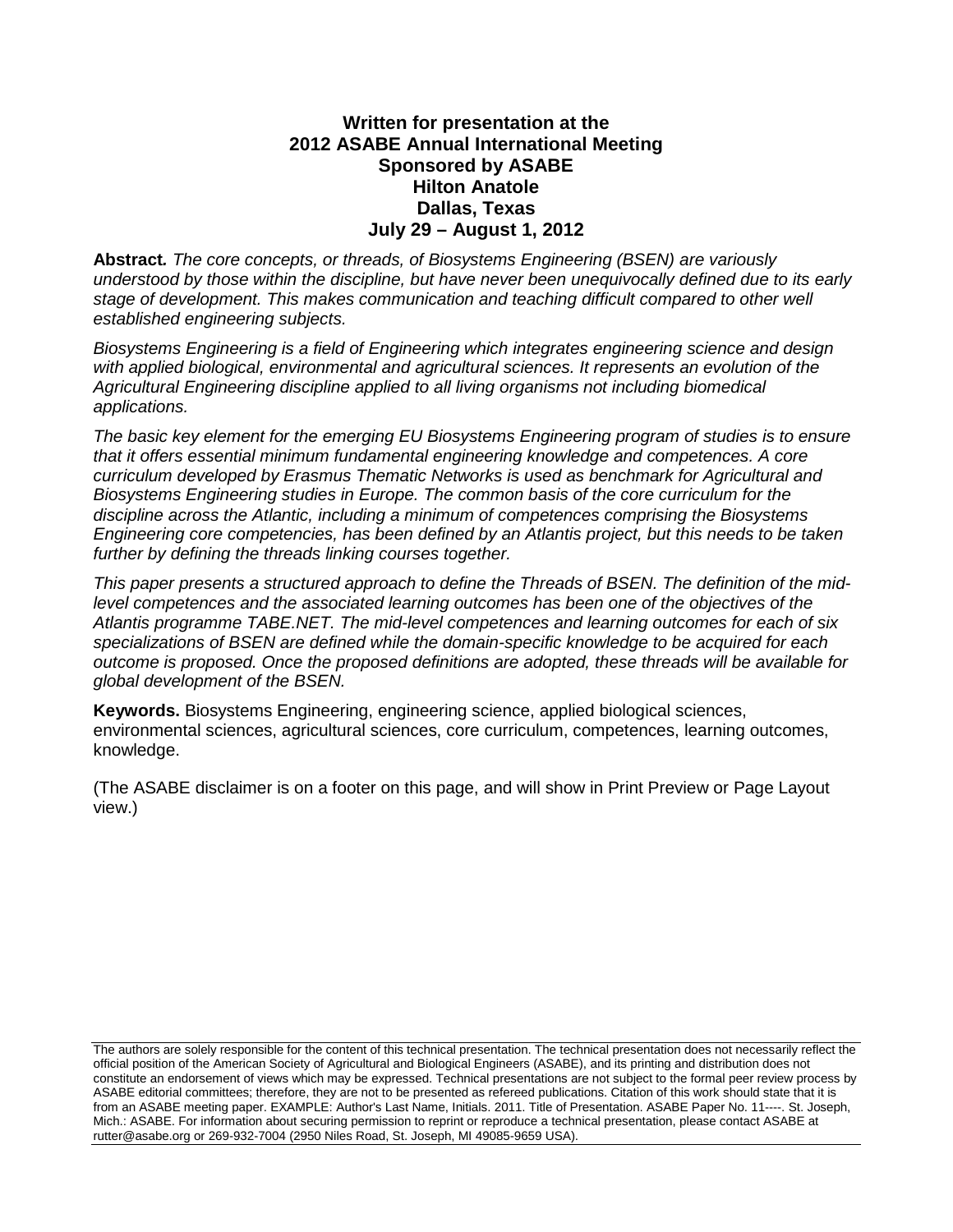## **Written for presentation at the 2012 ASABE Annual International Meeting Sponsored by ASABE Hilton Anatole Dallas, Texas July 29 – August 1, 2012**

**Abstract***. The core concepts, or threads, of Biosystems Engineering (BSEN) are variously understood by those within the discipline, but have never been unequivocally defined due to its early stage of development. This makes communication and teaching difficult compared to other well established engineering subjects.*

*Biosystems Engineering is a field of Engineering which integrates engineering science and design with applied biological, environmental and agricultural sciences. It represents an evolution of the Agricultural Engineering discipline applied to all living organisms not including biomedical applications.*

*The basic key element for the emerging EU Biosystems Engineering program of studies is to ensure that it offers essential minimum fundamental engineering knowledge and competences. A core curriculum developed by Erasmus Thematic Networks is used as benchmark for Agricultural and Biosystems Engineering studies in Europe. The common basis of the core curriculum for the discipline across the Atlantic, including a minimum of competences comprising the Biosystems Engineering core competencies, has been defined by an Atlantis project, but this needs to be taken further by defining the threads linking courses together.* 

*This paper presents a structured approach to define the Threads of BSEN. The definition of the midlevel competences and the associated learning outcomes has been one of the objectives of the Atlantis programme TABE.NET. The mid-level competences and learning outcomes for each of six specializations of BSEN are defined while the domain-specific knowledge to be acquired for each outcome is proposed. Once the proposed definitions are adopted, these threads will be available for global development of the BSEN.*

**Keywords.** Biosystems Engineering, engineering science, applied biological sciences, environmental sciences, agricultural sciences, core curriculum, competences, learning outcomes, knowledge.

(The ASABE disclaimer is on a footer on this page, and will show in Print Preview or Page Layout view.)

The authors are solely responsible for the content of this technical presentation. The technical presentation does not necessarily reflect the official position of the American Society of Agricultural and Biological Engineers (ASABE), and its printing and distribution does not constitute an endorsement of views which may be expressed. Technical presentations are not subject to the formal peer review process by ASABE editorial committees; therefore, they are not to be presented as refereed publications. Citation of this work should state that it is from an ASABE meeting paper. EXAMPLE: Author's Last Name, Initials. 2011. Title of Presentation. ASABE Paper No. 11----. St. Joseph, Mich.: ASABE. For information about securing permission to reprint or reproduce a technical presentation, please contact ASABE at rutter@asabe.org or 269-932-7004 (2950 Niles Road, St. Joseph, MI 49085-9659 USA).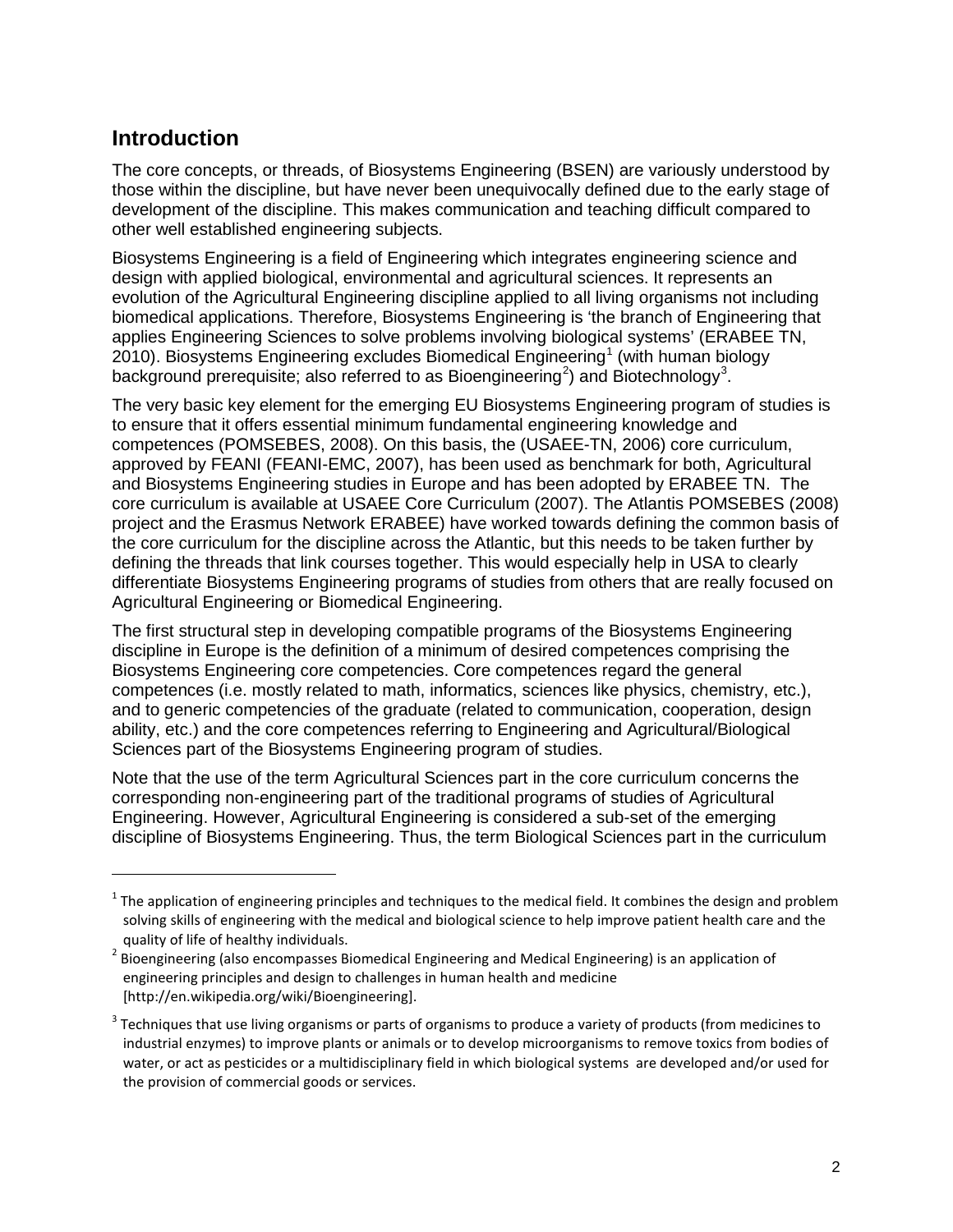# **Introduction**

 $\ddot{\phantom{a}}$ 

The core concepts, or threads, of Biosystems Engineering (BSEN) are variously understood by those within the discipline, but have never been unequivocally defined due to the early stage of development of the discipline. This makes communication and teaching difficult compared to other well established engineering subjects.

Biosystems Engineering is a field of Engineering which integrates engineering science and design with applied biological, environmental and agricultural sciences. It represents an evolution of the Agricultural Engineering discipline applied to all living organisms not including biomedical applications. Therefore, Biosystems Engineering is 'the branch of Engineering that applies Engineering Sciences to solve problems involving biological systems' (ERABEE TN, 20[1](#page-2-0)0). Biosystems Engineering excludes Biomedical Engineering<sup>1</sup> (with human biology background prerequisite; also referred to as Bioengineering<sup>[2](#page-2-1)</sup>) and Biotechnology<sup>[3](#page-2-2)</sup>.

The very basic key element for the emerging EU Biosystems Engineering program of studies is to ensure that it offers essential minimum fundamental engineering knowledge and competences (POMSEBES, 2008). On this basis, the (USAEE-TN, 2006) core curriculum, approved by FEANI (FEANI-EMC, 2007), has been used as benchmark for both, Agricultural and Biosystems Engineering studies in Europe and has been adopted by ERABEE TN. The core curriculum is available at USAEE Core Curriculum (2007). The Atlantis POMSEBES (2008) project and the Erasmus Network ERABEE) have worked towards defining the common basis of the core curriculum for the discipline across the Atlantic, but this needs to be taken further by defining the threads that link courses together. This would especially help in USA to clearly differentiate Biosystems Engineering programs of studies from others that are really focused on Agricultural Engineering or Biomedical Engineering.

The first structural step in developing compatible programs of the Biosystems Engineering discipline in Europe is the definition of a minimum of desired competences comprising the Biosystems Engineering core competencies. Core competences regard the general competences (i.e. mostly related to math, informatics, sciences like physics, chemistry, etc.), and to generic competencies of the graduate (related to communication, cooperation, design ability, etc.) and the core competences referring to Engineering and Agricultural/Biological Sciences part of the Biosystems Engineering program of studies.

Note that the use of the term Agricultural Sciences part in the core curriculum concerns the corresponding non-engineering part of the traditional programs of studies of Agricultural Engineering. However, Agricultural Engineering is considered a sub-set of the emerging discipline of Biosystems Engineering. Thus, the term Biological Sciences part in the curriculum

<span id="page-2-0"></span> $1$  The application of engineering principles and techniques to the medical field. It combines the design and problem solving skills of engineering with the medical and biological science to help improve patient health care and the quality of life of healthy individuals.

<span id="page-2-1"></span><sup>&</sup>lt;sup>2</sup> Bioengineering (also encompasses Biomedical Engineering and Medical Engineering) is an application of engineering principles and design to challenges in human health and medicine [http://en.wikipedia.org/wiki/Bioengineering].

<span id="page-2-2"></span> $3$  Techniques that use living organisms or parts of organisms to produce a variety of products (from medicines to industrial enzymes) to improve plants or animals or to develop microorganisms to remove toxics from bodies of water, or act as pesticides or a multidisciplinary field in which biological systems are developed and/or used for the provision of commercial goods or services.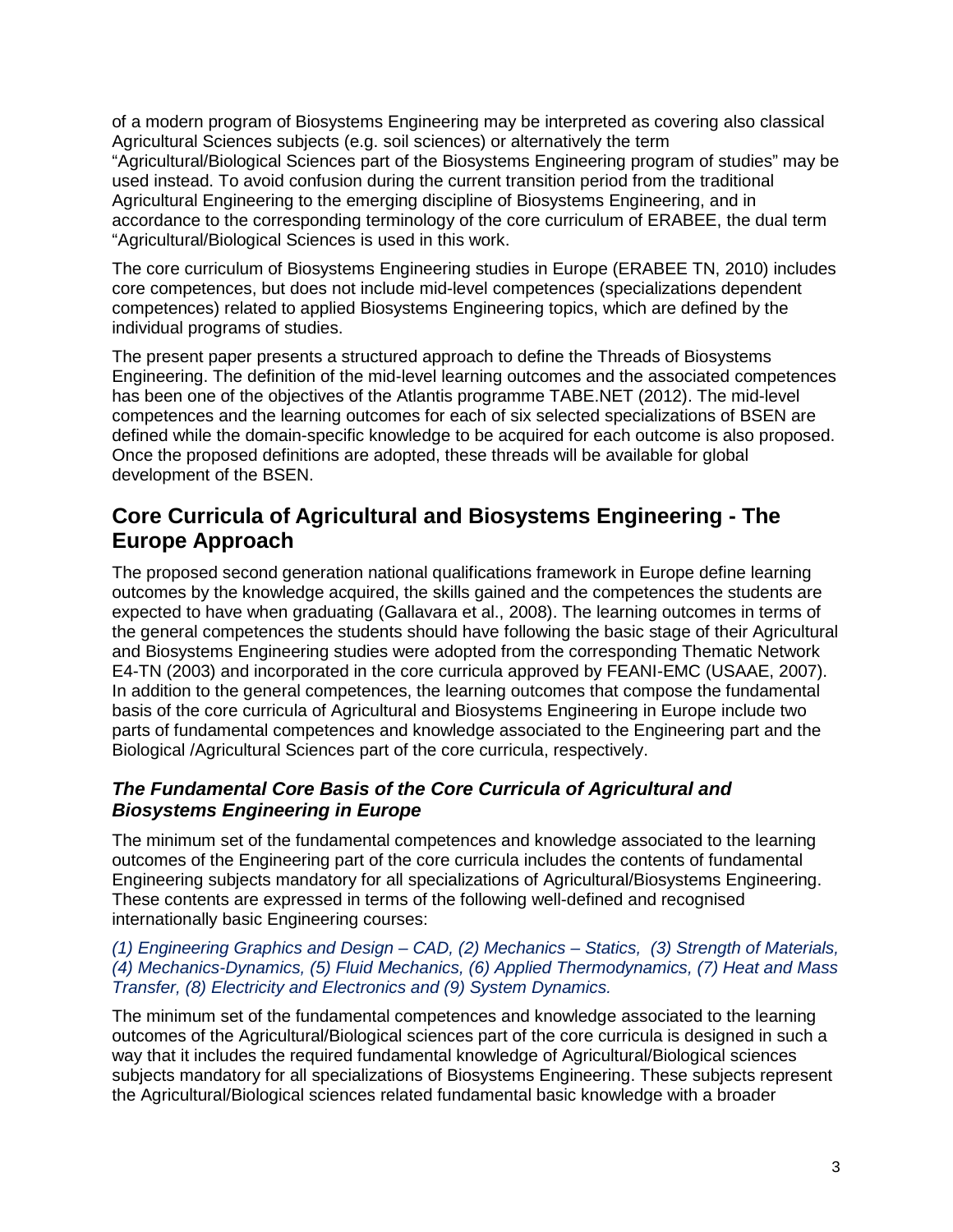of a modern program of Biosystems Engineering may be interpreted as covering also classical Agricultural Sciences subjects (e.g. soil sciences) or alternatively the term "Agricultural/Biological Sciences part of the Biosystems Engineering program of studies" may be used instead. To avoid confusion during the current transition period from the traditional Agricultural Engineering to the emerging discipline of Biosystems Engineering, and in accordance to the corresponding terminology of the core curriculum of ERABEE, the dual term "Agricultural/Biological Sciences is used in this work.

The core curriculum of Biosystems Engineering studies in Europe (ERABEE TN, 2010) includes core competences, but does not include mid-level competences (specializations dependent competences) related to applied Biosystems Engineering topics, which are defined by the individual programs of studies.

The present paper presents a structured approach to define the Threads of Biosystems Engineering. The definition of the mid-level learning outcomes and the associated competences has been one of the objectives of the Atlantis programme TABE.NET (2012). The mid-level competences and the learning outcomes for each of six selected specializations of BSEN are defined while the domain-specific knowledge to be acquired for each outcome is also proposed. Once the proposed definitions are adopted, these threads will be available for global development of the BSEN.

# **Core Curricula of Agricultural and Biosystems Engineering - The Europe Approach**

The proposed second generation national qualifications framework in Europe define learning outcomes by the knowledge acquired, the skills gained and the competences the students are expected to have when graduating (Gallavara et al., 2008). The learning outcomes in terms of the general competences the students should have following the basic stage of their Agricultural and Biosystems Engineering studies were adopted from the corresponding Thematic Network E4-TN (2003) and incorporated in the core curricula approved by FEANI-EMC (USAAE, 2007). In addition to the general competences, the learning outcomes that compose the fundamental basis of the core curricula of Agricultural and Biosystems Engineering in Europe include two parts of fundamental competences and knowledge associated to the Engineering part and the Biological /Agricultural Sciences part of the core curricula, respectively.

## *The Fundamental Core Basis of the Core Curricula of Agricultural and Biosystems Engineering in Europe*

The minimum set of the fundamental competences and knowledge associated to the learning outcomes of the Engineering part of the core curricula includes the contents of fundamental Engineering subjects mandatory for all specializations of Agricultural/Biosystems Engineering. These contents are expressed in terms of the following well-defined and recognised internationally basic Engineering courses:

*(1) Engineering Graphics and Design – CAD, (2) Mechanics – Statics, (3) Strength of Materials, (4) Mechanics-Dynamics, (5) Fluid Μechanics, (6) Applied Thermodynamics, (7) Heat and Mass Transfer, (8) Electricity and Electronics and (9) System Dynamics.* 

The minimum set of the fundamental competences and knowledge associated to the learning outcomes of the Agricultural/Biological sciences part of the core curricula is designed in such a way that it includes the required fundamental knowledge of Agricultural/Biological sciences subjects mandatory for all specializations of Biosystems Engineering. These subjects represent the Agricultural/Biological sciences related fundamental basic knowledge with a broader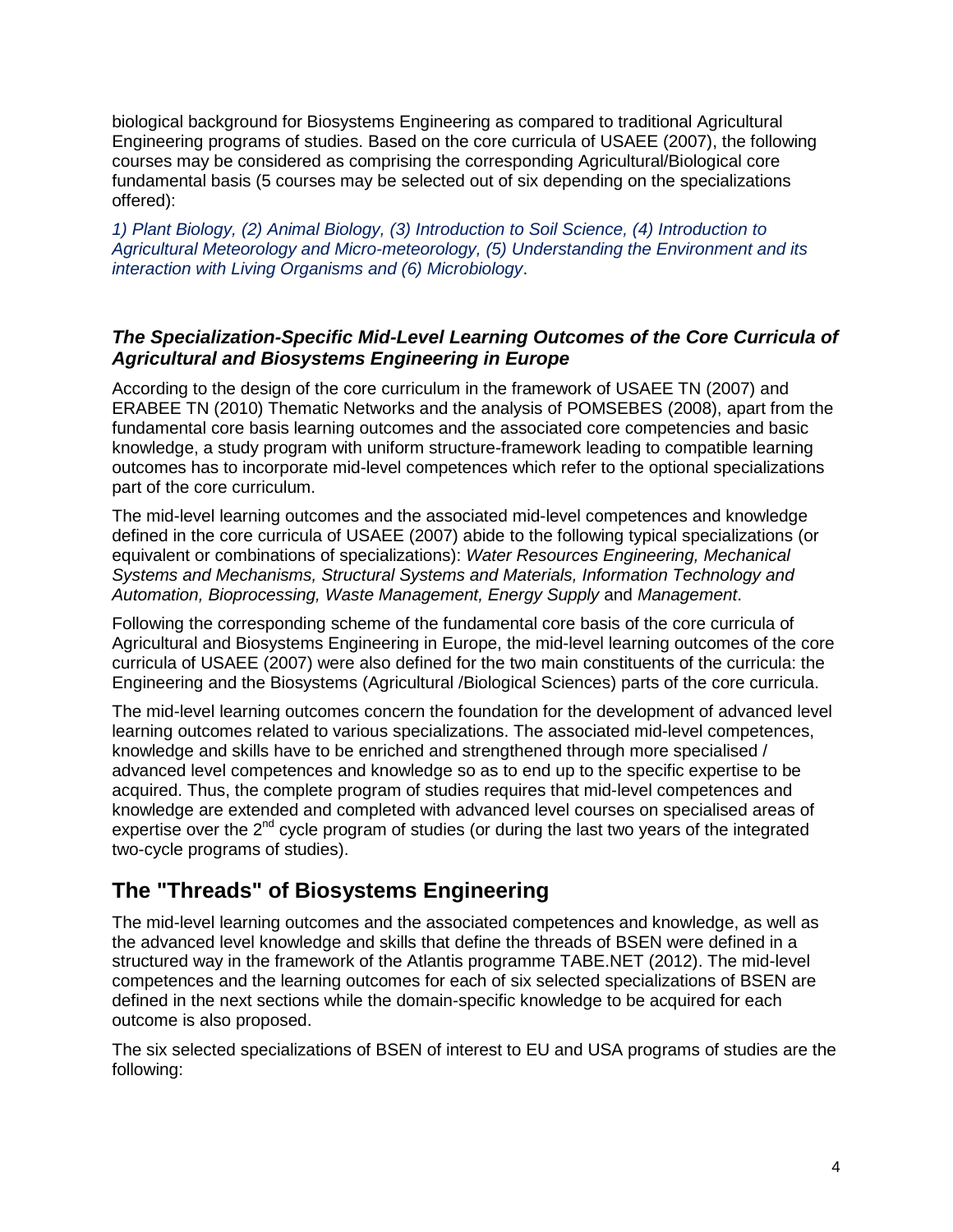biological background for Biosystems Engineering as compared to traditional Agricultural Engineering programs of studies. Based on the core curricula of USAEE (2007), the following courses may be considered as comprising the corresponding Agricultural/Biological core fundamental basis (5 courses may be selected out of six depending on the specializations offered):

*1) Plant Biology, (2) Animal Biology, (3) Introduction to Soil Science, (4) Introduction to Agricultural Meteorology and Micro-meteorology, (5) Understanding the Environment and its interaction with Living Organisms and (6) Microbiology*.

## *The Specialization-Specific Mid-Level Learning Outcomes of the Core Curricula of Agricultural and Biosystems Engineering in Europe*

According to the design of the core curriculum in the framework of USAEE TN (2007) and ERABEE TN (2010) Thematic Networks and the analysis of POMSEBES (2008), apart from the fundamental core basis learning outcomes and the associated core competencies and basic knowledge, a study program with uniform structure-framework leading to compatible learning outcomes has to incorporate mid-level competences which refer to the optional specializations part of the core curriculum.

The mid-level learning outcomes and the associated mid-level competences and knowledge defined in the core curricula of USAEE (2007) abide to the following typical specializations (or equivalent or combinations of specializations): *Water Resources Engineering, Mechanical Systems and Mechanisms, Structural Systems and Materials, Information Technology and Automation, Bioprocessing, Waste Management, Energy Supply* and *Management*.

Following the corresponding scheme of the fundamental core basis of the core curricula of Agricultural and Biosystems Engineering in Europe, the mid-level learning outcomes of the core curricula of USAEE (2007) were also defined for the two main constituents of the curricula: the Engineering and the Biosystems (Agricultural /Biological Sciences) parts of the core curricula.

The mid-level learning outcomes concern the foundation for the development of advanced level learning outcomes related to various specializations. The associated mid-level competences, knowledge and skills have to be enriched and strengthened through more specialised / advanced level competences and knowledge so as to end up to the specific expertise to be acquired. Thus, the complete program of studies requires that mid-level competences and knowledge are extended and completed with advanced level courses on specialised areas of expertise over the  $2^{nd}$  cycle program of studies (or during the last two years of the integrated two-cycle programs of studies).

# **The "Threads" of Biosystems Engineering**

The mid-level learning outcomes and the associated competences and knowledge, as well as the advanced level knowledge and skills that define the threads of BSEN were defined in a structured way in the framework of the Atlantis programme TABE.NET (2012). The mid-level competences and the learning outcomes for each of six selected specializations of BSEN are defined in the next sections while the domain-specific knowledge to be acquired for each outcome is also proposed.

The six selected specializations of BSEN of interest to EU and USA programs of studies are the following: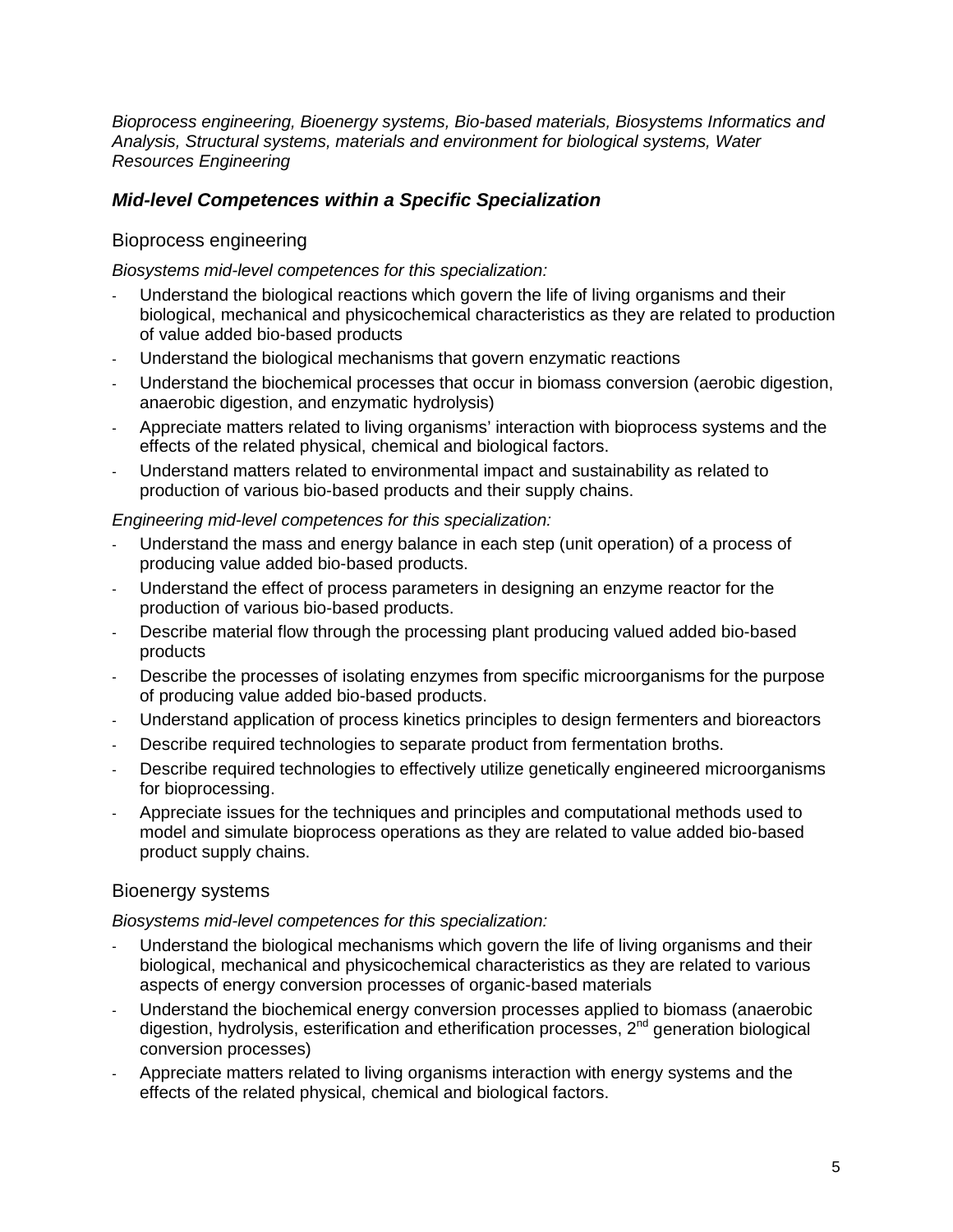*Bioprocess engineering, Bioenergy systems, Bio-based materials, Biosystems Informatics and Analysis, Structural systems, materials and environment for biological systems, Water Resources Engineering*

## *Mid-level Competences within a Specific Specialization*

## Bioprocess engineering

*Biosystems mid-level competences for this specialization:*

- Understand the biological reactions which govern the life of living organisms and their biological, mechanical and physicochemical characteristics as they are related to production of value added bio-based products
- Understand the biological mechanisms that govern enzymatic reactions
- Understand the biochemical processes that occur in biomass conversion (aerobic digestion, anaerobic digestion, and enzymatic hydrolysis)
- Appreciate matters related to living organisms' interaction with bioprocess systems and the effects of the related physical, chemical and biological factors.
- Understand matters related to environmental impact and sustainability as related to production of various bio-based products and their supply chains.

#### *Engineering mid-level competences for this specialization:*

- Understand the mass and energy balance in each step (unit operation) of a process of producing value added bio-based products.
- Understand the effect of process parameters in designing an enzyme reactor for the production of various bio-based products.
- Describe material flow through the processing plant producing valued added bio-based products
- Describe the processes of isolating enzymes from specific microorganisms for the purpose of producing value added bio-based products.
- Understand application of process kinetics principles to design fermenters and bioreactors
- Describe required technologies to separate product from fermentation broths.
- Describe required technologies to effectively utilize genetically engineered microorganisms for bioprocessing.
- Appreciate issues for the techniques and principles and computational methods used to model and simulate bioprocess operations as they are related to value added bio-based product supply chains.

## Bioenergy systems

*Biosystems mid-level competences for this specialization:*

- Understand the biological mechanisms which govern the life of living organisms and their biological, mechanical and physicochemical characteristics as they are related to various aspects of energy conversion processes of organic-based materials
- Understand the biochemical energy conversion processes applied to biomass (anaerobic digestion, hydrolysis, esterification and etherification processes,  $2<sup>nd</sup>$  generation biological conversion processes)
- Appreciate matters related to living organisms interaction with energy systems and the effects of the related physical, chemical and biological factors.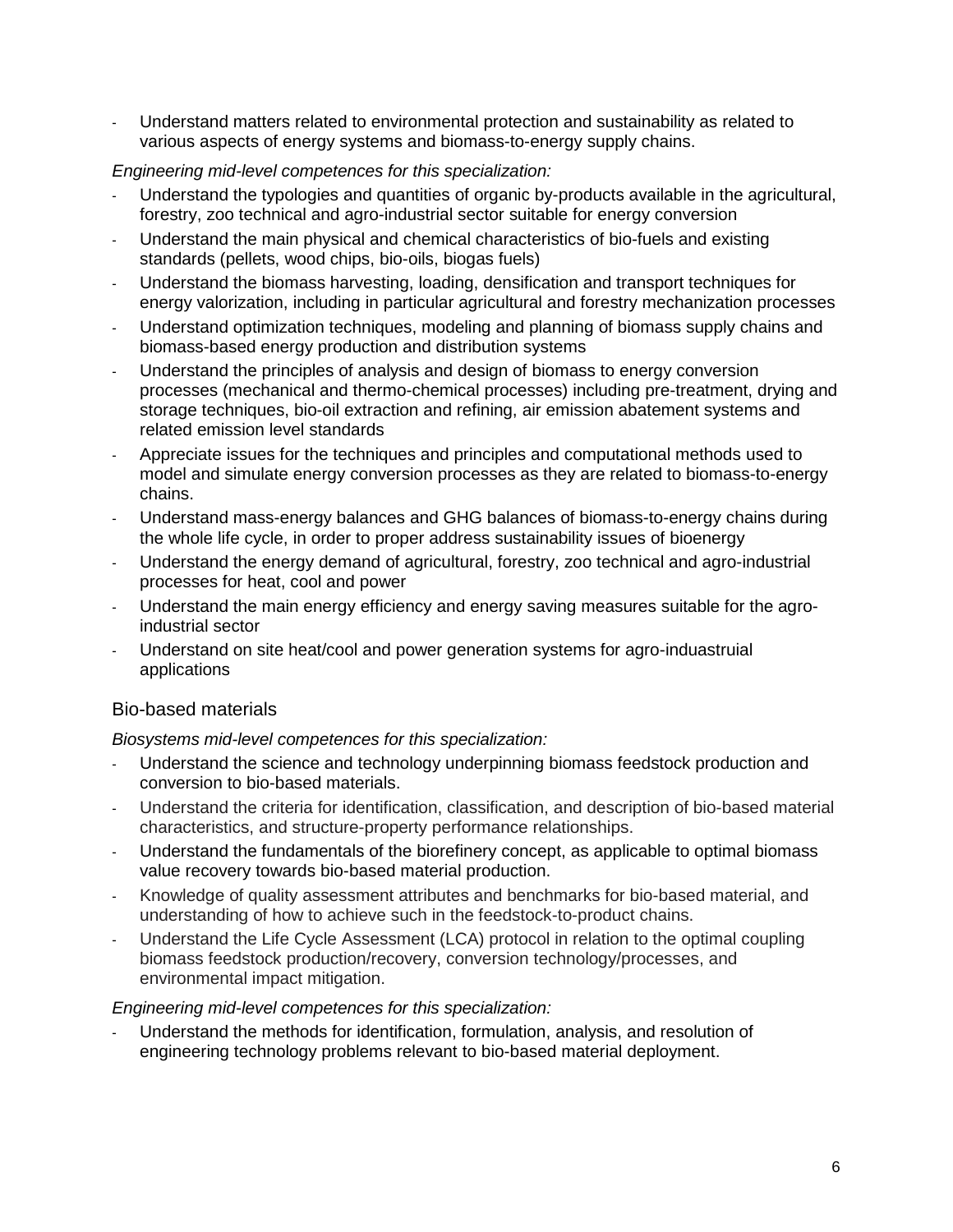- Understand matters related to environmental protection and sustainability as related to various aspects of energy systems and biomass-to-energy supply chains.

#### *Engineering mid-level competences for this specialization:*

- Understand the typologies and quantities of organic by-products available in the agricultural, forestry, zoo technical and agro-industrial sector suitable for energy conversion
- Understand the main physical and chemical characteristics of bio-fuels and existing standards (pellets, wood chips, bio-oils, biogas fuels)
- Understand the biomass harvesting, loading, densification and transport techniques for energy valorization, including in particular agricultural and forestry mechanization processes
- Understand optimization techniques, modeling and planning of biomass supply chains and biomass-based energy production and distribution systems
- Understand the principles of analysis and design of biomass to energy conversion processes (mechanical and thermo-chemical processes) including pre-treatment, drying and storage techniques, bio-oil extraction and refining, air emission abatement systems and related emission level standards
- Appreciate issues for the techniques and principles and computational methods used to model and simulate energy conversion processes as they are related to biomass-to-energy chains.
- Understand mass-energy balances and GHG balances of biomass-to-energy chains during the whole life cycle, in order to proper address sustainability issues of bioenergy
- Understand the energy demand of agricultural, forestry, zoo technical and agro-industrial processes for heat, cool and power
- Understand the main energy efficiency and energy saving measures suitable for the agroindustrial sector
- Understand on site heat/cool and power generation systems for agro-induastruial applications

## Bio-based materials

*Biosystems mid-level competences for this specialization:*

- Understand the science and technology underpinning biomass feedstock production and conversion to bio-based materials.
- Understand the criteria for identification, classification, and description of bio-based material characteristics, and structure-property performance relationships.
- Understand the fundamentals of the biorefinery concept, as applicable to optimal biomass value recovery towards bio-based material production.
- Knowledge of quality assessment attributes and benchmarks for bio-based material, and understanding of how to achieve such in the feedstock-to-product chains.
- Understand the Life Cycle Assessment (LCA) protocol in relation to the optimal coupling biomass feedstock production/recovery, conversion technology/processes, and environmental impact mitigation.

## *Engineering mid-level competences for this specialization:*

Understand the methods for identification, formulation, analysis, and resolution of engineering technology problems relevant to bio-based material deployment.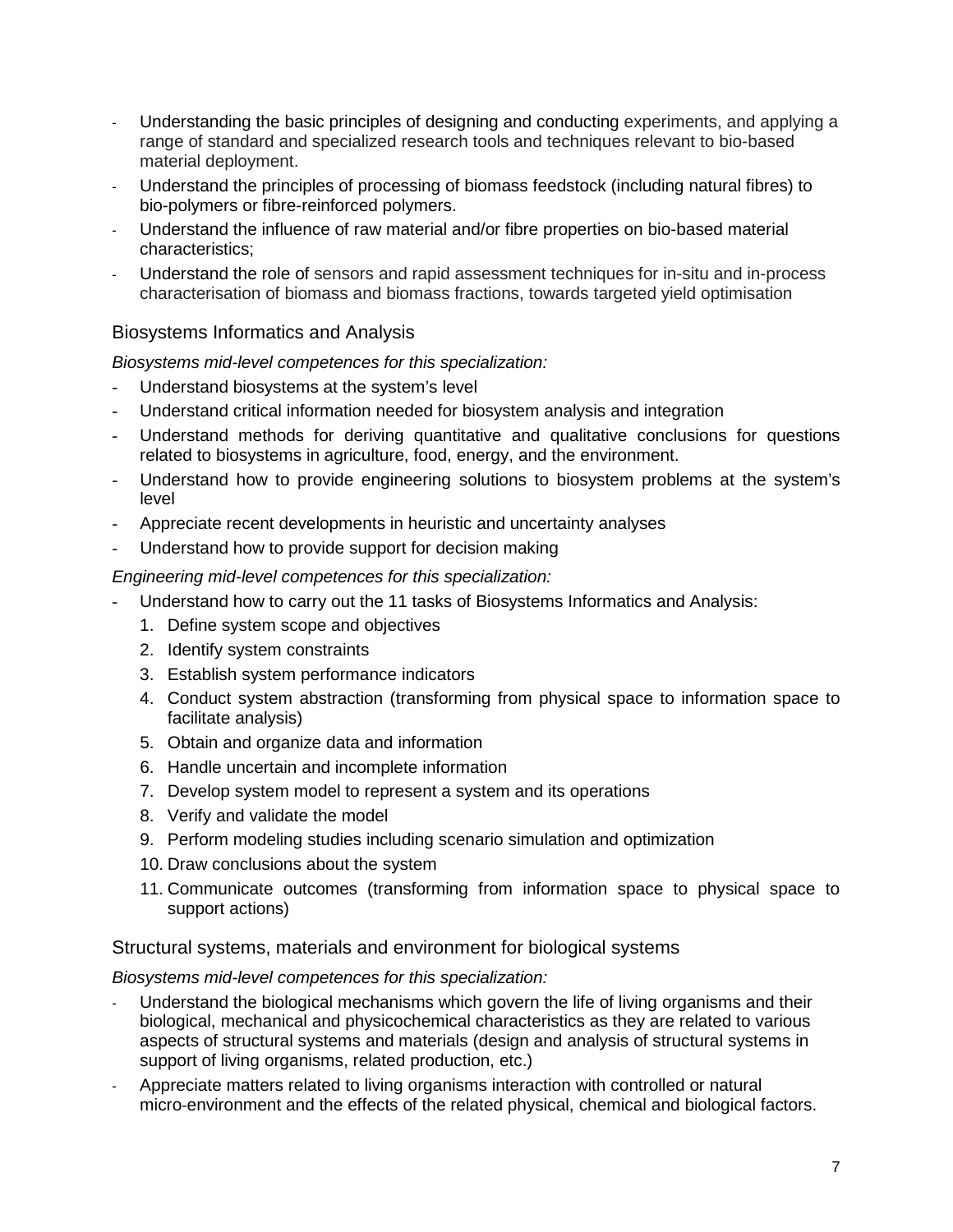- Understanding the basic principles of designing and conducting experiments, and applying a range of standard and specialized research tools and techniques relevant to bio-based material deployment.
- Understand the principles of processing of biomass feedstock (including natural fibres) to bio-polymers or fibre-reinforced polymers.
- Understand the influence of raw material and/or fibre properties on bio-based material characteristics;
- Understand the role of sensors and rapid assessment techniques for in-situ and in-process characterisation of biomass and biomass fractions, towards targeted yield optimisation

#### Biosystems Informatics and Analysis

*Biosystems mid-level competences for this specialization:*

- Understand biosystems at the system's level
- Understand critical information needed for biosystem analysis and integration
- Understand methods for deriving quantitative and qualitative conclusions for questions related to biosystems in agriculture, food, energy, and the environment.
- Understand how to provide engineering solutions to biosystem problems at the system's level
- Appreciate recent developments in heuristic and uncertainty analyses
- Understand how to provide support for decision making

*Engineering mid-level competences for this specialization:*

- Understand how to carry out the 11 tasks of Biosystems Informatics and Analysis:
	- 1. Define system scope and objectives
	- 2. Identify system constraints
	- 3. Establish system performance indicators
	- 4. Conduct system abstraction (transforming from physical space to information space to facilitate analysis)
	- 5. Obtain and organize data and information
	- 6. Handle uncertain and incomplete information
	- 7. Develop system model to represent a system and its operations
	- 8. Verify and validate the model
	- 9. Perform modeling studies including scenario simulation and optimization
	- 10. Draw conclusions about the system
	- 11. Communicate outcomes (transforming from information space to physical space to support actions)

#### Structural systems, materials and environment for biological systems

#### *Biosystems mid-level competences for this specialization:*

- Understand the biological mechanisms which govern the life of living organisms and their biological, mechanical and physicochemical characteristics as they are related to various aspects of structural systems and materials (design and analysis of structural systems in support of living organisms, related production, etc.)
- Appreciate matters related to living organisms interaction with controlled or natural micro-environment and the effects of the related physical, chemical and biological factors.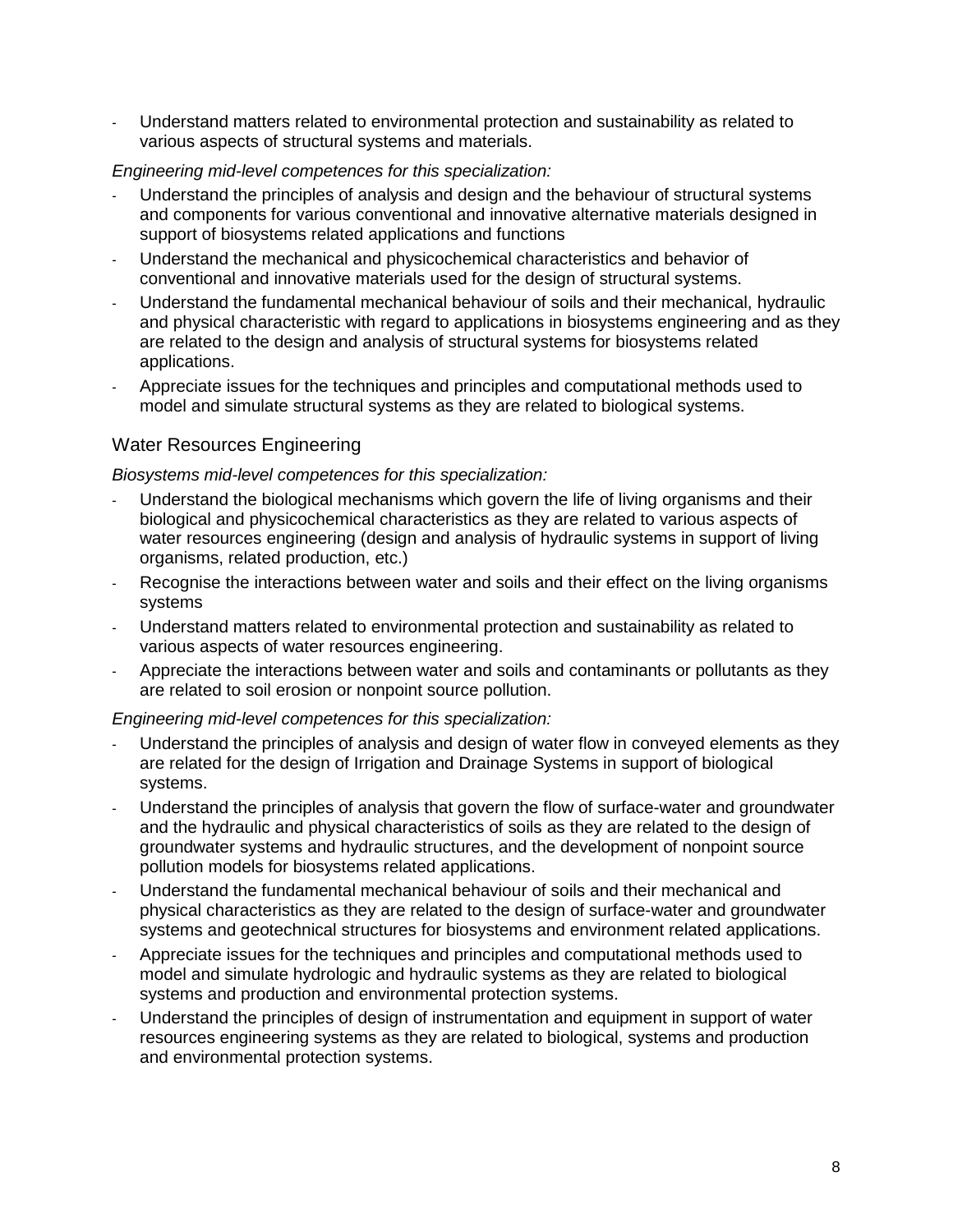- Understand matters related to environmental protection and sustainability as related to various aspects of structural systems and materials.

#### *Engineering mid-level competences for this specialization:*

- Understand the principles of analysis and design and the behaviour of structural systems and components for various conventional and innovative alternative materials designed in support of biosystems related applications and functions
- Understand the mechanical and physicochemical characteristics and behavior of conventional and innovative materials used for the design of structural systems.
- Understand the fundamental mechanical behaviour of soils and their mechanical, hydraulic and physical characteristic with regard to applications in biosystems engineering and as they are related to the design and analysis of structural systems for biosystems related applications.
- Appreciate issues for the techniques and principles and computational methods used to model and simulate structural systems as they are related to biological systems.

## Water Resources Engineering

#### *Biosystems mid-level competences for this specialization:*

- Understand the biological mechanisms which govern the life of living organisms and their biological and physicochemical characteristics as they are related to various aspects of water resources engineering (design and analysis of hydraulic systems in support of living organisms, related production, etc.)
- Recognise the interactions between water and soils and their effect on the living organisms systems
- Understand matters related to environmental protection and sustainability as related to various aspects of water resources engineering.
- Appreciate the interactions between water and soils and contaminants or pollutants as they are related to soil erosion or nonpoint source pollution.

#### *Engineering mid-level competences for this specialization:*

- Understand the principles of analysis and design of water flow in conveyed elements as they are related for the design of Irrigation and Drainage Systems in support of biological systems.
- Understand the principles of analysis that govern the flow of surface-water and groundwater and the hydraulic and physical characteristics of soils as they are related to the design of groundwater systems and hydraulic structures, and the development of nonpoint source pollution models for biosystems related applications.
- Understand the fundamental mechanical behaviour of soils and their mechanical and physical characteristics as they are related to the design of surface-water and groundwater systems and geotechnical structures for biosystems and environment related applications.
- Appreciate issues for the techniques and principles and computational methods used to model and simulate hydrologic and hydraulic systems as they are related to biological systems and production and environmental protection systems.
- Understand the principles of design of instrumentation and equipment in support of water resources engineering systems as they are related to biological, systems and production and environmental protection systems.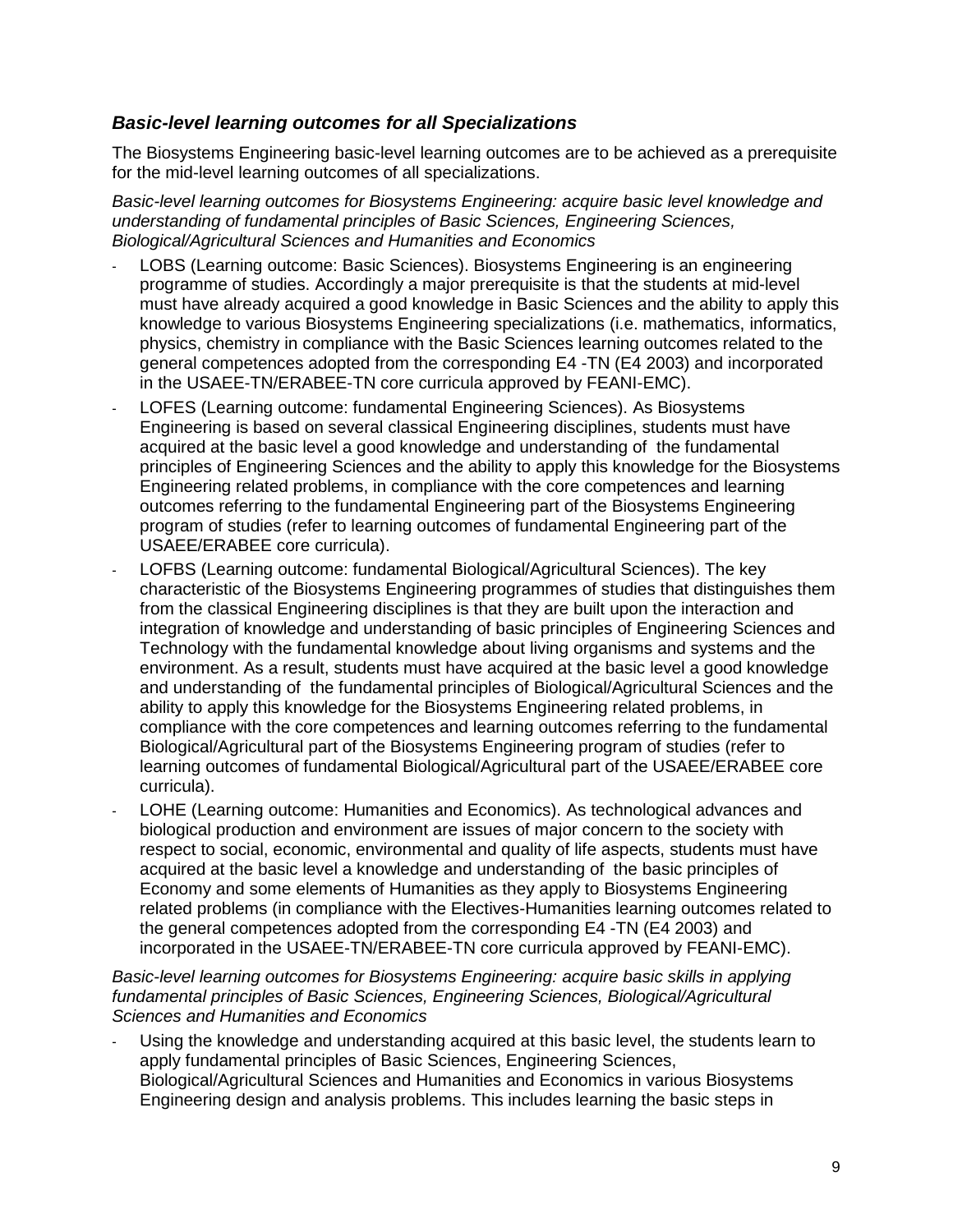#### *Basic-level learning outcomes for all Specializations*

The Biosystems Engineering basic-level learning outcomes are to be achieved as a prerequisite for the mid-level learning outcomes of all specializations.

*Basic-level learning outcomes for Biosystems Engineering: acquire basic level knowledge and understanding of fundamental principles of Basic Sciences, Engineering Sciences, Biological/Agricultural Sciences and Humanities and Economics* 

- LOBS (Learning outcome: Basic Sciences). Biosystems Engineering is an engineering programme of studies. Accordingly a major prerequisite is that the students at mid-level must have already acquired a good knowledge in Basic Sciences and the ability to apply this knowledge to various Biosystems Engineering specializations (i.e. mathematics, informatics, physics, chemistry in compliance with the Basic Sciences learning outcomes related to the general competences adopted from the corresponding E4 -TN (E4 2003) and incorporated in the USAEE-TN/ERABEE-TN core curricula approved by FEANI-EMC).
- LOFES (Learning outcome: fundamental Engineering Sciences). As Biosystems Engineering is based on several classical Engineering disciplines, students must have acquired at the basic level a good knowledge and understanding of the fundamental principles of Engineering Sciences and the ability to apply this knowledge for the Biosystems Engineering related problems, in compliance with the core competences and learning outcomes referring to the fundamental Engineering part of the Biosystems Engineering program of studies (refer to learning outcomes of fundamental Engineering part of the USAEE/ERABEE core curricula).
- LOFBS (Learning outcome: fundamental Biological/Agricultural Sciences). The key characteristic of the Biosystems Engineering programmes of studies that distinguishes them from the classical Engineering disciplines is that they are built upon the interaction and integration of knowledge and understanding of basic principles of Engineering Sciences and Technology with the fundamental knowledge about living organisms and systems and the environment. As a result, students must have acquired at the basic level a good knowledge and understanding of the fundamental principles of Biological/Agricultural Sciences and the ability to apply this knowledge for the Biosystems Engineering related problems, in compliance with the core competences and learning outcomes referring to the fundamental Biological/Agricultural part of the Biosystems Engineering program of studies (refer to learning outcomes of fundamental Biological/Agricultural part of the USAEE/ERABEE core curricula).
- LOHE (Learning outcome: Humanities and Economics). As technological advances and biological production and environment are issues of major concern to the society with respect to social, economic, environmental and quality of life aspects, students must have acquired at the basic level a knowledge and understanding of the basic principles of Economy and some elements of Humanities as they apply to Biosystems Engineering related problems (in compliance with the Electives-Humanities learning outcomes related to the general competences adopted from the corresponding E4 -TN (E4 2003) and incorporated in the USAEE-TN/ERABEE-TN core curricula approved by FEANI-EMC).

#### *Basic-level learning outcomes for Biosystems Engineering: acquire basic skills in applying fundamental principles of Basic Sciences, Engineering Sciences, Biological/Agricultural Sciences and Humanities and Economics*

Using the knowledge and understanding acquired at this basic level, the students learn to apply fundamental principles of Basic Sciences, Engineering Sciences, Biological/Agricultural Sciences and Humanities and Economics in various Biosystems Engineering design and analysis problems. This includes learning the basic steps in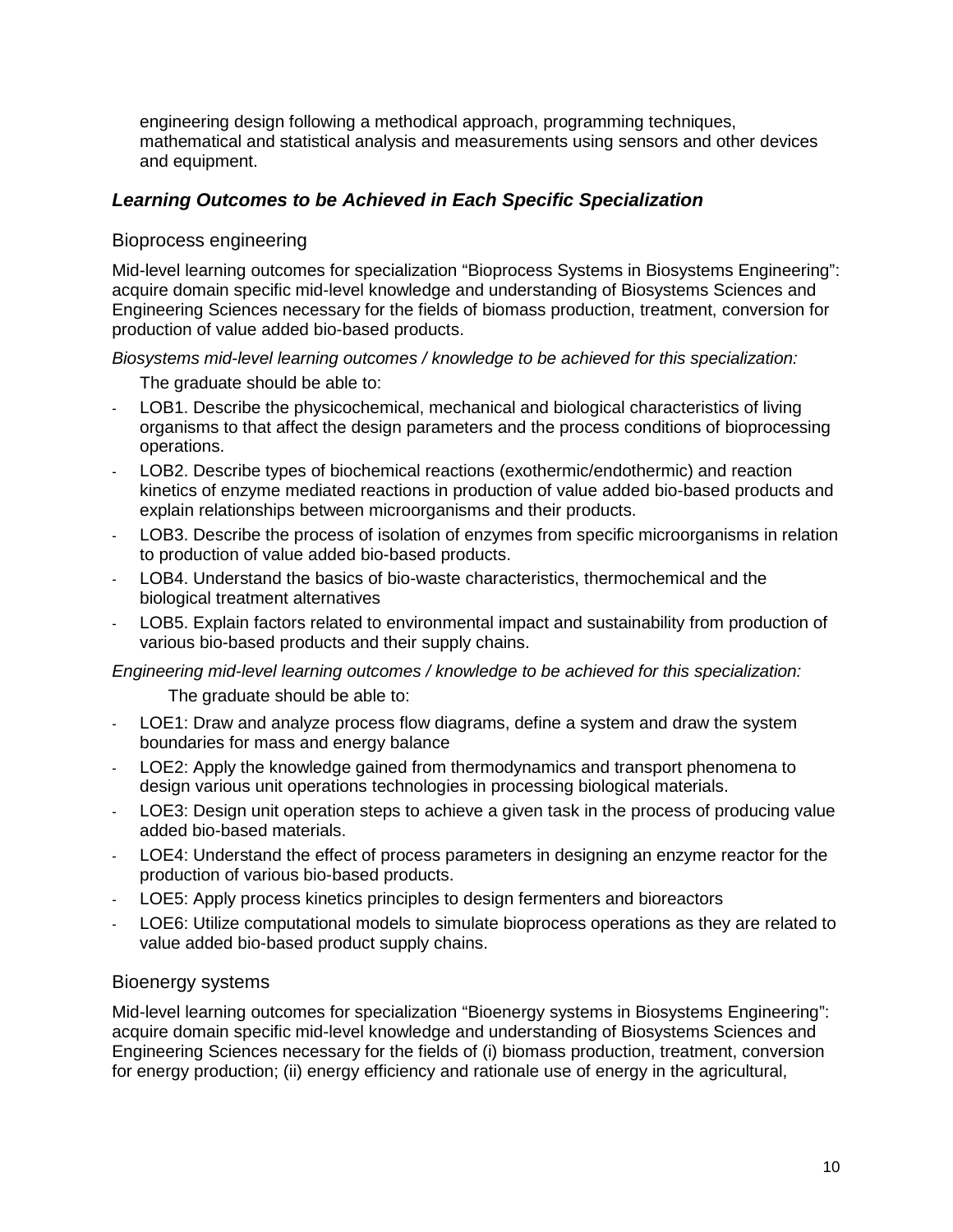engineering design following a methodical approach, programming techniques, mathematical and statistical analysis and measurements using sensors and other devices and equipment.

## *Learning Outcomes to be Achieved in Each Specific Specialization*

## Bioprocess engineering

Mid-level learning outcomes for specialization "Bioprocess Systems in Biosystems Engineering": acquire domain specific mid-level knowledge and understanding of Biosystems Sciences and Engineering Sciences necessary for the fields of biomass production, treatment, conversion for production of value added bio-based products.

*Biosystems mid-level learning outcomes / knowledge to be achieved for this specialization:*

The graduate should be able to:

- LOB1. Describe the physicochemical, mechanical and biological characteristics of living organisms to that affect the design parameters and the process conditions of bioprocessing operations.
- LOB2. Describe types of biochemical reactions (exothermic/endothermic) and reaction kinetics of enzyme mediated reactions in production of value added bio-based products and explain relationships between microorganisms and their products.
- LOB3. Describe the process of isolation of enzymes from specific microorganisms in relation to production of value added bio-based products.
- LOB4. Understand the basics of bio-waste characteristics, thermochemical and the biological treatment alternatives
- LOB5. Explain factors related to environmental impact and sustainability from production of various bio-based products and their supply chains.

*Engineering mid-level learning outcomes / knowledge to be achieved for this specialization:* The graduate should be able to:

- LOE1: Draw and analyze process flow diagrams, define a system and draw the system boundaries for mass and energy balance
- LOE2: Apply the knowledge gained from thermodynamics and transport phenomena to design various unit operations technologies in processing biological materials.
- LOE3: Design unit operation steps to achieve a given task in the process of producing value added bio-based materials.
- LOE4: Understand the effect of process parameters in designing an enzyme reactor for the production of various bio-based products.
- LOE5: Apply process kinetics principles to design fermenters and bioreactors
- LOE6: Utilize computational models to simulate bioprocess operations as they are related to value added bio-based product supply chains.

## Bioenergy systems

Mid-level learning outcomes for specialization "Bioenergy systems in Biosystems Engineering": acquire domain specific mid-level knowledge and understanding of Biosystems Sciences and Engineering Sciences necessary for the fields of (i) biomass production, treatment, conversion for energy production; (ii) energy efficiency and rationale use of energy in the agricultural,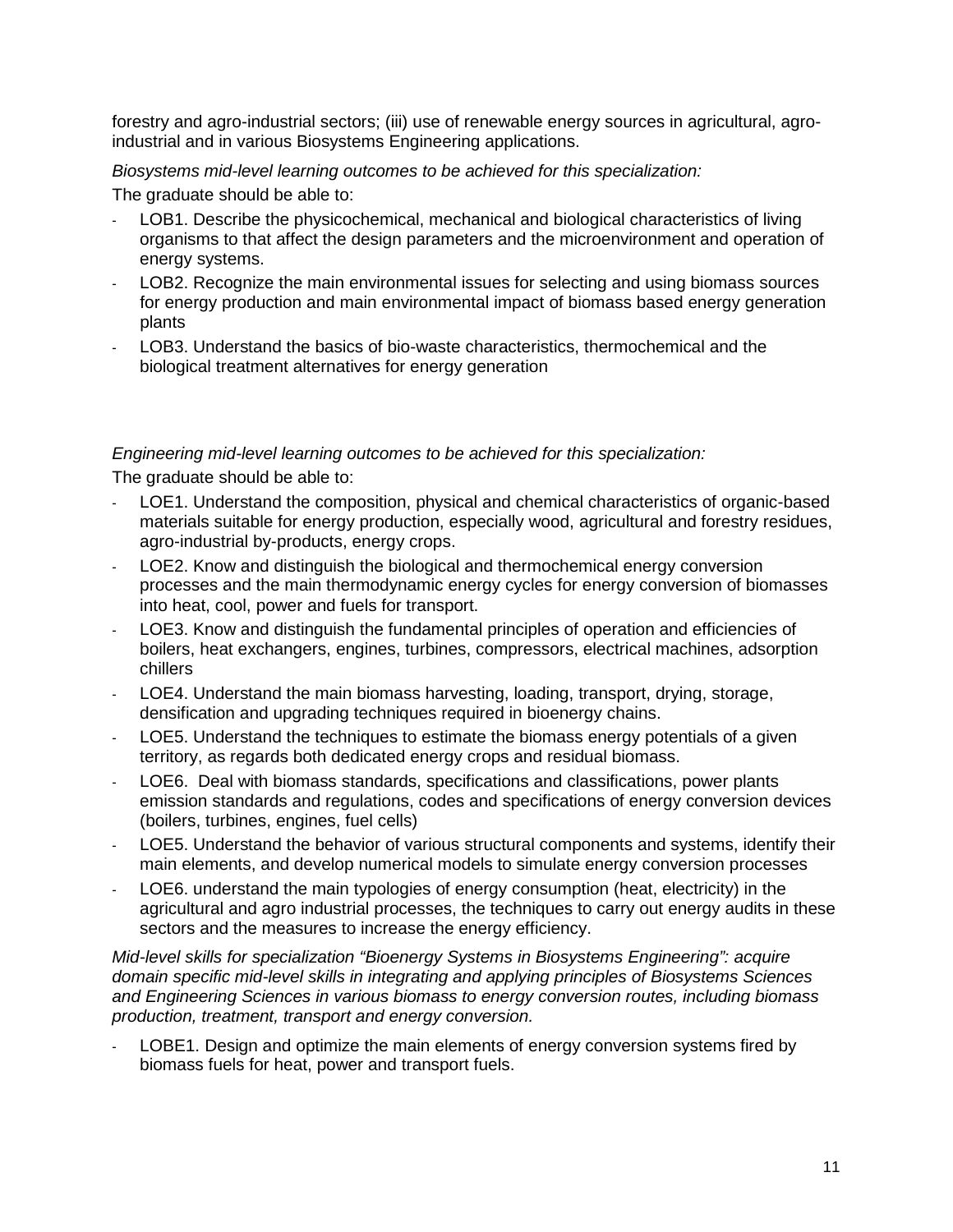forestry and agro-industrial sectors; (iii) use of renewable energy sources in agricultural, agroindustrial and in various Biosystems Engineering applications.

#### *Biosystems mid-level learning outcomes to be achieved for this specialization:*

The graduate should be able to:

- LOB1. Describe the physicochemical, mechanical and biological characteristics of living organisms to that affect the design parameters and the microenvironment and operation of energy systems.
- LOB2. Recognize the main environmental issues for selecting and using biomass sources for energy production and main environmental impact of biomass based energy generation plants
- LOB3. Understand the basics of bio-waste characteristics, thermochemical and the biological treatment alternatives for energy generation

#### *Engineering mid-level learning outcomes to be achieved for this specialization:*

The graduate should be able to:

- LOE1. Understand the composition, physical and chemical characteristics of organic-based materials suitable for energy production, especially wood, agricultural and forestry residues, agro-industrial by-products, energy crops.
- LOE2. Know and distinguish the biological and thermochemical energy conversion processes and the main thermodynamic energy cycles for energy conversion of biomasses into heat, cool, power and fuels for transport.
- LOE3. Know and distinguish the fundamental principles of operation and efficiencies of boilers, heat exchangers, engines, turbines, compressors, electrical machines, adsorption chillers
- LOE4. Understand the main biomass harvesting, loading, transport, drying, storage, densification and upgrading techniques required in bioenergy chains.
- LOE5. Understand the techniques to estimate the biomass energy potentials of a given territory, as regards both dedicated energy crops and residual biomass.
- LOE6. Deal with biomass standards, specifications and classifications, power plants emission standards and regulations, codes and specifications of energy conversion devices (boilers, turbines, engines, fuel cells)
- LOE5. Understand the behavior of various structural components and systems, identify their main elements, and develop numerical models to simulate energy conversion processes
- LOE6. understand the main typologies of energy consumption (heat, electricity) in the agricultural and agro industrial processes, the techniques to carry out energy audits in these sectors and the measures to increase the energy efficiency.

*Mid-level skills for specialization "Bioenergy Systems in Biosystems Engineering": acquire domain specific mid-level skills in integrating and applying principles of Biosystems Sciences and Engineering Sciences in various biomass to energy conversion routes, including biomass production, treatment, transport and energy conversion.*

LOBE1. Design and optimize the main elements of energy conversion systems fired by biomass fuels for heat, power and transport fuels.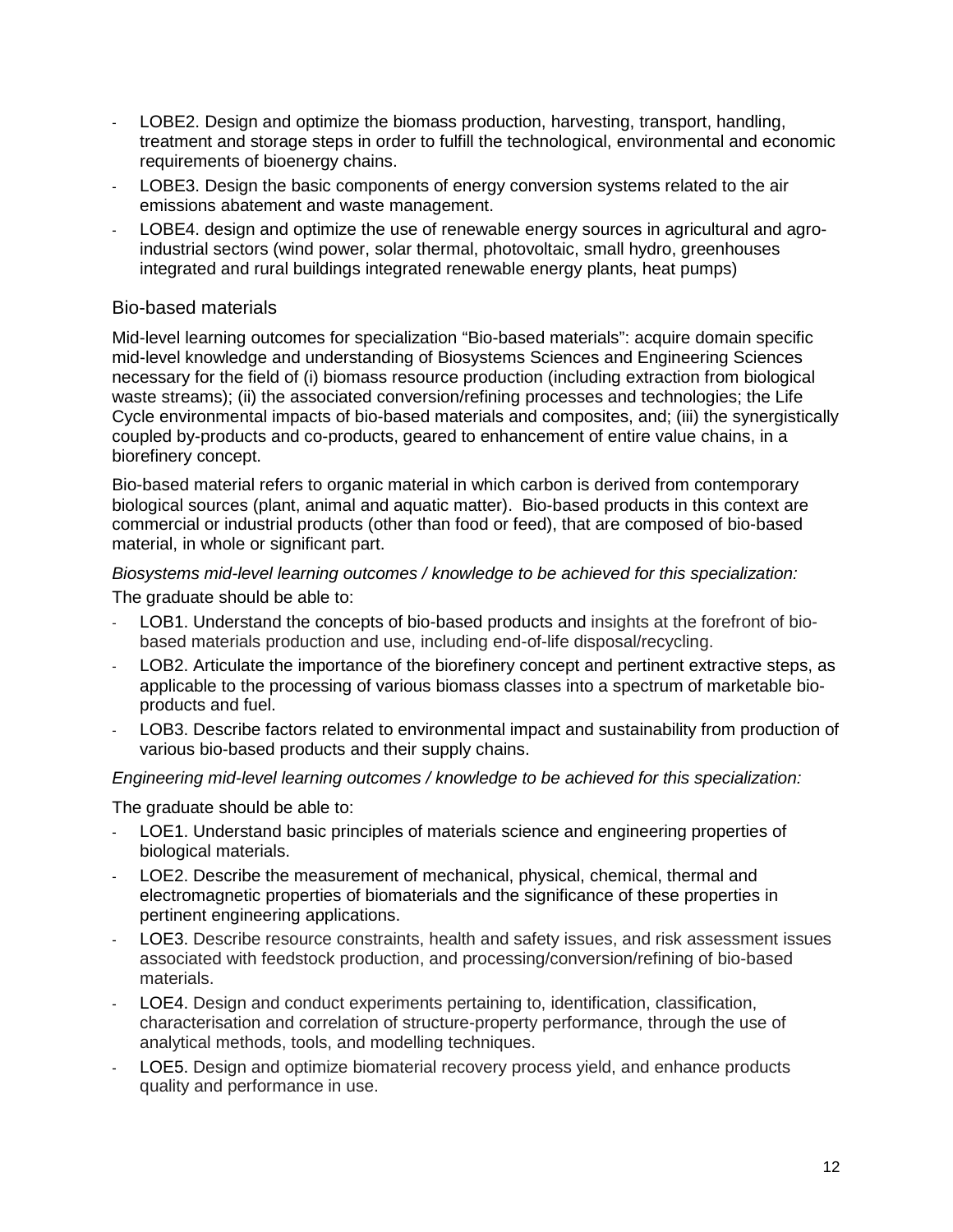- LOBE2. Design and optimize the biomass production, harvesting, transport, handling, treatment and storage steps in order to fulfill the technological, environmental and economic requirements of bioenergy chains.
- LOBE3. Design the basic components of energy conversion systems related to the air emissions abatement and waste management.
- LOBE4. design and optimize the use of renewable energy sources in agricultural and agroindustrial sectors (wind power, solar thermal, photovoltaic, small hydro, greenhouses integrated and rural buildings integrated renewable energy plants, heat pumps)

#### Bio-based materials

Mid-level learning outcomes for specialization "Bio-based materials": acquire domain specific mid-level knowledge and understanding of Biosystems Sciences and Engineering Sciences necessary for the field of (i) biomass resource production (including extraction from biological waste streams); (ii) the associated conversion/refining processes and technologies; the Life Cycle environmental impacts of bio-based materials and composites, and; (iii) the synergistically coupled by-products and co-products, geared to enhancement of entire value chains, in a biorefinery concept.

Bio-based material refers to organic material in which carbon is derived from contemporary biological sources (plant, animal and aquatic matter). Bio-based products in this context are commercial or industrial products (other than food or feed), that are composed of bio-based material, in whole or significant part.

#### *Biosystems mid-level learning outcomes / knowledge to be achieved for this specialization:*

The graduate should be able to:

- LOB1. Understand the concepts of bio-based products and insights at the forefront of biobased materials production and use, including end-of-life disposal/recycling.
- LOB2. Articulate the importance of the biorefinery concept and pertinent extractive steps, as applicable to the processing of various biomass classes into a spectrum of marketable bioproducts and fuel.
- LOB3. Describe factors related to environmental impact and sustainability from production of various bio-based products and their supply chains.

#### *Engineering mid-level learning outcomes / knowledge to be achieved for this specialization:*

The graduate should be able to:

- LOE1. Understand basic principles of materials science and engineering properties of biological materials.
- LOE2. Describe the measurement of mechanical, physical, chemical, thermal and electromagnetic properties of biomaterials and the significance of these properties in pertinent engineering applications.
- LOE3. Describe resource constraints, health and safety issues, and risk assessment issues associated with feedstock production, and processing/conversion/refining of bio-based materials.
- LOE4. Design and conduct experiments pertaining to, identification, classification, characterisation and correlation of structure-property performance, through the use of analytical methods, tools, and modelling techniques.
- LOE5. Design and optimize biomaterial recovery process yield, and enhance products quality and performance in use.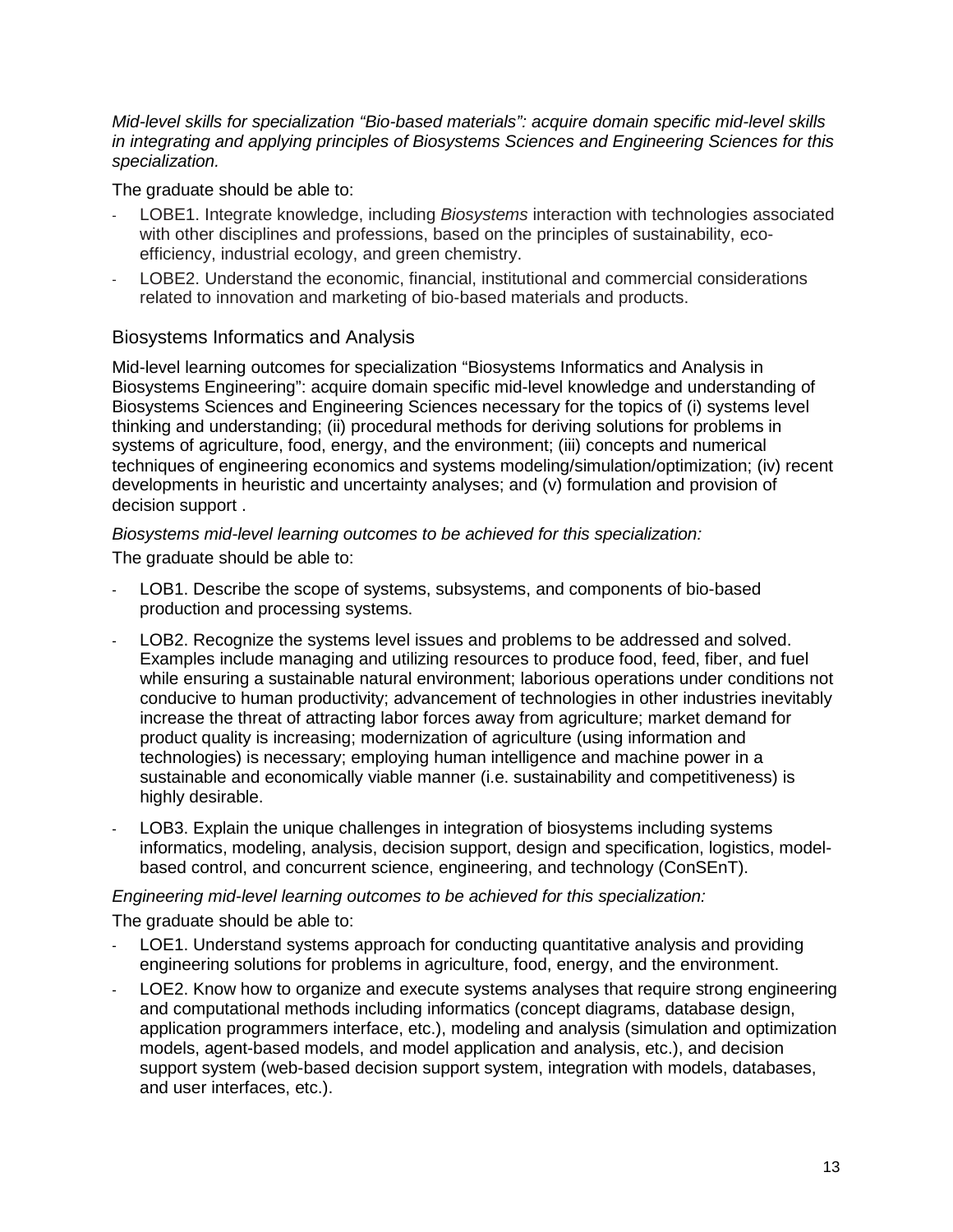#### *Mid-level skills for specialization "Bio-based materials": acquire domain specific mid-level skills in integrating and applying principles of Biosystems Sciences and Engineering Sciences for this specialization.*

#### The graduate should be able to:

- LOBE1. Integrate knowledge, including *Biosystems* interaction with technologies associated with other disciplines and professions, based on the principles of sustainability, ecoefficiency, industrial ecology, and green chemistry.
- LOBE2. Understand the economic, financial, institutional and commercial considerations related to innovation and marketing of bio-based materials and products.

#### Biosystems Informatics and Analysis

Mid-level learning outcomes for specialization "Biosystems Informatics and Analysis in Biosystems Engineering": acquire domain specific mid-level knowledge and understanding of Biosystems Sciences and Engineering Sciences necessary for the topics of (i) systems level thinking and understanding; (ii) procedural methods for deriving solutions for problems in systems of agriculture, food, energy, and the environment; (iii) concepts and numerical techniques of engineering economics and systems modeling/simulation/optimization; (iv) recent developments in heuristic and uncertainty analyses; and (v) formulation and provision of decision support .

# *Biosystems mid-level learning outcomes to be achieved for this specialization:*

The graduate should be able to:

- LOB1. Describe the scope of systems, subsystems, and components of bio-based production and processing systems.
- LOB2. Recognize the systems level issues and problems to be addressed and solved. Examples include managing and utilizing resources to produce food, feed, fiber, and fuel while ensuring a sustainable natural environment; laborious operations under conditions not conducive to human productivity; advancement of technologies in other industries inevitably increase the threat of attracting labor forces away from agriculture; market demand for product quality is increasing; modernization of agriculture (using information and technologies) is necessary; employing human intelligence and machine power in a sustainable and economically viable manner (i.e. sustainability and competitiveness) is highly desirable.
- LOB3. Explain the unique challenges in integration of biosystems including systems informatics, modeling, analysis, decision support, design and specification, logistics, modelbased control, and concurrent science, engineering, and technology (ConSEnT).

## *Engineering mid-level learning outcomes to be achieved for this specialization:*

The graduate should be able to:

- LOE1. Understand systems approach for conducting quantitative analysis and providing engineering solutions for problems in agriculture, food, energy, and the environment.
- LOE2. Know how to organize and execute systems analyses that require strong engineering and computational methods including informatics (concept diagrams, database design, application programmers interface, etc.), modeling and analysis (simulation and optimization models, agent-based models, and model application and analysis, etc.), and decision support system (web-based decision support system, integration with models, databases, and user interfaces, etc.).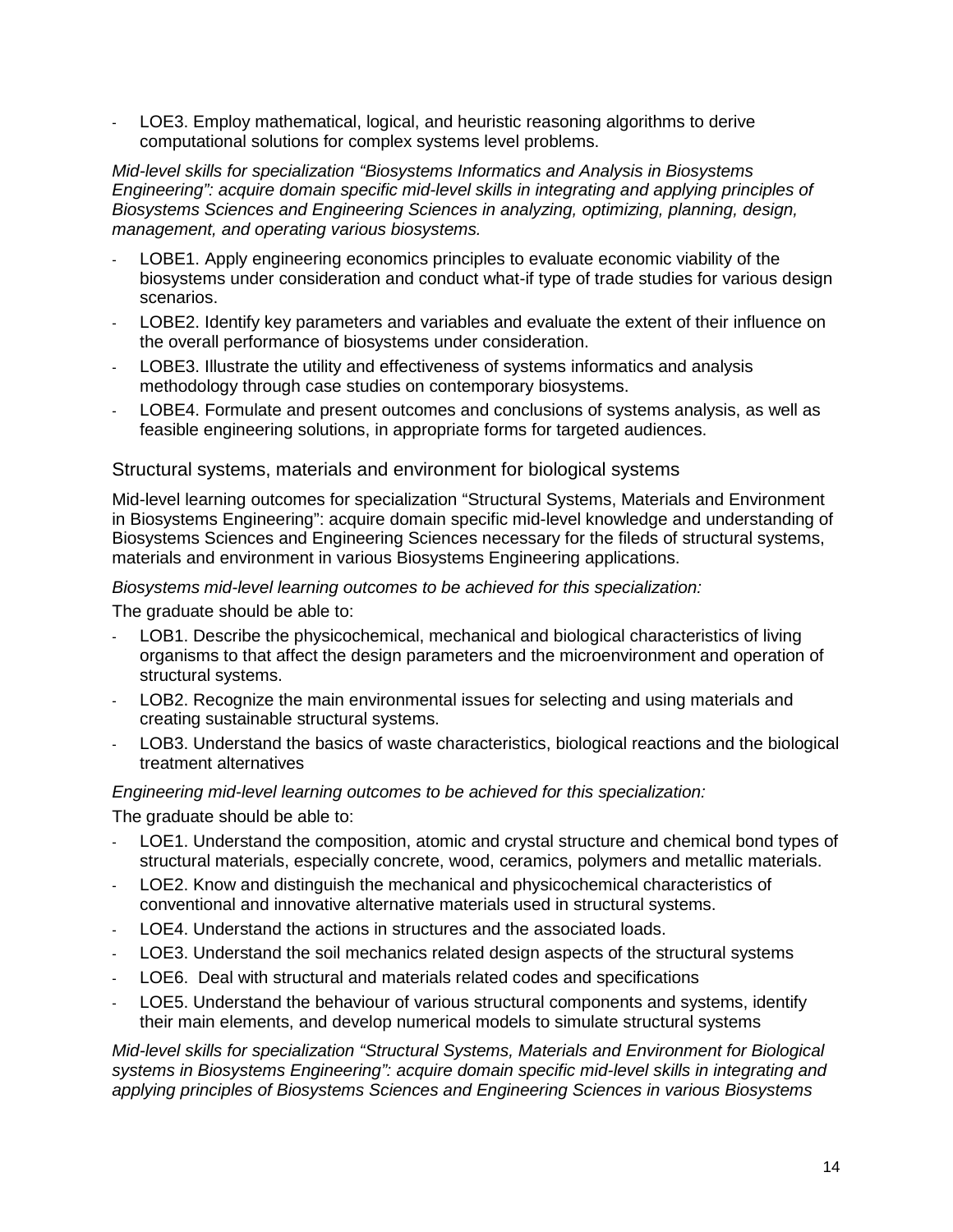- LOE3. Employ mathematical, logical, and heuristic reasoning algorithms to derive computational solutions for complex systems level problems.

*Mid-level skills for specialization "Biosystems Informatics and Analysis in Biosystems Engineering": acquire domain specific mid-level skills in integrating and applying principles of Biosystems Sciences and Engineering Sciences in analyzing, optimizing, planning, design, management, and operating various biosystems.*

- LOBE1. Apply engineering economics principles to evaluate economic viability of the biosystems under consideration and conduct what-if type of trade studies for various design scenarios.
- LOBE2. Identify key parameters and variables and evaluate the extent of their influence on the overall performance of biosystems under consideration.
- LOBE3. Illustrate the utility and effectiveness of systems informatics and analysis methodology through case studies on contemporary biosystems.
- LOBE4. Formulate and present outcomes and conclusions of systems analysis, as well as feasible engineering solutions, in appropriate forms for targeted audiences.

#### Structural systems, materials and environment for biological systems

Mid-level learning outcomes for specialization "Structural Systems, Materials and Environment in Biosystems Engineering": acquire domain specific mid-level knowledge and understanding of Biosystems Sciences and Engineering Sciences necessary for the fileds of structural systems, materials and environment in various Biosystems Engineering applications.

*Biosystems mid-level learning outcomes to be achieved for this specialization:*

The graduate should be able to:

- LOB1. Describe the physicochemical, mechanical and biological characteristics of living organisms to that affect the design parameters and the microenvironment and operation of structural systems.
- LOB2. Recognize the main environmental issues for selecting and using materials and creating sustainable structural systems.
- LOB3. Understand the basics of waste characteristics, biological reactions and the biological treatment alternatives

#### *Engineering mid-level learning outcomes to be achieved for this specialization:*

The graduate should be able to:

- LOE1. Understand the composition, atomic and crystal structure and chemical bond types of structural materials, especially concrete, wood, ceramics, polymers and metallic materials.
- LOE2. Know and distinguish the mechanical and physicochemical characteristics of conventional and innovative alternative materials used in structural systems.
- LOE4. Understand the actions in structures and the associated loads.
- LOE3. Understand the soil mechanics related design aspects of the structural systems
- LOE6. Deal with structural and materials related codes and specifications
- LOE5. Understand the behaviour of various structural components and systems, identify their main elements, and develop numerical models to simulate structural systems

*Mid-level skills for specialization "Structural Systems, Materials and Environment for Biological systems in Biosystems Engineering": acquire domain specific mid-level skills in integrating and applying principles of Biosystems Sciences and Engineering Sciences in various Biosystems*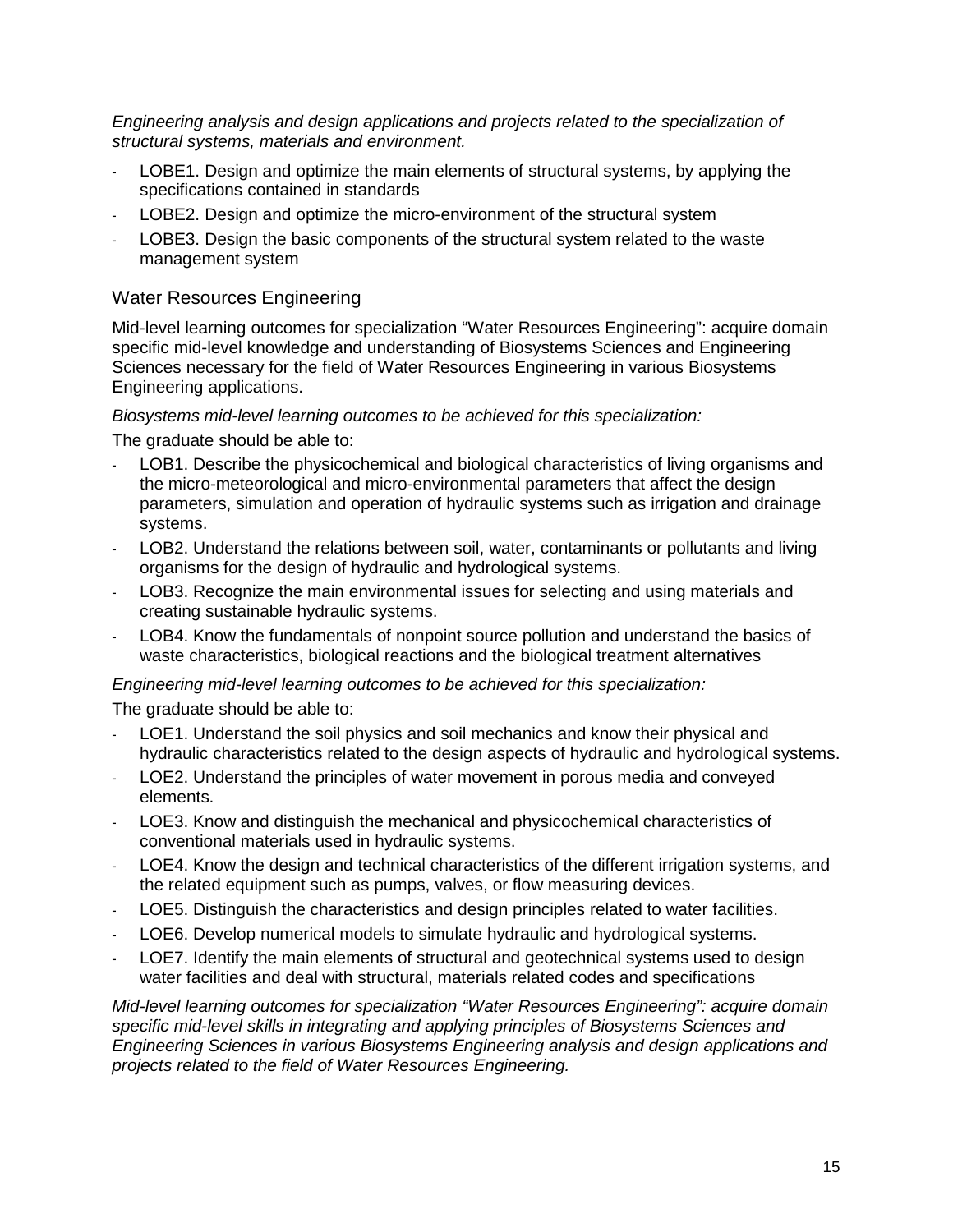*Engineering analysis and design applications and projects related to the specialization of structural systems, materials and environment.*

- LOBE1. Design and optimize the main elements of structural systems, by applying the specifications contained in standards
- LOBE2. Design and optimize the micro-environment of the structural system
- LOBE3. Design the basic components of the structural system related to the waste management system

#### Water Resources Engineering

Mid-level learning outcomes for specialization "Water Resources Engineering": acquire domain specific mid-level knowledge and understanding of Biosystems Sciences and Engineering Sciences necessary for the field of Water Resources Engineering in various Biosystems Engineering applications.

#### *Biosystems mid-level learning outcomes to be achieved for this specialization:*

The graduate should be able to:

- LOB1. Describe the physicochemical and biological characteristics of living organisms and the micro-meteorological and micro-environmental parameters that affect the design parameters, simulation and operation of hydraulic systems such as irrigation and drainage systems.
- LOB2. Understand the relations between soil, water, contaminants or pollutants and living organisms for the design of hydraulic and hydrological systems.
- LOB3. Recognize the main environmental issues for selecting and using materials and creating sustainable hydraulic systems.
- LOB4. Know the fundamentals of nonpoint source pollution and understand the basics of waste characteristics, biological reactions and the biological treatment alternatives

#### *Engineering mid-level learning outcomes to be achieved for this specialization:*

The graduate should be able to:

- LOE1. Understand the soil physics and soil mechanics and know their physical and hydraulic characteristics related to the design aspects of hydraulic and hydrological systems.
- LOE2. Understand the principles of water movement in porous media and conveyed elements.
- LOE3. Know and distinguish the mechanical and physicochemical characteristics of conventional materials used in hydraulic systems.
- LOE4. Know the design and technical characteristics of the different irrigation systems, and the related equipment such as pumps, valves, or flow measuring devices.
- LOE5. Distinguish the characteristics and design principles related to water facilities.
- LOE6. Develop numerical models to simulate hydraulic and hydrological systems.
- LOE7. Identify the main elements of structural and geotechnical systems used to design water facilities and deal with structural, materials related codes and specifications

*Mid-level learning outcomes for specialization "Water Resources Engineering": acquire domain specific mid-level skills in integrating and applying principles of Biosystems Sciences and Engineering Sciences in various Biosystems Engineering analysis and design applications and projects related to the field of Water Resources Engineering.*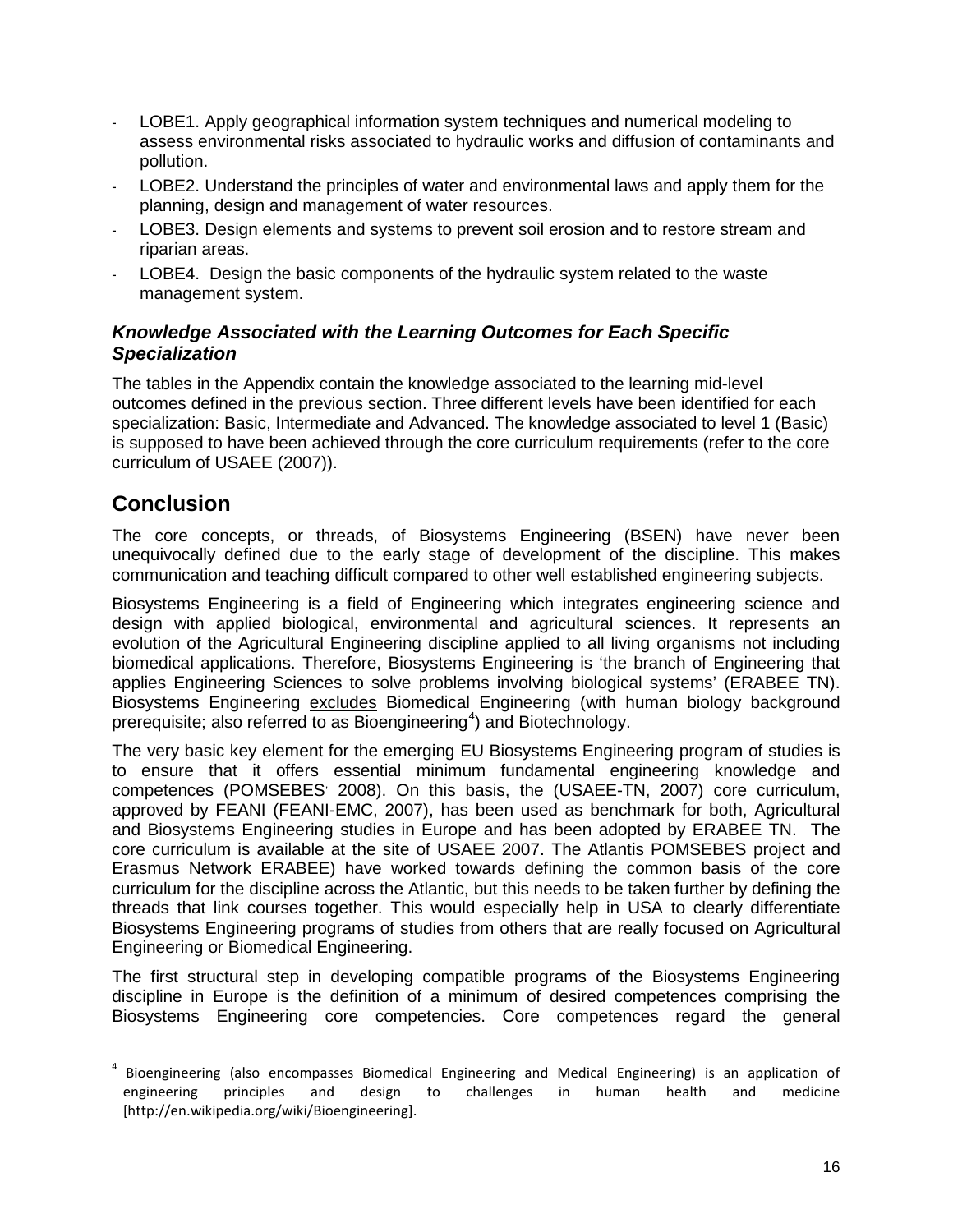- LOBE1. Apply geographical information system techniques and numerical modeling to assess environmental risks associated to hydraulic works and diffusion of contaminants and pollution.
- LOBE2. Understand the principles of water and environmental laws and apply them for the planning, design and management of water resources.
- LOBE3. Design elements and systems to prevent soil erosion and to restore stream and riparian areas.
- LOBE4. Design the basic components of the hydraulic system related to the waste management system.

## *Knowledge Associated with the Learning Outcomes for Each Specific Specialization*

The tables in the Appendix contain the knowledge associated to the learning mid-level outcomes defined in the previous section. Three different levels have been identified for each specialization: Basic, Intermediate and Advanced. The knowledge associated to level 1 (Basic) is supposed to have been achieved through the core curriculum requirements (refer to the core curriculum of USAEE (2007)).

# **Conclusion**

The core concepts, or threads, of Biosystems Engineering (BSEN) have never been unequivocally defined due to the early stage of development of the discipline. This makes communication and teaching difficult compared to other well established engineering subjects.

Biosystems Engineering is a field of Engineering which integrates engineering science and design with applied biological, environmental and agricultural sciences. It represents an evolution of the Agricultural Engineering discipline applied to all living organisms not including biomedical applications. Therefore, Biosystems Engineering is 'the branch of Engineering that applies Engineering Sciences to solve problems involving biological systems' (ERABEE TN). Biosystems Engineering excludes Biomedical Engineering (with human biology background prerequisite; also referred to as Bioengineering<sup>[4](#page-16-0)</sup>) and Biotechnology.

The very basic key element for the emerging EU Biosystems Engineering program of studies is to ensure that it offers essential minimum fundamental engineering knowledge and competences (POMSEBES, 2008). On this basis, the (USAEE-TN, 2007) core curriculum, approved by FEANI (FEANI-EMC, 2007), has been used as benchmark for both, Agricultural and Biosystems Engineering studies in Europe and has been adopted by ERABEE TN. The core curriculum is available at the site of USAEE 2007. The Atlantis POMSEBES project and Erasmus Network ERABEE) have worked towards defining the common basis of the core curriculum for the discipline across the Atlantic, but this needs to be taken further by defining the threads that link courses together. This would especially help in USA to clearly differentiate Biosystems Engineering programs of studies from others that are really focused on Agricultural Engineering or Biomedical Engineering.

The first structural step in developing compatible programs of the Biosystems Engineering discipline in Europe is the definition of a minimum of desired competences comprising the Biosystems Engineering core competencies. Core competences regard the general

<span id="page-16-0"></span><sup>4</sup> Bioengineering (also encompasses Biomedical Engineering and Medical Engineering) is an application of engineering principles and design to challenges in human health and medicine [http://en.wikipedia.org/wiki/Bioengineering].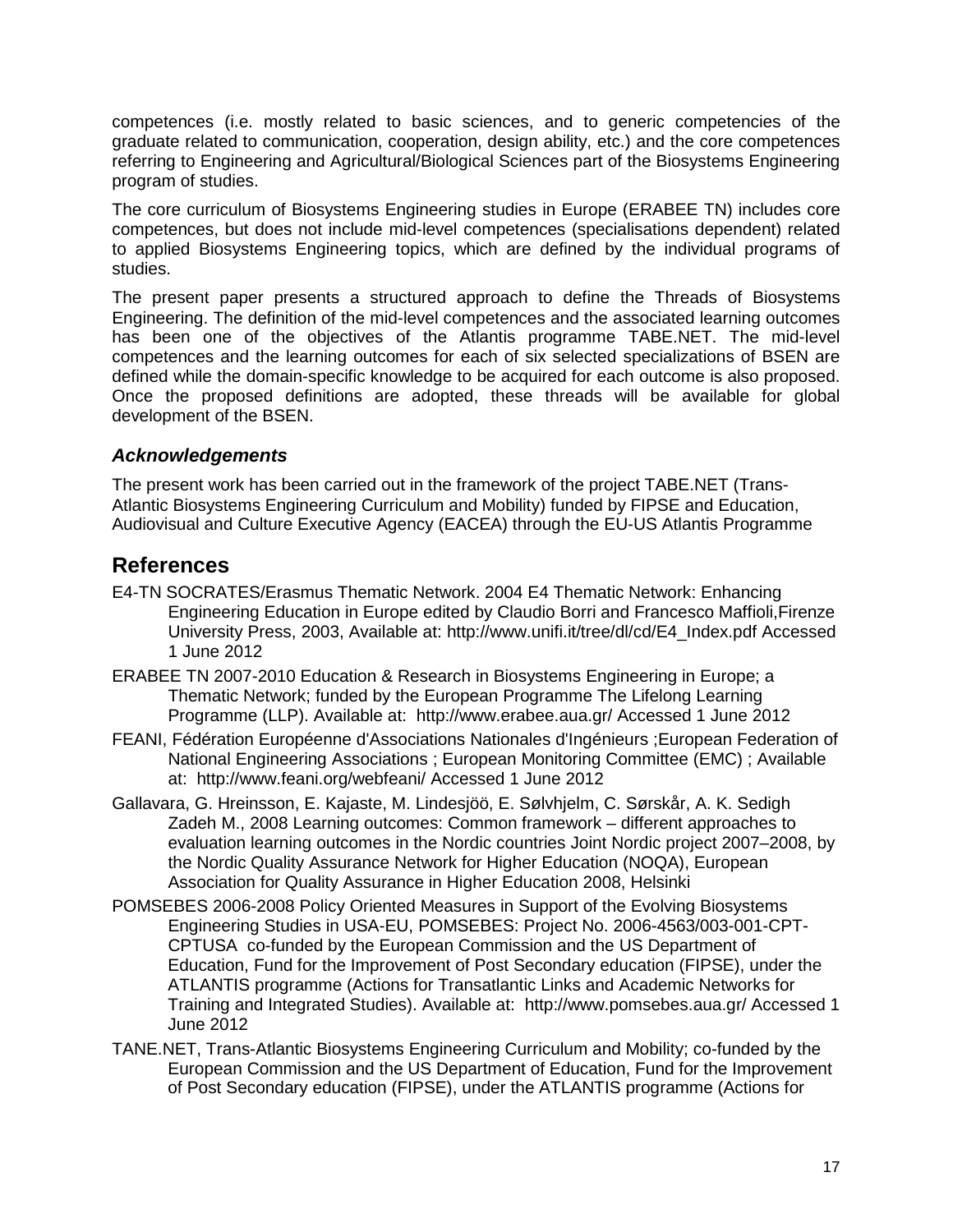competences (i.e. mostly related to basic sciences, and to generic competencies of the graduate related to communication, cooperation, design ability, etc.) and the core competences referring to Engineering and Agricultural/Biological Sciences part of the Biosystems Engineering program of studies.

The core curriculum of Biosystems Engineering studies in Europe (ERABEE TN) includes core competences, but does not include mid-level competences (specialisations dependent) related to applied Biosystems Engineering topics, which are defined by the individual programs of studies.

The present paper presents a structured approach to define the Threads of Biosystems Engineering. The definition of the mid-level competences and the associated learning outcomes has been one of the objectives of the Atlantis programme TABE.NET. The mid-level competences and the learning outcomes for each of six selected specializations of BSEN are defined while the domain-specific knowledge to be acquired for each outcome is also proposed. Once the proposed definitions are adopted, these threads will be available for global development of the BSEN.

## *Acknowledgements*

The present work has been carried out in the framework of the project TABE.NET (Trans-Atlantic Biosystems Engineering Curriculum and Mobility) funded by FIPSE and Education, Audiovisual and Culture Executive Agency (EACEA) through the EU-US Atlantis Programme

## **References**

- E4-TN SOCRATES/Erasmus Thematic Network. 2004 E4 Thematic Network: Enhancing Engineering Education in Europe edited by Claudio Borri and Francesco Maffioli,Firenze University Press, 2003, Available at: http://www.unifi.it/tree/dl/cd/E4\_Index.pdf Accessed 1 June 2012
- ERABEE TN 2007-2010 Education & Research in Biosystems Engineering in Europe; a Thematic Network; funded by the European Programme The Lifelong Learning Programme (LLP). Available at: http://www.erabee.aua.gr/ Accessed 1 June 2012
- FEANI, Fédération Européenne d'Associations Nationales d'Ingénieurs ;European Federation of National Engineering Associations ; European Monitoring Committee (EMC) ; Available at: http://www.feani.org/webfeani/ Accessed 1 June 2012
- Gallavara, G. Hreinsson, E. Kajaste, M. Lindesjöö, E. Sølvhjelm, C. Sørskår, A. K. Sedigh Zadeh M., 2008 Learning outcomes: Common framework – different approaches to evaluation learning outcomes in the Nordic countries Joint Nordic project 2007–2008, by the Nordic Quality Assurance Network for Higher Education (NOQA), European Association for Quality Assurance in Higher Education 2008, Helsinki
- POMSEBES 2006-2008 Policy Oriented Measures in Support of the Evolving Biosystems Engineering Studies in USA-EU, POMSEBES: Project No. 2006-4563/003-001-CPT-CPTUSA co-funded by the European Commission and the US Department of Education, Fund for the Improvement of Post Secondary education (FIPSE), under the ATLANTIS programme (Actions for Transatlantic Links and Academic Networks for Training and Integrated Studies). Available at: http://www.pomsebes.aua.gr/ Accessed 1 June 2012
- TANE.NET, Trans-Atlantic Biosystems Engineering Curriculum and Mobility; co-funded by the European Commission and the US Department of Education, Fund for the Improvement of Post Secondary education (FIPSE), under the ATLANTIS programme (Actions for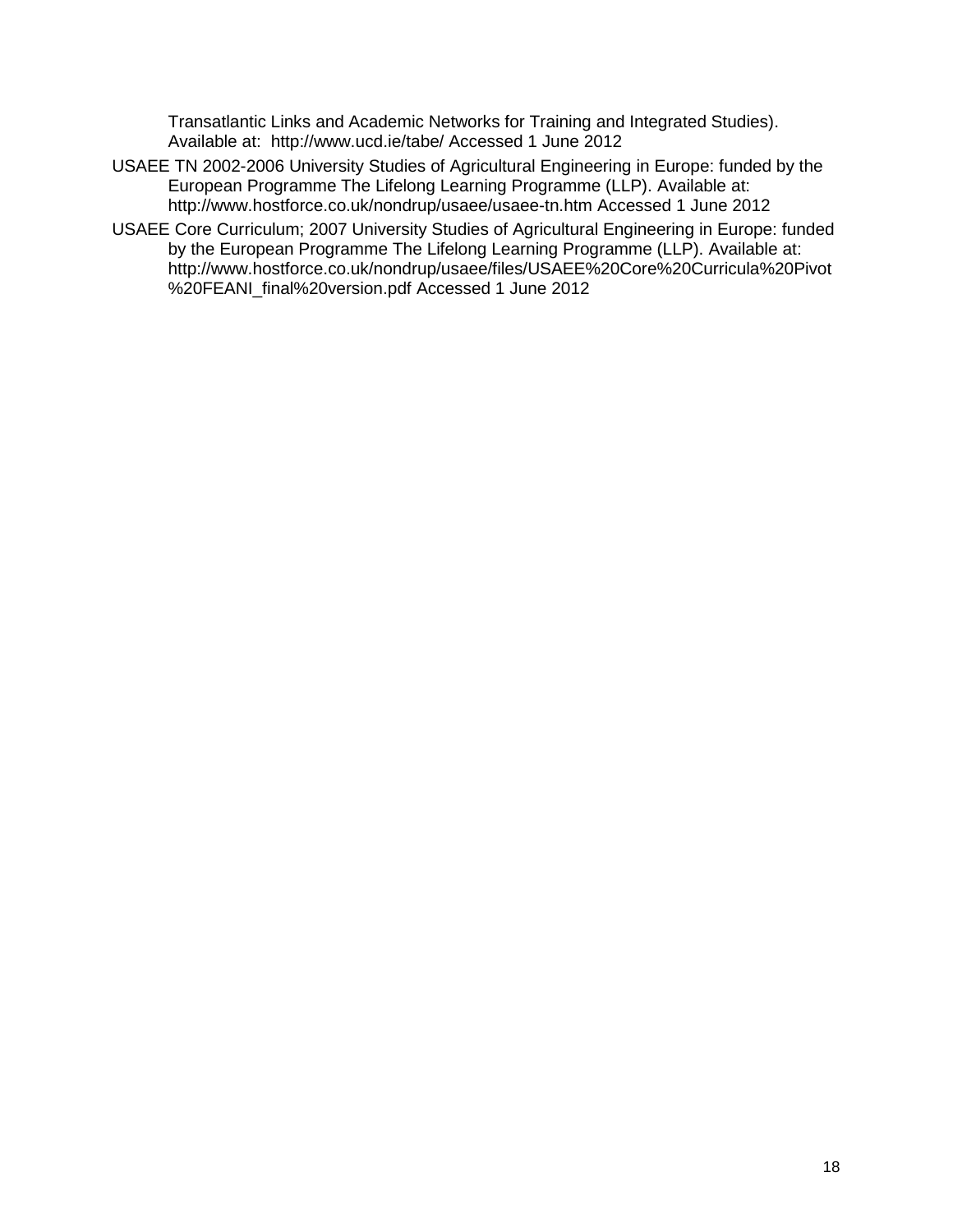Transatlantic Links and Academic Networks for Training and Integrated Studies). Available at: http://www.ucd.ie/tabe/ Accessed 1 June 2012

- USAEE TN 2002-2006 University Studies of Agricultural Engineering in Europe: funded by the European Programme The Lifelong Learning Programme (LLP). Available at: http://www.hostforce.co.uk/nondrup/usaee/usaee-tn.htm Accessed 1 June 2012
- USAEE Core Curriculum; 2007 University Studies of Agricultural Engineering in Europe: funded by the European Programme The Lifelong Learning Programme (LLP). Available at: http://www.hostforce.co.uk/nondrup/usaee/files/USAEE%20Core%20Curricula%20Pivot %20FEANI\_final%20version.pdf Accessed 1 June 2012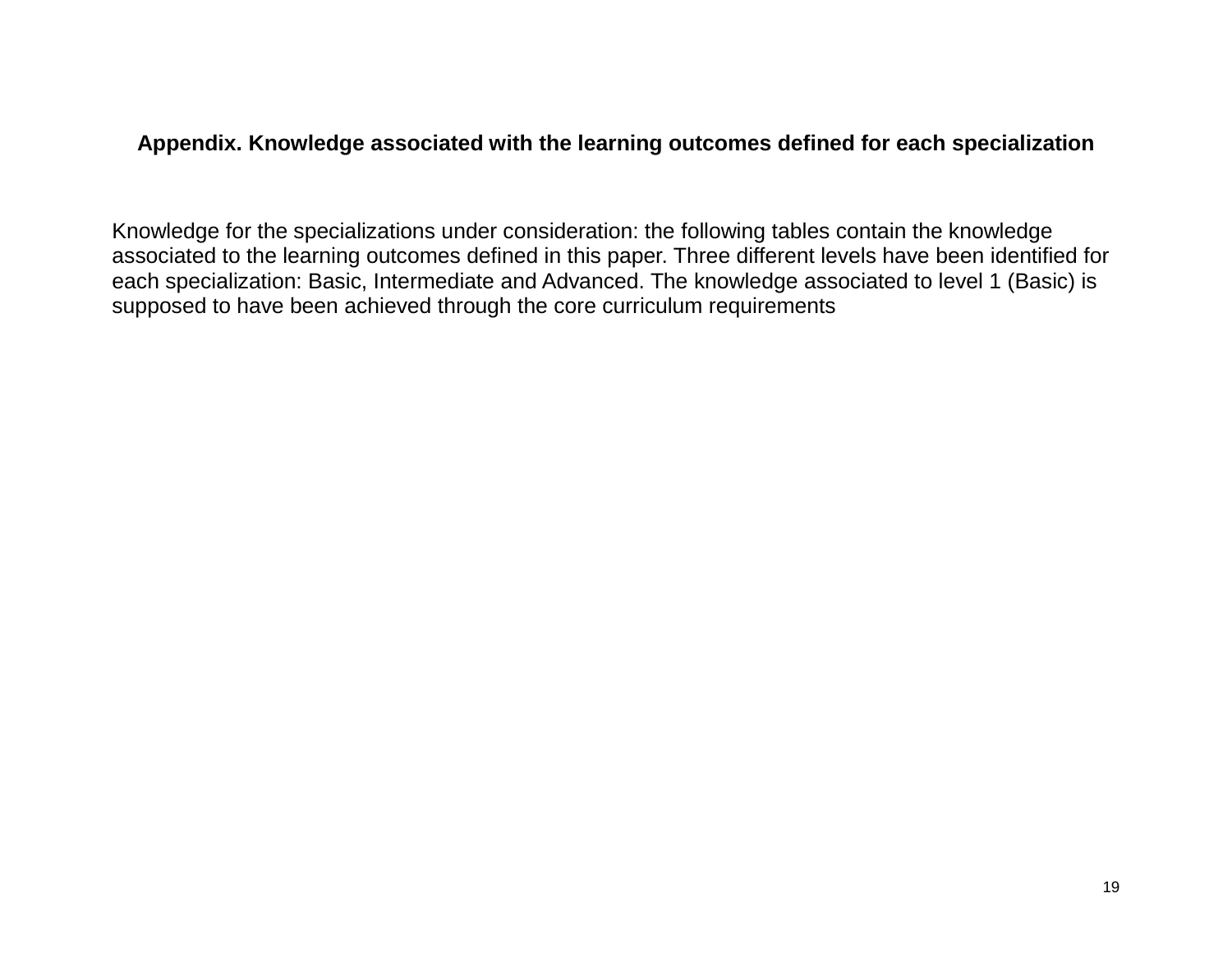# **Appendix. Knowledge associated with the learning outcomes defined for each specialization**

Knowledge for the specializations under consideration: the following tables contain the knowledge associated to the learning outcomes defined in this paper. Three different levels have been identified for each specialization: Basic, Intermediate and Advanced. The knowledge associated to level 1 (Basic) is supposed to have been achieved through the core curriculum requirements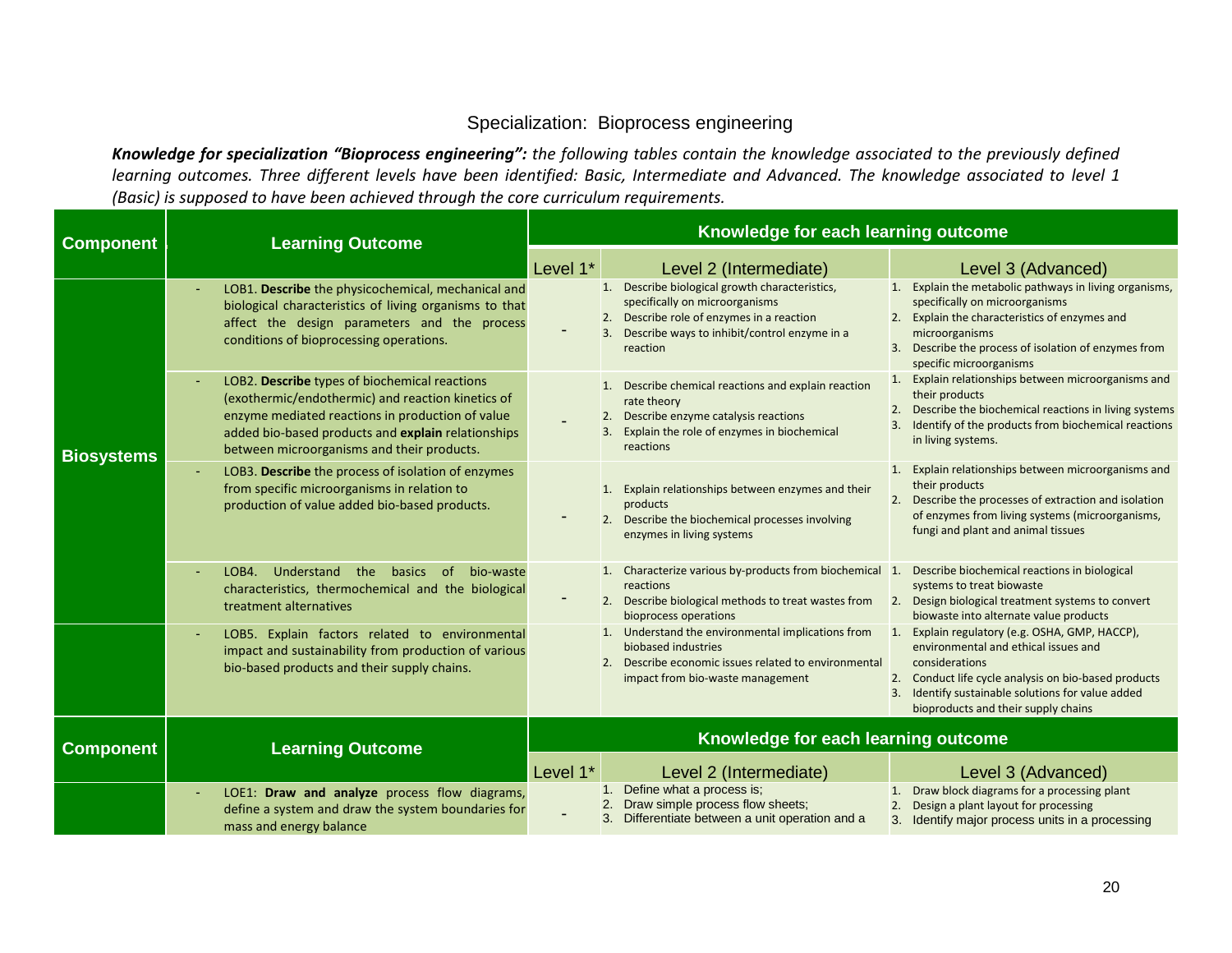## Specialization: Bioprocess engineering

*Knowledge for specialization "Bioprocess engineering": the following tables contain the knowledge associated to the previously defined learning outcomes. Three different levels have been identified: Basic, Intermediate and Advanced. The knowledge associated to level 1 (Basic) is supposed to have been achieved through the core curriculum requirements.* 

| <b>Component</b>  | <b>Learning Outcome</b>                                                                                                                                                                                                                                    |          | Knowledge for each learning outcome                                                                                                                                                       |                                                                                                                                                                                                                                                                 |  |  |  |
|-------------------|------------------------------------------------------------------------------------------------------------------------------------------------------------------------------------------------------------------------------------------------------------|----------|-------------------------------------------------------------------------------------------------------------------------------------------------------------------------------------------|-----------------------------------------------------------------------------------------------------------------------------------------------------------------------------------------------------------------------------------------------------------------|--|--|--|
|                   |                                                                                                                                                                                                                                                            | Level 1* | Level 2 (Intermediate)                                                                                                                                                                    | Level 3 (Advanced)                                                                                                                                                                                                                                              |  |  |  |
|                   | LOB1. Describe the physicochemical, mechanical and<br>biological characteristics of living organisms to that<br>affect the design parameters and the process<br>conditions of bioprocessing operations.                                                    |          | 1. Describe biological growth characteristics,<br>specifically on microorganisms<br>2. Describe role of enzymes in a reaction<br>Describe ways to inhibit/control enzyme in a<br>reaction | 1. Explain the metabolic pathways in living organisms,<br>specifically on microorganisms<br>2. Explain the characteristics of enzymes and<br>microorganisms<br>3. Describe the process of isolation of enzymes from<br>specific microorganisms                  |  |  |  |
| <b>Biosystems</b> | LOB2. Describe types of biochemical reactions<br>(exothermic/endothermic) and reaction kinetics of<br>enzyme mediated reactions in production of value<br>added bio-based products and explain relationships<br>between microorganisms and their products. |          | 1. Describe chemical reactions and explain reaction<br>rate theory<br>Describe enzyme catalysis reactions<br>2.<br>Explain the role of enzymes in biochemical<br>reactions                | 1. Explain relationships between microorganisms and<br>their products<br>Describe the biochemical reactions in living systems<br>2.<br>Identify of the products from biochemical reactions<br>in living systems.                                                |  |  |  |
|                   | LOB3. Describe the process of isolation of enzymes<br>from specific microorganisms in relation to<br>production of value added bio-based products.                                                                                                         |          | 1. Explain relationships between enzymes and their<br>products<br>2. Describe the biochemical processes involving<br>enzymes in living systems                                            | 1. Explain relationships between microorganisms and<br>their products<br>2. Describe the processes of extraction and isolation<br>of enzymes from living systems (microorganisms,<br>fungi and plant and animal tissues                                         |  |  |  |
|                   | LOB4. Understand<br>the<br>basics<br>bio-waste<br>-of<br>characteristics, thermochemical and the biological<br>treatment alternatives                                                                                                                      |          | Characterize various by-products from biochemical 1.<br>reactions<br>2. Describe biological methods to treat wastes from<br>bioprocess operations                                         | Describe biochemical reactions in biological<br>systems to treat biowaste<br>2. Design biological treatment systems to convert<br>biowaste into alternate value products                                                                                        |  |  |  |
|                   | LOB5. Explain factors related to environmental<br>impact and sustainability from production of various<br>bio-based products and their supply chains.                                                                                                      |          | 1. Understand the environmental implications from<br>biobased industries<br>2. Describe economic issues related to environmental<br>impact from bio-waste management                      | 1. Explain regulatory (e.g. OSHA, GMP, HACCP),<br>environmental and ethical issues and<br>considerations<br>2. Conduct life cycle analysis on bio-based products<br>Identify sustainable solutions for value added<br>3.<br>bioproducts and their supply chains |  |  |  |
| <b>Component</b>  | <b>Learning Outcome</b>                                                                                                                                                                                                                                    |          | Knowledge for each learning outcome                                                                                                                                                       |                                                                                                                                                                                                                                                                 |  |  |  |
|                   |                                                                                                                                                                                                                                                            | Level 1* | Level 2 (Intermediate)                                                                                                                                                                    | Level 3 (Advanced)                                                                                                                                                                                                                                              |  |  |  |
|                   | LOE1: Draw and analyze process flow diagrams,<br>define a system and draw the system boundaries for<br>mass and energy balance                                                                                                                             |          | Define what a process is;<br>Draw simple process flow sheets;<br>2.<br>Differentiate between a unit operation and a                                                                       | 1. Draw block diagrams for a processing plant<br>Design a plant layout for processing<br>3. Identify major process units in a processing                                                                                                                        |  |  |  |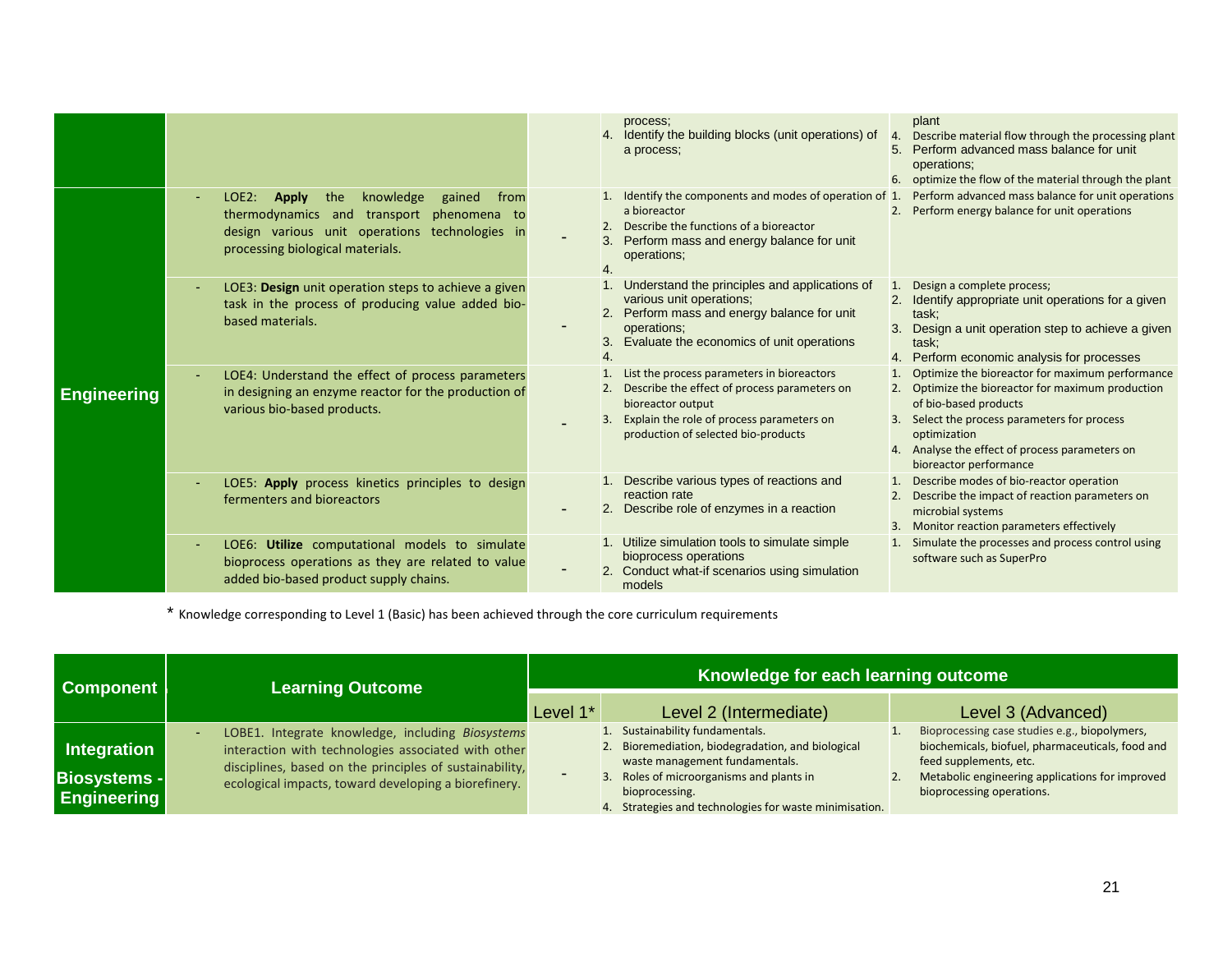|                    |                                                                                                                                                                                                               |                            | process;<br>4. Identify the building blocks (unit operations) of<br>a process;                                                                                                                      | 4.<br>5.<br>6. | plant<br>Describe material flow through the processing plant<br>Perform advanced mass balance for unit<br>operations;<br>optimize the flow of the material through the plant                                                                                        |
|--------------------|---------------------------------------------------------------------------------------------------------------------------------------------------------------------------------------------------------------|----------------------------|-----------------------------------------------------------------------------------------------------------------------------------------------------------------------------------------------------|----------------|---------------------------------------------------------------------------------------------------------------------------------------------------------------------------------------------------------------------------------------------------------------------|
|                    | knowledge<br>$LOE2$ :<br>gained<br>from<br>the<br><b>Apply</b><br>ч.<br>thermodynamics and<br>phenomena to<br>transport<br>design various unit operations technologies in<br>processing biological materials. | 2.<br>4                    | Identify the components and modes of operation of 1<br>a bioreactor<br>Describe the functions of a bioreactor<br>Perform mass and energy balance for unit<br>operations;                            |                | Perform advanced mass balance for unit operations<br>Perform energy balance for unit operations                                                                                                                                                                     |
|                    | LOE3: Design unit operation steps to achieve a given<br>ч.<br>task in the process of producing value added bio-<br>based materials.                                                                           | 2.<br>3.<br>$\overline{4}$ | Understand the principles and applications of<br>various unit operations;<br>Perform mass and energy balance for unit<br>operations;<br>Evaluate the economics of unit operations                   | 4.             | Design a complete process;<br>Identify appropriate unit operations for a given<br>task;<br>Design a unit operation step to achieve a given<br>task;<br>Perform economic analysis for processes                                                                      |
| <b>Engineering</b> | LOE4: Understand the effect of process parameters<br>in designing an enzyme reactor for the production of<br>various bio-based products.                                                                      |                            | List the process parameters in bioreactors<br>Describe the effect of process parameters on<br>bioreactor output<br>Explain the role of process parameters on<br>production of selected bio-products | 2.             | Optimize the bioreactor for maximum performance<br>Optimize the bioreactor for maximum production<br>of bio-based products<br>Select the process parameters for process<br>optimization<br>4. Analyse the effect of process parameters on<br>bioreactor performance |
|                    | LOE5: Apply process kinetics principles to design<br>fermenters and bioreactors                                                                                                                               |                            | Describe various types of reactions and<br>reaction rate<br>Describe role of enzymes in a reaction                                                                                                  |                | Describe modes of bio-reactor operation<br>Describe the impact of reaction parameters on<br>microbial systems<br>Monitor reaction parameters effectively                                                                                                            |
|                    | LOE6: Utilize computational models to simulate<br>bioprocess operations as they are related to value<br>added bio-based product supply chains.                                                                |                            | 1. Utilize simulation tools to simulate simple<br>bioprocess operations<br>2. Conduct what-if scenarios using simulation<br>models                                                                  |                | Simulate the processes and process control using<br>software such as SuperPro                                                                                                                                                                                       |

| <b>Component</b>                                         | <b>Learning Outcome</b>                                                                                                                                                                                                    | Knowledge for each learning outcome |                                                                                                                                                                                                                                                |                                                                                                                                                                                                             |  |  |
|----------------------------------------------------------|----------------------------------------------------------------------------------------------------------------------------------------------------------------------------------------------------------------------------|-------------------------------------|------------------------------------------------------------------------------------------------------------------------------------------------------------------------------------------------------------------------------------------------|-------------------------------------------------------------------------------------------------------------------------------------------------------------------------------------------------------------|--|--|
|                                                          |                                                                                                                                                                                                                            | Level 1*                            | Level 2 (Intermediate)                                                                                                                                                                                                                         | Level 3 (Advanced)                                                                                                                                                                                          |  |  |
| Integration<br><b>Biosystems -</b><br><b>Engineering</b> | LOBE1. Integrate knowledge, including Biosystems<br>interaction with technologies associated with other<br>disciplines, based on the principles of sustainability,<br>ecological impacts, toward developing a biorefinery. |                                     | 1. Sustainability fundamentals.<br>2. Bioremediation, biodegradation, and biological<br>waste management fundamentals.<br>3. Roles of microorganisms and plants in<br>bioprocessing.<br>4. Strategies and technologies for waste minimisation. | Bioprocessing case studies e.g., biopolymers,<br>biochemicals, biofuel, pharmaceuticals, food and<br>feed supplements, etc.<br>Metabolic engineering applications for improved<br>bioprocessing operations. |  |  |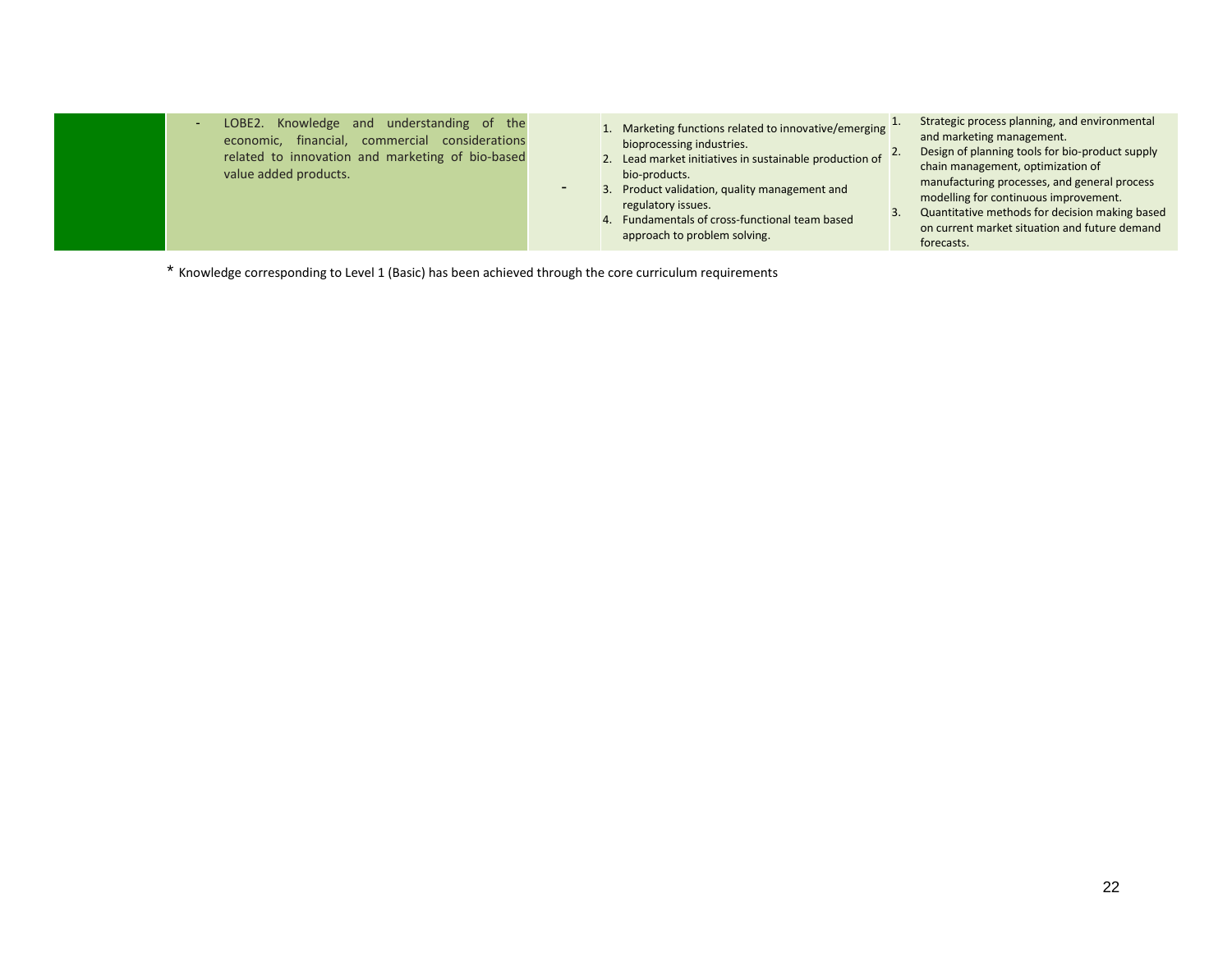|--|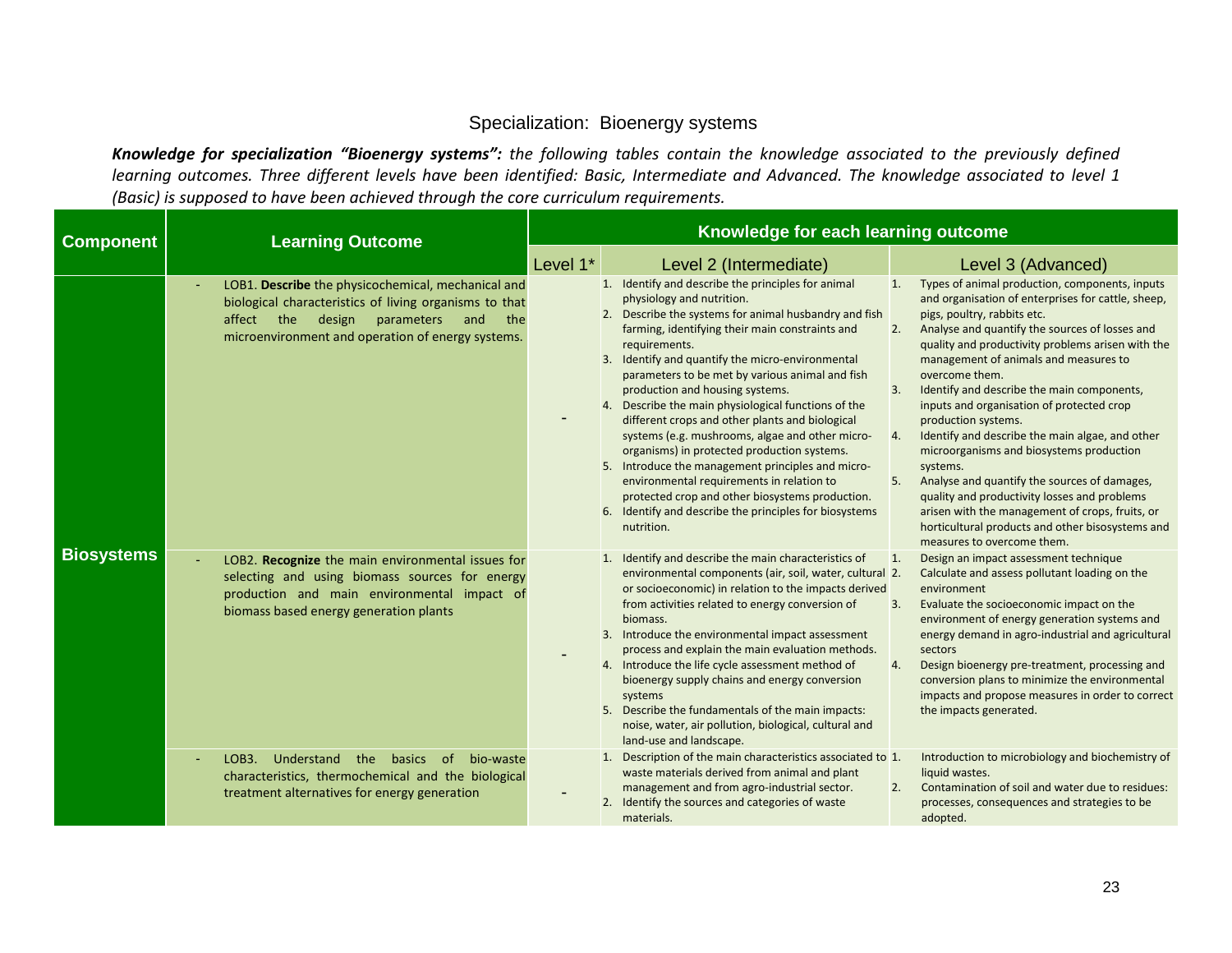## Specialization: Bioenergy systems

*Knowledge for specialization "Bioenergy systems": the following tables contain the knowledge associated to the previously defined learning outcomes. Three different levels have been identified: Basic, Intermediate and Advanced. The knowledge associated to level 1 (Basic) is supposed to have been achieved through the core curriculum requirements.* 

| <b>Component</b>  | <b>Learning Outcome</b>                                                                                                                                                                                                                             | Knowledge for each learning outcome |                                                                                                                                                                                                                                                                                                                                                                                                                                                                                                                                                                                                                                                                                                                                                                                                 |                            |                                                                                                                                                                                                                                                                                                                                                                                                                                                                                                                                                                                                                                                                                                                                                                         |
|-------------------|-----------------------------------------------------------------------------------------------------------------------------------------------------------------------------------------------------------------------------------------------------|-------------------------------------|-------------------------------------------------------------------------------------------------------------------------------------------------------------------------------------------------------------------------------------------------------------------------------------------------------------------------------------------------------------------------------------------------------------------------------------------------------------------------------------------------------------------------------------------------------------------------------------------------------------------------------------------------------------------------------------------------------------------------------------------------------------------------------------------------|----------------------------|-------------------------------------------------------------------------------------------------------------------------------------------------------------------------------------------------------------------------------------------------------------------------------------------------------------------------------------------------------------------------------------------------------------------------------------------------------------------------------------------------------------------------------------------------------------------------------------------------------------------------------------------------------------------------------------------------------------------------------------------------------------------------|
|                   |                                                                                                                                                                                                                                                     | Level 1*                            | Level 2 (Intermediate)                                                                                                                                                                                                                                                                                                                                                                                                                                                                                                                                                                                                                                                                                                                                                                          |                            | Level 3 (Advanced)                                                                                                                                                                                                                                                                                                                                                                                                                                                                                                                                                                                                                                                                                                                                                      |
|                   | LOB1. Describe the physicochemical, mechanical and<br>biological characteristics of living organisms to that<br>affect the<br>design<br>parameters<br>and<br>the<br>microenvironment and operation of energy systems.                               |                                     | 1. Identify and describe the principles for animal<br>physiology and nutrition.<br>2. Describe the systems for animal husbandry and fish<br>farming, identifying their main constraints and<br>requirements.<br>3. Identify and quantify the micro-environmental<br>parameters to be met by various animal and fish<br>production and housing systems.<br>4. Describe the main physiological functions of the<br>different crops and other plants and biological<br>systems (e.g. mushrooms, algae and other micro-<br>organisms) in protected production systems.<br>5. Introduce the management principles and micro-<br>environmental requirements in relation to<br>protected crop and other biosystems production.<br>6. Identify and describe the principles for biosystems<br>nutrition. | 1.<br>2.<br>3.<br>4.<br>5. | Types of animal production, components, inputs<br>and organisation of enterprises for cattle, sheep,<br>pigs, poultry, rabbits etc.<br>Analyse and quantify the sources of losses and<br>quality and productivity problems arisen with the<br>management of animals and measures to<br>overcome them.<br>Identify and describe the main components,<br>inputs and organisation of protected crop<br>production systems.<br>Identify and describe the main algae, and other<br>microorganisms and biosystems production<br>systems.<br>Analyse and quantify the sources of damages,<br>quality and productivity losses and problems<br>arisen with the management of crops, fruits, or<br>horticultural products and other bisosystems and<br>measures to overcome them. |
| <b>Biosystems</b> | LOB2. Recognize the main environmental issues for<br>selecting and using biomass sources for energy<br>production and main environmental impact of<br>biomass based energy generation plants<br>Understand the basics<br>bio-waste<br>LOB3.<br>of . |                                     | 1. Identify and describe the main characteristics of<br>environmental components (air, soil, water, cultural 2.<br>or socioeconomic) in relation to the impacts derived<br>from activities related to energy conversion of<br>biomass.<br>3. Introduce the environmental impact assessment<br>process and explain the main evaluation methods.<br>4. Introduce the life cycle assessment method of<br>bioenergy supply chains and energy conversion<br>systems<br>5. Describe the fundamentals of the main impacts:<br>noise, water, air pollution, biological, cultural and<br>land-use and landscape.<br>1. Description of the main characteristics associated to 1.<br>waste materials derived from animal and plant                                                                         | 1.<br>3.<br>4.             | Design an impact assessment technique<br>Calculate and assess pollutant loading on the<br>environment<br>Evaluate the socioeconomic impact on the<br>environment of energy generation systems and<br>energy demand in agro-industrial and agricultural<br>sectors<br>Design bioenergy pre-treatment, processing and<br>conversion plans to minimize the environmental<br>impacts and propose measures in order to correct<br>the impacts generated.<br>Introduction to microbiology and biochemistry of<br>liquid wastes.                                                                                                                                                                                                                                               |
|                   | characteristics, thermochemical and the biological<br>treatment alternatives for energy generation                                                                                                                                                  |                                     | management and from agro-industrial sector.<br>2. Identify the sources and categories of waste<br>materials.                                                                                                                                                                                                                                                                                                                                                                                                                                                                                                                                                                                                                                                                                    | 2.                         | Contamination of soil and water due to residues:<br>processes, consequences and strategies to be<br>adopted.                                                                                                                                                                                                                                                                                                                                                                                                                                                                                                                                                                                                                                                            |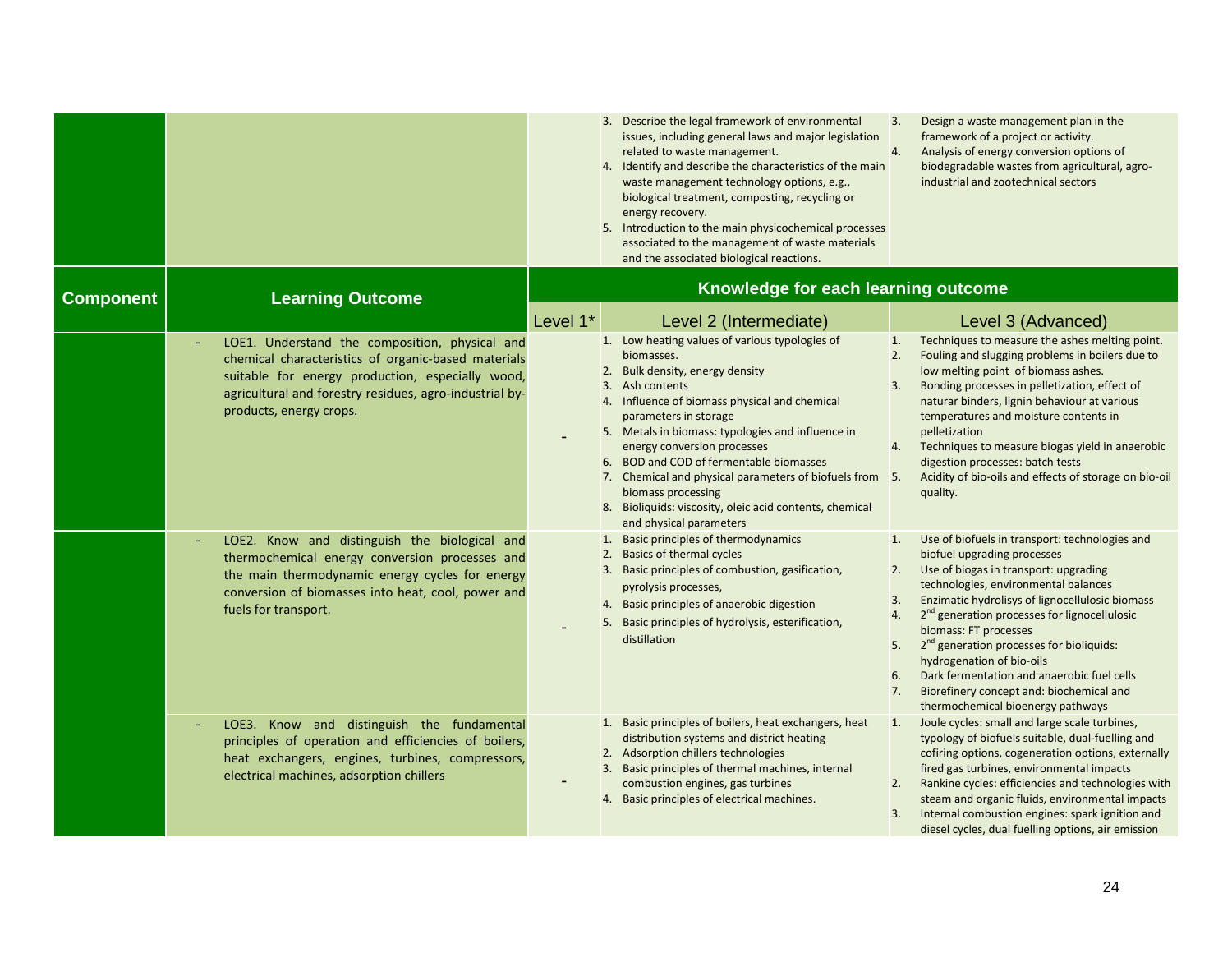|                  |                                                                                                                                                                                                                                                 | 3. Describe the legal framework of environmental<br>issues, including general laws and major legislation<br>related to waste management.<br>4. Identify and describe the characteristics of the main<br>waste management technology options, e.g.,<br>biological treatment, composting, recycling or<br>energy recovery.<br>5. Introduction to the main physicochemical processes<br>associated to the management of waste materials<br>and the associated biological reactions.                         | Design a waste management plan in the<br>3.<br>framework of a project or activity.<br>4.<br>Analysis of energy conversion options of<br>biodegradable wastes from agricultural, agro-<br>industrial and zootechnical sectors                                                                                                                                                                                                                                                                                                                                         |
|------------------|-------------------------------------------------------------------------------------------------------------------------------------------------------------------------------------------------------------------------------------------------|----------------------------------------------------------------------------------------------------------------------------------------------------------------------------------------------------------------------------------------------------------------------------------------------------------------------------------------------------------------------------------------------------------------------------------------------------------------------------------------------------------|----------------------------------------------------------------------------------------------------------------------------------------------------------------------------------------------------------------------------------------------------------------------------------------------------------------------------------------------------------------------------------------------------------------------------------------------------------------------------------------------------------------------------------------------------------------------|
| <b>Component</b> | <b>Learning Outcome</b>                                                                                                                                                                                                                         | Knowledge for each learning outcome                                                                                                                                                                                                                                                                                                                                                                                                                                                                      |                                                                                                                                                                                                                                                                                                                                                                                                                                                                                                                                                                      |
|                  |                                                                                                                                                                                                                                                 | Level 1*<br>Level 2 (Intermediate)                                                                                                                                                                                                                                                                                                                                                                                                                                                                       | Level 3 (Advanced)                                                                                                                                                                                                                                                                                                                                                                                                                                                                                                                                                   |
|                  | LOE1. Understand the composition, physical and<br>chemical characteristics of organic-based materials<br>suitable for energy production, especially wood,<br>agricultural and forestry residues, agro-industrial by-<br>products, energy crops. | 1. Low heating values of various typologies of<br>biomasses.<br>Bulk density, energy density<br>2.<br>3. Ash contents<br>4. Influence of biomass physical and chemical<br>parameters in storage<br>5. Metals in biomass: typologies and influence in<br>energy conversion processes<br>6. BOD and COD of fermentable biomasses<br>7. Chemical and physical parameters of biofuels from 5.<br>biomass processing<br>Bioliquids: viscosity, oleic acid contents, chemical<br>8.<br>and physical parameters | Techniques to measure the ashes melting point.<br>1.<br>Fouling and slugging problems in boilers due to<br>2.<br>low melting point of biomass ashes.<br>Bonding processes in pelletization, effect of<br>3.<br>naturar binders, lignin behaviour at various<br>temperatures and moisture contents in<br>pelletization<br>Techniques to measure biogas yield in anaerobic<br>4.<br>digestion processes: batch tests<br>Acidity of bio-oils and effects of storage on bio-oil<br>quality.                                                                              |
|                  | LOE2. Know and distinguish the biological and<br>thermochemical energy conversion processes and<br>the main thermodynamic energy cycles for energy<br>conversion of biomasses into heat, cool, power and<br>fuels for transport.                | 1. Basic principles of thermodynamics<br>2. Basics of thermal cycles<br>3. Basic principles of combustion, gasification,<br>pyrolysis processes,<br>4. Basic principles of anaerobic digestion<br>Basic principles of hydrolysis, esterification,<br>5.<br>distillation                                                                                                                                                                                                                                  | Use of biofuels in transport: technologies and<br>1.<br>biofuel upgrading processes<br>Use of biogas in transport: upgrading<br>2.<br>technologies, environmental balances<br>Enzimatic hydrolisys of lignocellulosic biomass<br>3.<br>2 <sup>nd</sup> generation processes for lignocellulosic<br>4.<br>biomass: FT processes<br>2 <sup>nd</sup> generation processes for bioliquids:<br>5.<br>hydrogenation of bio-oils<br>Dark fermentation and anaerobic fuel cells<br>6.<br>Biorefinery concept and: biochemical and<br>7.<br>thermochemical bioenergy pathways |
|                  | LOE3. Know and distinguish the fundamental<br>principles of operation and efficiencies of boilers,<br>heat exchangers, engines, turbines, compressors,<br>electrical machines, adsorption chillers                                              | 1. Basic principles of boilers, heat exchangers, heat<br>distribution systems and district heating<br>2. Adsorption chillers technologies<br>3. Basic principles of thermal machines, internal<br>combustion engines, gas turbines<br>4. Basic principles of electrical machines.                                                                                                                                                                                                                        | Joule cycles: small and large scale turbines,<br>1.<br>typology of biofuels suitable, dual-fuelling and<br>cofiring options, cogeneration options, externally<br>fired gas turbines, environmental impacts<br>2.<br>Rankine cycles: efficiencies and technologies with<br>steam and organic fluids, environmental impacts<br>Internal combustion engines: spark ignition and<br>3.<br>diesel cycles, dual fuelling options, air emission                                                                                                                             |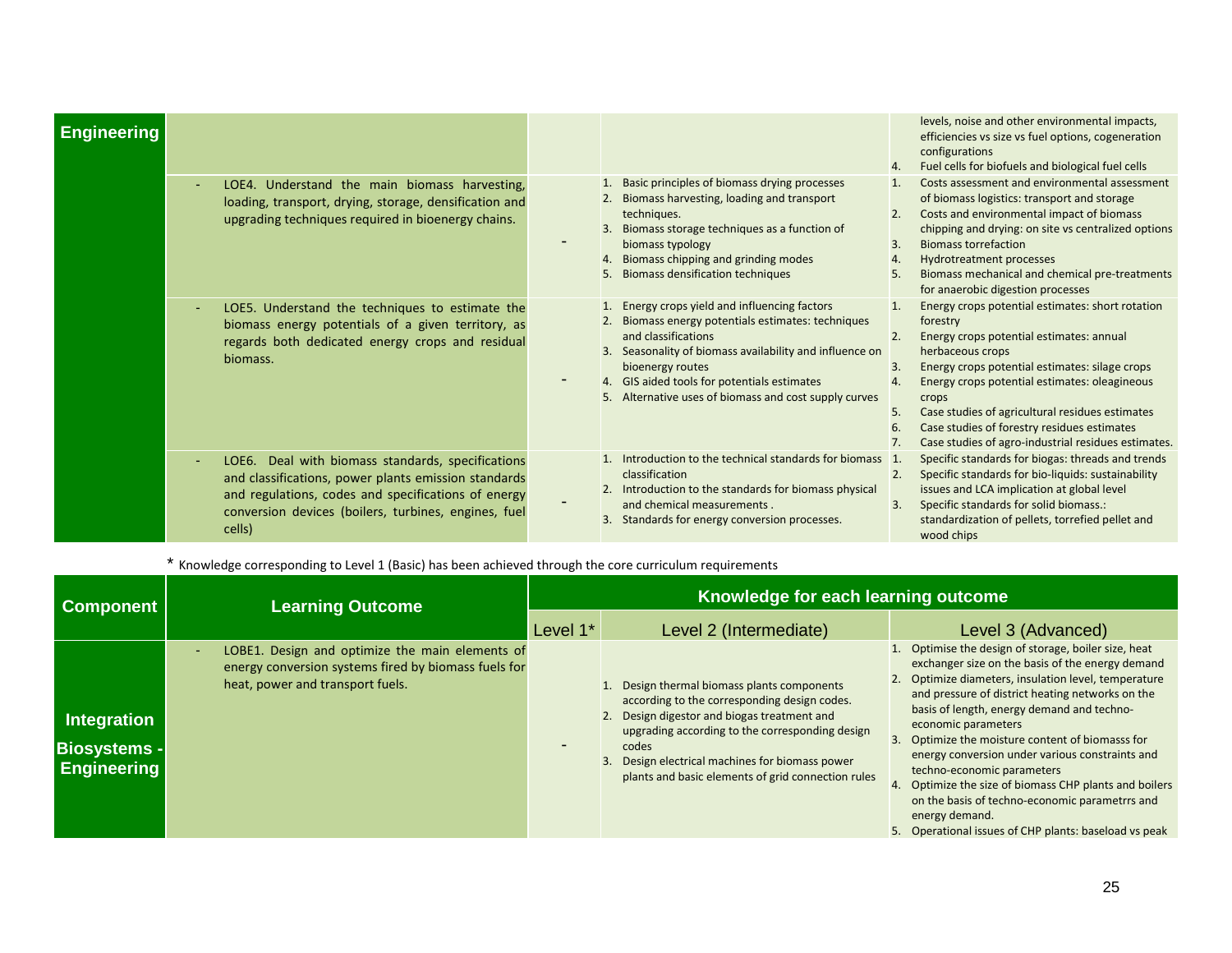| <b>Engineering</b> | LOE4. Understand the main biomass harvesting,<br>loading, transport, drying, storage, densification and<br>upgrading techniques required in bioenergy chains.                                                                           | 4. | Basic principles of biomass drying processes<br>Biomass harvesting, loading and transport<br>techniques.<br>Biomass storage techniques as a function of<br>biomass typology<br>Biomass chipping and grinding modes<br>Biomass densification techniques                                                | 4.<br>2.<br>$\overline{3}$<br>4.<br>5     | levels, noise and other environmental impacts,<br>efficiencies vs size vs fuel options, cogeneration<br>configurations<br>Fuel cells for biofuels and biological fuel cells<br>Costs assessment and environmental assessment<br>of biomass logistics: transport and storage<br>Costs and environmental impact of biomass<br>chipping and drying: on site vs centralized options<br><b>Biomass torrefaction</b><br>Hydrotreatment processes<br>Biomass mechanical and chemical pre-treatments |
|--------------------|-----------------------------------------------------------------------------------------------------------------------------------------------------------------------------------------------------------------------------------------|----|-------------------------------------------------------------------------------------------------------------------------------------------------------------------------------------------------------------------------------------------------------------------------------------------------------|-------------------------------------------|----------------------------------------------------------------------------------------------------------------------------------------------------------------------------------------------------------------------------------------------------------------------------------------------------------------------------------------------------------------------------------------------------------------------------------------------------------------------------------------------|
|                    | LOE5. Understand the techniques to estimate the<br>biomass energy potentials of a given territory, as<br>regards both dedicated energy crops and residual<br>biomass.                                                                   | 3. | Energy crops yield and influencing factors<br>Biomass energy potentials estimates: techniques<br>and classifications<br>Seasonality of biomass availability and influence on<br>bioenergy routes<br>4. GIS aided tools for potentials estimates<br>Alternative uses of biomass and cost supply curves | $\overline{2}$ .<br>$\overline{3}$ .<br>5 | for anaerobic digestion processes<br>Energy crops potential estimates: short rotation<br>forestry<br>Energy crops potential estimates: annual<br>herbaceous crops<br>Energy crops potential estimates: silage crops<br>Energy crops potential estimates: oleagineous<br>crops<br>Case studies of agricultural residues estimates<br>Case studies of forestry residues estimates<br>Case studies of agro-industrial residues estimates.                                                       |
|                    | LOE6. Deal with biomass standards, specifications<br>٠<br>and classifications, power plants emission standards<br>and regulations, codes and specifications of energy<br>conversion devices (boilers, turbines, engines, fuel<br>cells) | 2. | Introduction to the technical standards for biomass<br>classification<br>Introduction to the standards for biomass physical<br>and chemical measurements.<br>Standards for energy conversion processes.                                                                                               | 2.<br>$\overline{3}$ .                    | Specific standards for biogas: threads and trends<br>Specific standards for bio-liquids: sustainability<br>issues and LCA implication at global level<br>Specific standards for solid biomass.:<br>standardization of pellets, torrefied pellet and<br>wood chips                                                                                                                                                                                                                            |

| <b>Component</b>                                                | <b>Learning Outcome</b>                                                                                                                     | Knowledge for each learning outcome |                                                                                                                                                                                                                                                                                                                 |                                                                                                                                                                                                                                                                                                                                                                                                                                                                                                                                                                                                                       |  |  |
|-----------------------------------------------------------------|---------------------------------------------------------------------------------------------------------------------------------------------|-------------------------------------|-----------------------------------------------------------------------------------------------------------------------------------------------------------------------------------------------------------------------------------------------------------------------------------------------------------------|-----------------------------------------------------------------------------------------------------------------------------------------------------------------------------------------------------------------------------------------------------------------------------------------------------------------------------------------------------------------------------------------------------------------------------------------------------------------------------------------------------------------------------------------------------------------------------------------------------------------------|--|--|
|                                                                 |                                                                                                                                             | Level 1*                            | Level 2 (Intermediate)                                                                                                                                                                                                                                                                                          | Level 3 (Advanced)                                                                                                                                                                                                                                                                                                                                                                                                                                                                                                                                                                                                    |  |  |
| <b>Integration</b><br><b>Biosystems -</b><br><b>Engineering</b> | LOBE1. Design and optimize the main elements of<br>energy conversion systems fired by biomass fuels for<br>heat, power and transport fuels. |                                     | 1. Design thermal biomass plants components<br>according to the corresponding design codes.<br>2. Design digestor and biogas treatment and<br>upgrading according to the corresponding design<br>codes<br>3. Design electrical machines for biomass power<br>plants and basic elements of grid connection rules | 1. Optimise the design of storage, boiler size, heat<br>exchanger size on the basis of the energy demand<br>2. Optimize diameters, insulation level, temperature<br>and pressure of district heating networks on the<br>basis of length, energy demand and techno-<br>economic parameters<br>3. Optimize the moisture content of biomasss for<br>energy conversion under various constraints and<br>techno-economic parameters<br>4. Optimize the size of biomass CHP plants and boilers<br>on the basis of techno-economic parametrrs and<br>energy demand.<br>5. Operational issues of CHP plants: baseload vs peak |  |  |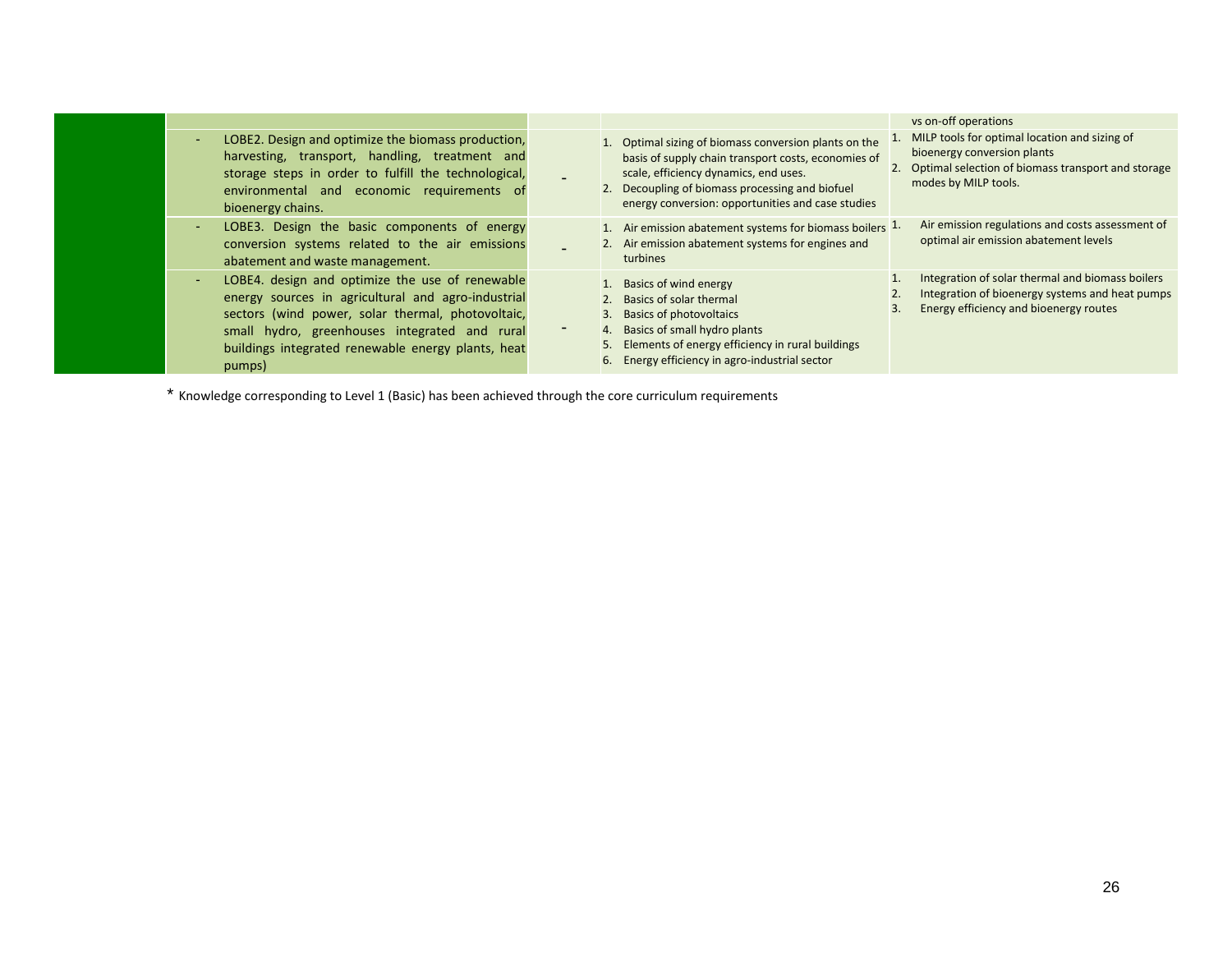|                                                                                                                                                                                                                                                                             |                                                                                                                                                                                                                                                            | vs on-off operations                                                                                                                                       |
|-----------------------------------------------------------------------------------------------------------------------------------------------------------------------------------------------------------------------------------------------------------------------------|------------------------------------------------------------------------------------------------------------------------------------------------------------------------------------------------------------------------------------------------------------|------------------------------------------------------------------------------------------------------------------------------------------------------------|
| LOBE2. Design and optimize the biomass production,<br>harvesting, transport, handling, treatment and<br>storage steps in order to fulfill the technological,<br>environmental and economic requirements of<br>bioenergy chains.                                             | 1. Optimal sizing of biomass conversion plants on the<br>basis of supply chain transport costs, economies of<br>scale, efficiency dynamics, end uses.<br>Decoupling of biomass processing and biofuel<br>energy conversion: opportunities and case studies | MILP tools for optimal location and sizing of<br>bioenergy conversion plants<br>Optimal selection of biomass transport and storage<br>modes by MILP tools. |
| LOBE3. Design the basic components of energy<br>conversion systems related to the air emissions<br>abatement and waste management.                                                                                                                                          | Air emission abatement systems for biomass boilers $1$ .<br>2. Air emission abatement systems for engines and<br>turbines                                                                                                                                  | Air emission regulations and costs assessment of<br>optimal air emission abatement levels                                                                  |
| LOBE4. design and optimize the use of renewable<br>energy sources in agricultural and agro-industrial<br>sectors (wind power, solar thermal, photovoltaic,<br>small hydro, greenhouses integrated and rural<br>buildings integrated renewable energy plants, heat<br>pumps) | Basics of wind energy<br>2. Basics of solar thermal<br>Basics of photovoltaics<br>3.<br>Basics of small hydro plants<br>4.<br>Elements of energy efficiency in rural buildings<br>Energy efficiency in agro-industrial sector                              | Integration of solar thermal and biomass boilers<br>Integration of bioenergy systems and heat pumps<br>Energy efficiency and bioenergy routes              |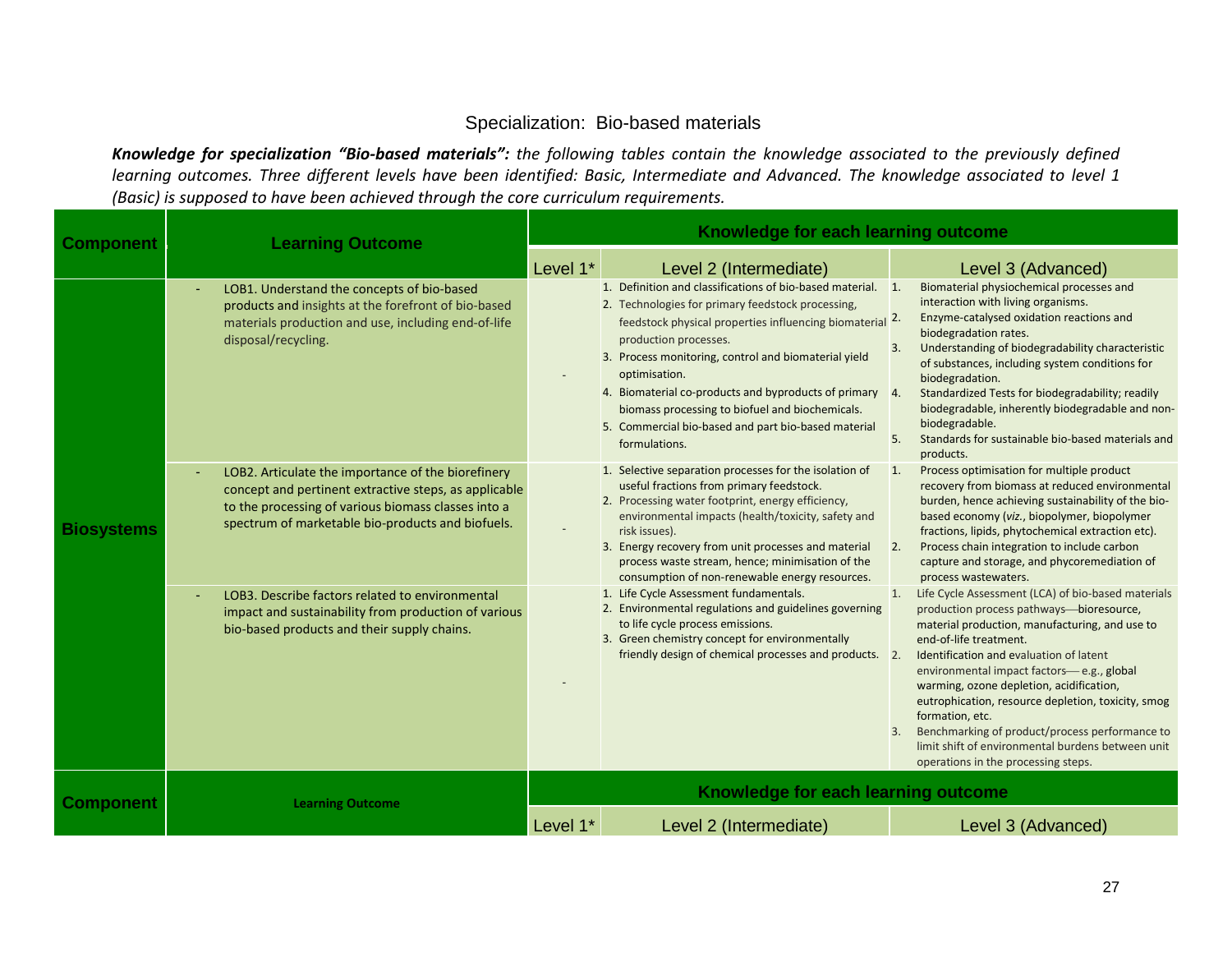## Specialization: Bio-based materials

*Knowledge for specialization "Bio-based materials": the following tables contain the knowledge associated to the previously defined learning outcomes. Three different levels have been identified: Basic, Intermediate and Advanced. The knowledge associated to level 1 (Basic) is supposed to have been achieved through the core curriculum requirements.* 

| <b>Component</b>  | <b>Learning Outcome</b>                                                                                                                                                                                                 | Knowledge for each learning outcome |                                                                                                                                                                                                                                                                                                                                                                                                                                                                   |                            |                                                                                                                                                                                                                                                                                                                                                                                                                                                                                                                                       |  |
|-------------------|-------------------------------------------------------------------------------------------------------------------------------------------------------------------------------------------------------------------------|-------------------------------------|-------------------------------------------------------------------------------------------------------------------------------------------------------------------------------------------------------------------------------------------------------------------------------------------------------------------------------------------------------------------------------------------------------------------------------------------------------------------|----------------------------|---------------------------------------------------------------------------------------------------------------------------------------------------------------------------------------------------------------------------------------------------------------------------------------------------------------------------------------------------------------------------------------------------------------------------------------------------------------------------------------------------------------------------------------|--|
|                   |                                                                                                                                                                                                                         | Level 1*                            | Level 2 (Intermediate)                                                                                                                                                                                                                                                                                                                                                                                                                                            |                            | Level 3 (Advanced)                                                                                                                                                                                                                                                                                                                                                                                                                                                                                                                    |  |
|                   | LOB1. Understand the concepts of bio-based<br>products and insights at the forefront of bio-based<br>materials production and use, including end-of-life<br>disposal/recycling.                                         |                                     | 1. Definition and classifications of bio-based material. 1.<br>2. Technologies for primary feedstock processing,<br>feedstock physical properties influencing biomaterial<br>production processes.<br>3. Process monitoring, control and biomaterial yield<br>optimisation.<br>4. Biomaterial co-products and byproducts of primary 4.<br>biomass processing to biofuel and biochemicals.<br>5. Commercial bio-based and part bio-based material<br>formulations. | $\overline{2}$<br>3.<br>5. | Biomaterial physiochemical processes and<br>interaction with living organisms.<br>Enzyme-catalysed oxidation reactions and<br>biodegradation rates.<br>Understanding of biodegradability characteristic<br>of substances, including system conditions for<br>biodegradation.<br>Standardized Tests for biodegradability; readily<br>biodegradable, inherently biodegradable and non-<br>biodegradable.<br>Standards for sustainable bio-based materials and<br>products.                                                              |  |
| <b>Biosystems</b> | LOB2. Articulate the importance of the biorefinery<br>concept and pertinent extractive steps, as applicable<br>to the processing of various biomass classes into a<br>spectrum of marketable bio-products and biofuels. |                                     | 1. Selective separation processes for the isolation of<br>useful fractions from primary feedstock.<br>2. Processing water footprint, energy efficiency,<br>environmental impacts (health/toxicity, safety and<br>risk issues).<br>3. Energy recovery from unit processes and material<br>process waste stream, hence; minimisation of the<br>consumption of non-renewable energy resources.                                                                       | 1.<br>2.                   | Process optimisation for multiple product<br>recovery from biomass at reduced environmental<br>burden, hence achieving sustainability of the bio-<br>based economy (viz., biopolymer, biopolymer<br>fractions, lipids, phytochemical extraction etc).<br>Process chain integration to include carbon<br>capture and storage, and phycoremediation of<br>process wastewaters.                                                                                                                                                          |  |
|                   | LOB3. Describe factors related to environmental<br>impact and sustainability from production of various<br>bio-based products and their supply chains.                                                                  |                                     | 1. Life Cycle Assessment fundamentals.<br>2. Environmental regulations and guidelines governing<br>to life cycle process emissions.<br>3. Green chemistry concept for environmentally<br>friendly design of chemical processes and products. 2.                                                                                                                                                                                                                   | 1.<br>3.                   | Life Cycle Assessment (LCA) of bio-based materials<br>production process pathways-bioresource,<br>material production, manufacturing, and use to<br>end-of-life treatment.<br>Identification and evaluation of latent<br>environmental impact factors-e.g., global<br>warming, ozone depletion, acidification,<br>eutrophication, resource depletion, toxicity, smog<br>formation, etc.<br>Benchmarking of product/process performance to<br>limit shift of environmental burdens between unit<br>operations in the processing steps. |  |
| <b>Component</b>  | <b>Learning Outcome</b>                                                                                                                                                                                                 | Knowledge for each learning outcome |                                                                                                                                                                                                                                                                                                                                                                                                                                                                   |                            |                                                                                                                                                                                                                                                                                                                                                                                                                                                                                                                                       |  |
|                   |                                                                                                                                                                                                                         | Level 1*                            | Level 2 (Intermediate)                                                                                                                                                                                                                                                                                                                                                                                                                                            |                            | Level 3 (Advanced)                                                                                                                                                                                                                                                                                                                                                                                                                                                                                                                    |  |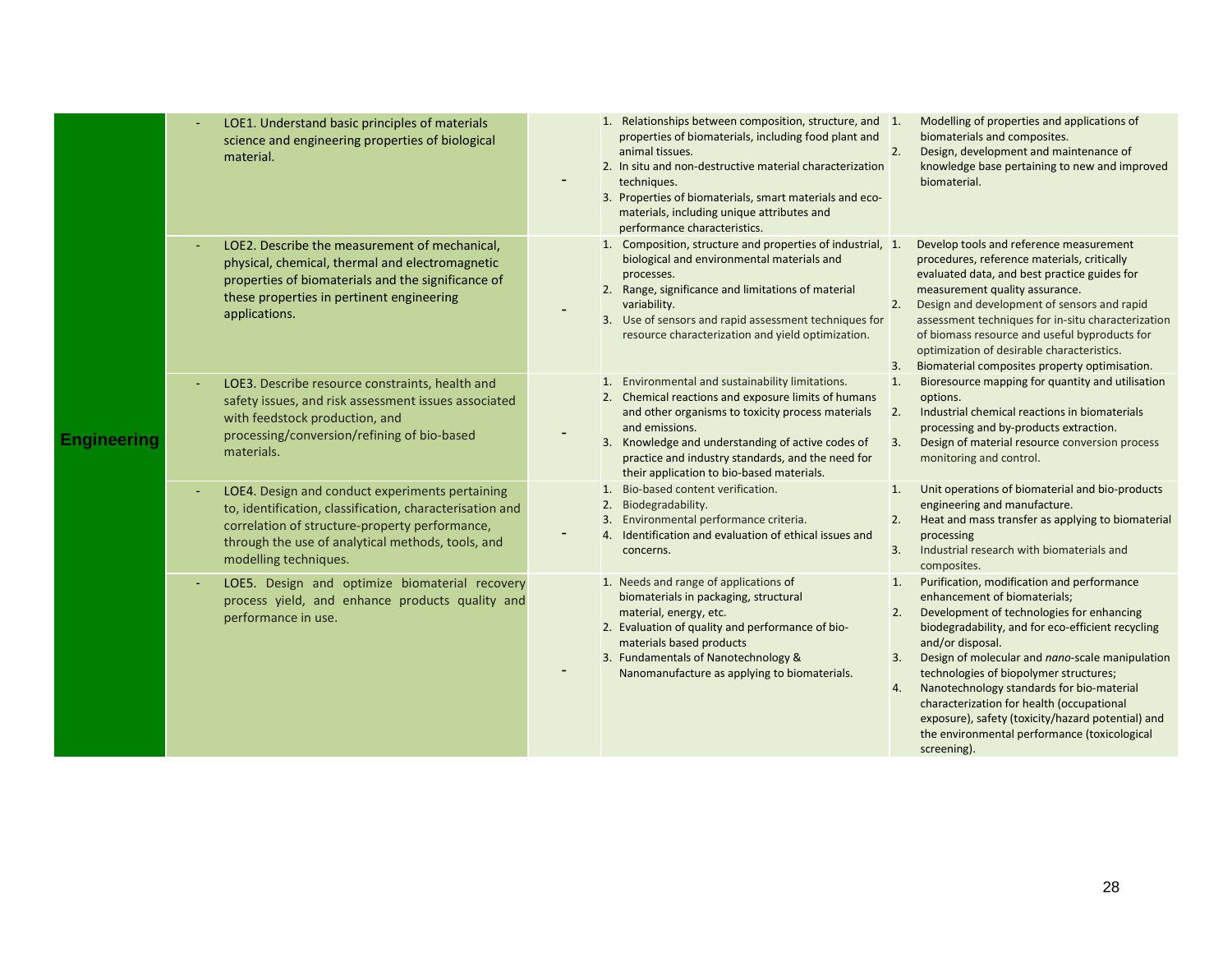|                    | LOE1. Understand basic principles of materials<br>science and engineering properties of biological<br>material.                                                                                                                             | 1. Relationships between composition, structure, and 1.<br>properties of biomaterials, including food plant and<br>animal tissues.<br>2. In situ and non-destructive material characterization<br>techniques.<br>3. Properties of biomaterials, smart materials and eco-<br>materials, including unique attributes and<br>performance characteristics. | Modelling of properties and applications of<br>biomaterials and composites.<br>2.<br>Design, development and maintenance of<br>knowledge base pertaining to new and improved<br>biomaterial.                                                                                                                                                                                                                                                                                                                                        |
|--------------------|---------------------------------------------------------------------------------------------------------------------------------------------------------------------------------------------------------------------------------------------|--------------------------------------------------------------------------------------------------------------------------------------------------------------------------------------------------------------------------------------------------------------------------------------------------------------------------------------------------------|-------------------------------------------------------------------------------------------------------------------------------------------------------------------------------------------------------------------------------------------------------------------------------------------------------------------------------------------------------------------------------------------------------------------------------------------------------------------------------------------------------------------------------------|
| <b>Engineering</b> | LOE2. Describe the measurement of mechanical,<br>physical, chemical, thermal and electromagnetic<br>properties of biomaterials and the significance of<br>these properties in pertinent engineering<br>applications.                        | 1. Composition, structure and properties of industrial, 1.<br>biological and environmental materials and<br>processes.<br>2. Range, significance and limitations of material<br>variability.<br>3. Use of sensors and rapid assessment techniques for<br>resource characterization and yield optimization.                                             | Develop tools and reference measurement<br>procedures, reference materials, critically<br>evaluated data, and best practice guides for<br>measurement quality assurance.<br>2. Design and development of sensors and rapid<br>assessment techniques for in-situ characterization<br>of biomass resource and useful byproducts for<br>optimization of desirable characteristics.<br>Biomaterial composites property optimisation.<br>3.                                                                                              |
|                    | LOE3. Describe resource constraints, health and<br>safety issues, and risk assessment issues associated<br>with feedstock production, and<br>processing/conversion/refining of bio-based<br>materials.                                      | 1. Environmental and sustainability limitations.<br>2. Chemical reactions and exposure limits of humans<br>and other organisms to toxicity process materials<br>and emissions.<br>3. Knowledge and understanding of active codes of<br>practice and industry standards, and the need for<br>their application to bio-based materials.                  | Bioresource mapping for quantity and utilisation<br>1.<br>options.<br>2.<br>Industrial chemical reactions in biomaterials<br>processing and by-products extraction.<br>3.<br>Design of material resource conversion process<br>monitoring and control.                                                                                                                                                                                                                                                                              |
|                    | LOE4. Design and conduct experiments pertaining<br>to, identification, classification, characterisation and<br>correlation of structure-property performance,<br>through the use of analytical methods, tools, and<br>modelling techniques. | Bio-based content verification.<br>1.<br>2. Biodegradability.<br>Environmental performance criteria.<br>3.<br>4. Identification and evaluation of ethical issues and<br>concerns.                                                                                                                                                                      | Unit operations of biomaterial and bio-products<br>1.<br>engineering and manufacture.<br>Heat and mass transfer as applying to biomaterial<br>2.<br>processing<br>3.<br>Industrial research with biomaterials and<br>composites.                                                                                                                                                                                                                                                                                                    |
|                    | LOE5. Design and optimize biomaterial recovery<br>process yield, and enhance products quality and<br>performance in use.                                                                                                                    | 1. Needs and range of applications of<br>biomaterials in packaging, structural<br>material, energy, etc.<br>2. Evaluation of quality and performance of bio-<br>materials based products<br>3. Fundamentals of Nanotechnology &<br>Nanomanufacture as applying to biomaterials.                                                                        | Purification, modification and performance<br>1.<br>enhancement of biomaterials;<br>Development of technologies for enhancing<br>2.<br>biodegradability, and for eco-efficient recycling<br>and/or disposal.<br>Design of molecular and nano-scale manipulation<br>3.<br>technologies of biopolymer structures;<br>Nanotechnology standards for bio-material<br>4.<br>characterization for health (occupational<br>exposure), safety (toxicity/hazard potential) and<br>the environmental performance (toxicological<br>screening). |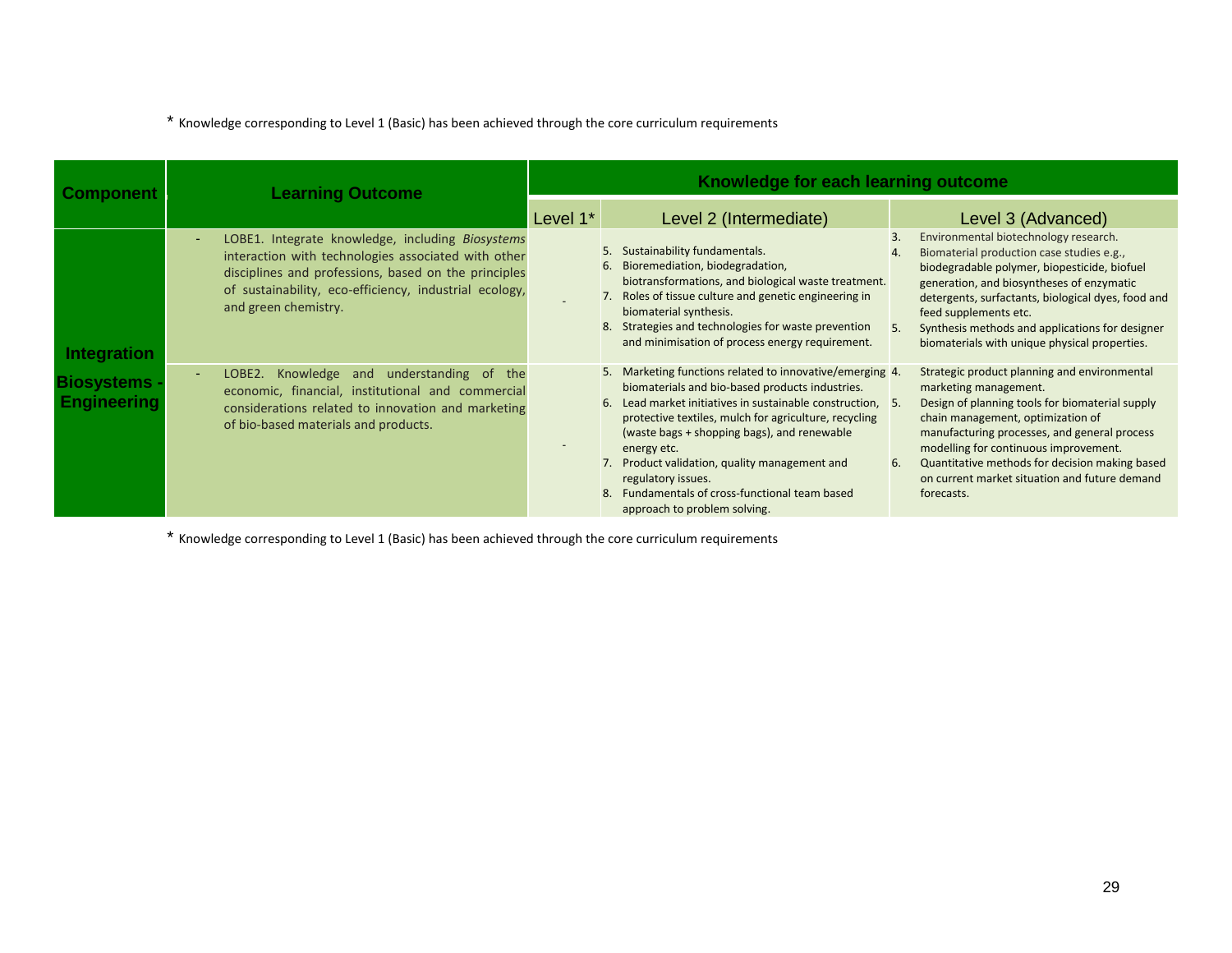| <b>Learning Outcome</b><br><b>Component</b> |                                                                                                                                                                                                                                                        |          | Knowledge for each learning outcome                                                                                                                                                                                                                                                                                                                                                                                                                   |    |                                                                                                                                                                                                                                                                                                                                                                         |  |
|---------------------------------------------|--------------------------------------------------------------------------------------------------------------------------------------------------------------------------------------------------------------------------------------------------------|----------|-------------------------------------------------------------------------------------------------------------------------------------------------------------------------------------------------------------------------------------------------------------------------------------------------------------------------------------------------------------------------------------------------------------------------------------------------------|----|-------------------------------------------------------------------------------------------------------------------------------------------------------------------------------------------------------------------------------------------------------------------------------------------------------------------------------------------------------------------------|--|
|                                             |                                                                                                                                                                                                                                                        | Level 1* | Level 2 (Intermediate)                                                                                                                                                                                                                                                                                                                                                                                                                                |    | Level 3 (Advanced)                                                                                                                                                                                                                                                                                                                                                      |  |
| <b>Integration</b>                          | LOBE1. Integrate knowledge, including Biosystems<br>٠<br>interaction with technologies associated with other<br>disciplines and professions, based on the principles<br>of sustainability, eco-efficiency, industrial ecology,<br>and green chemistry. |          | Sustainability fundamentals.<br>Bioremediation, biodegradation,<br>biotransformations, and biological waste treatment.<br>Roles of tissue culture and genetic engineering in<br>biomaterial synthesis.<br>Strategies and technologies for waste prevention<br>and minimisation of process energy requirement.                                                                                                                                         | 5. | Environmental biotechnology research.<br>Biomaterial production case studies e.g.,<br>biodegradable polymer, biopesticide, biofuel<br>generation, and biosyntheses of enzymatic<br>detergents, surfactants, biological dyes, food and<br>feed supplements etc.<br>Synthesis methods and applications for designer<br>biomaterials with unique physical properties.      |  |
| <b>Biosystems</b><br><b>Engineering</b>     | Knowledge and understanding of the<br>LOBE2.<br>٠<br>economic, financial, institutional and commercial<br>considerations related to innovation and marketing<br>of bio-based materials and products.                                                   |          | Marketing functions related to innovative/emerging 4.<br>biomaterials and bio-based products industries.<br>Lead market initiatives in sustainable construction, 5.<br>6<br>protective textiles, mulch for agriculture, recycling<br>(waste bags + shopping bags), and renewable<br>energy etc.<br>7. Product validation, quality management and<br>regulatory issues.<br>Fundamentals of cross-functional team based<br>approach to problem solving. | 6. | Strategic product planning and environmental<br>marketing management.<br>Design of planning tools for biomaterial supply<br>chain management, optimization of<br>manufacturing processes, and general process<br>modelling for continuous improvement.<br>Quantitative methods for decision making based<br>on current market situation and future demand<br>forecasts. |  |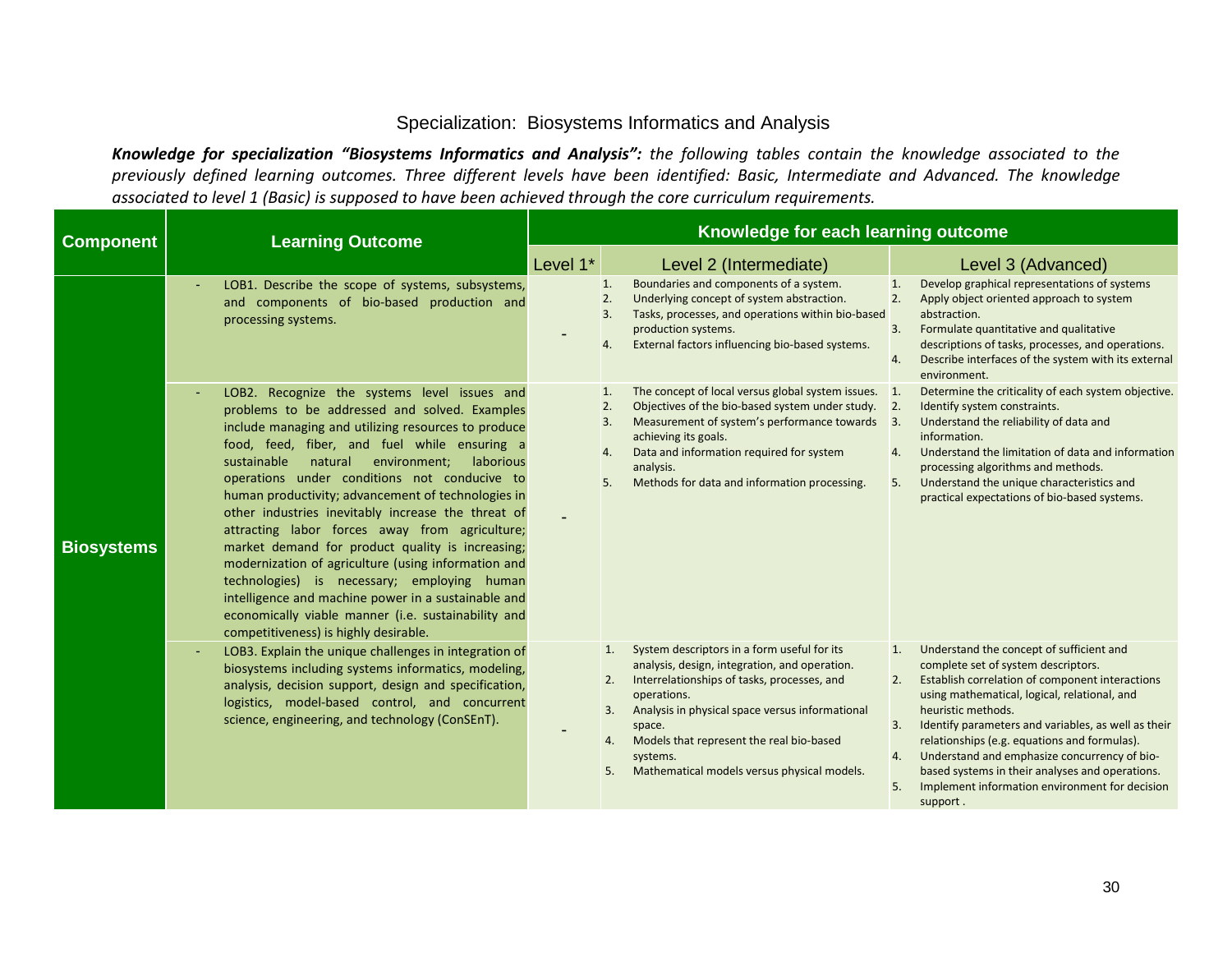## Specialization: Biosystems Informatics and Analysis

*Knowledge for specialization "Biosystems Informatics and Analysis": the following tables contain the knowledge associated to the previously defined learning outcomes. Three different levels have been identified: Basic, Intermediate and Advanced. The knowledge associated to level 1 (Basic) is supposed to have been achieved through the core curriculum requirements.* 

| <b>Component</b>  | <b>Learning Outcome</b>                                                                                                                                                                                                                                                                                                                                                                                                                                                                                                                                                                                                                                                                                                                                                                 | Knowledge for each learning outcome |                                                                                                                                                                                                                                                                                                                                                               |                                                                                                                                                                                                                                                                                                                                                                                                                                                                                                                |  |  |
|-------------------|-----------------------------------------------------------------------------------------------------------------------------------------------------------------------------------------------------------------------------------------------------------------------------------------------------------------------------------------------------------------------------------------------------------------------------------------------------------------------------------------------------------------------------------------------------------------------------------------------------------------------------------------------------------------------------------------------------------------------------------------------------------------------------------------|-------------------------------------|---------------------------------------------------------------------------------------------------------------------------------------------------------------------------------------------------------------------------------------------------------------------------------------------------------------------------------------------------------------|----------------------------------------------------------------------------------------------------------------------------------------------------------------------------------------------------------------------------------------------------------------------------------------------------------------------------------------------------------------------------------------------------------------------------------------------------------------------------------------------------------------|--|--|
|                   |                                                                                                                                                                                                                                                                                                                                                                                                                                                                                                                                                                                                                                                                                                                                                                                         | Level 1*                            | Level 2 (Intermediate)                                                                                                                                                                                                                                                                                                                                        | Level 3 (Advanced)                                                                                                                                                                                                                                                                                                                                                                                                                                                                                             |  |  |
|                   | LOB1. Describe the scope of systems, subsystems,<br>÷,<br>and components of bio-based production and<br>processing systems.                                                                                                                                                                                                                                                                                                                                                                                                                                                                                                                                                                                                                                                             |                                     | Boundaries and components of a system.<br>1.<br>2.<br>Underlying concept of system abstraction.<br>3.<br>Tasks, processes, and operations within bio-based<br>production systems.<br>External factors influencing bio-based systems.<br>4.                                                                                                                    | Develop graphical representations of systems<br>1.<br>Apply object oriented approach to system<br>2.<br>abstraction.<br>3.<br>Formulate quantitative and qualitative<br>descriptions of tasks, processes, and operations.<br>Describe interfaces of the system with its external<br>4.<br>environment.                                                                                                                                                                                                         |  |  |
| <b>Biosystems</b> | LOB2. Recognize the systems level issues and<br>problems to be addressed and solved. Examples<br>include managing and utilizing resources to produce<br>food, feed, fiber, and fuel while ensuring a<br>sustainable<br>natural environment;<br>laborious<br>operations under conditions not conducive to<br>human productivity; advancement of technologies in<br>other industries inevitably increase the threat of<br>attracting labor forces away from agriculture;<br>market demand for product quality is increasing;<br>modernization of agriculture (using information and<br>technologies) is necessary; employing human<br>intelligence and machine power in a sustainable and<br>economically viable manner (i.e. sustainability and<br>competitiveness) is highly desirable. |                                     | The concept of local versus global system issues. 1.<br>1.<br>2.<br>Objectives of the bio-based system under study. 2.<br>3.<br>Measurement of system's performance towards 3.<br>achieving its goals.<br>Data and information required for system<br>4.<br>analysis.<br>5.<br>Methods for data and information processing.                                   | Determine the criticality of each system objective.<br>Identify system constraints.<br>Understand the reliability of data and<br>information.<br>Understand the limitation of data and information<br>4.<br>processing algorithms and methods.<br>Understand the unique characteristics and<br>5.<br>practical expectations of bio-based systems.                                                                                                                                                              |  |  |
|                   | LOB3. Explain the unique challenges in integration of<br>biosystems including systems informatics, modeling,<br>analysis, decision support, design and specification,<br>logistics, model-based control, and concurrent<br>science, engineering, and technology (ConSEnT).                                                                                                                                                                                                                                                                                                                                                                                                                                                                                                              |                                     | System descriptors in a form useful for its<br>1.<br>analysis, design, integration, and operation.<br>Interrelationships of tasks, processes, and<br>2.<br>operations.<br>Analysis in physical space versus informational<br>3.<br>space.<br>Models that represent the real bio-based<br>4.<br>systems.<br>Mathematical models versus physical models.<br>-5. | Understand the concept of sufficient and<br>1.<br>complete set of system descriptors.<br>Establish correlation of component interactions<br>2.<br>using mathematical, logical, relational, and<br>heuristic methods.<br>Identify parameters and variables, as well as their<br>3.<br>relationships (e.g. equations and formulas).<br>Understand and emphasize concurrency of bio-<br>4.<br>based systems in their analyses and operations.<br>Implement information environment for decision<br>5.<br>support. |  |  |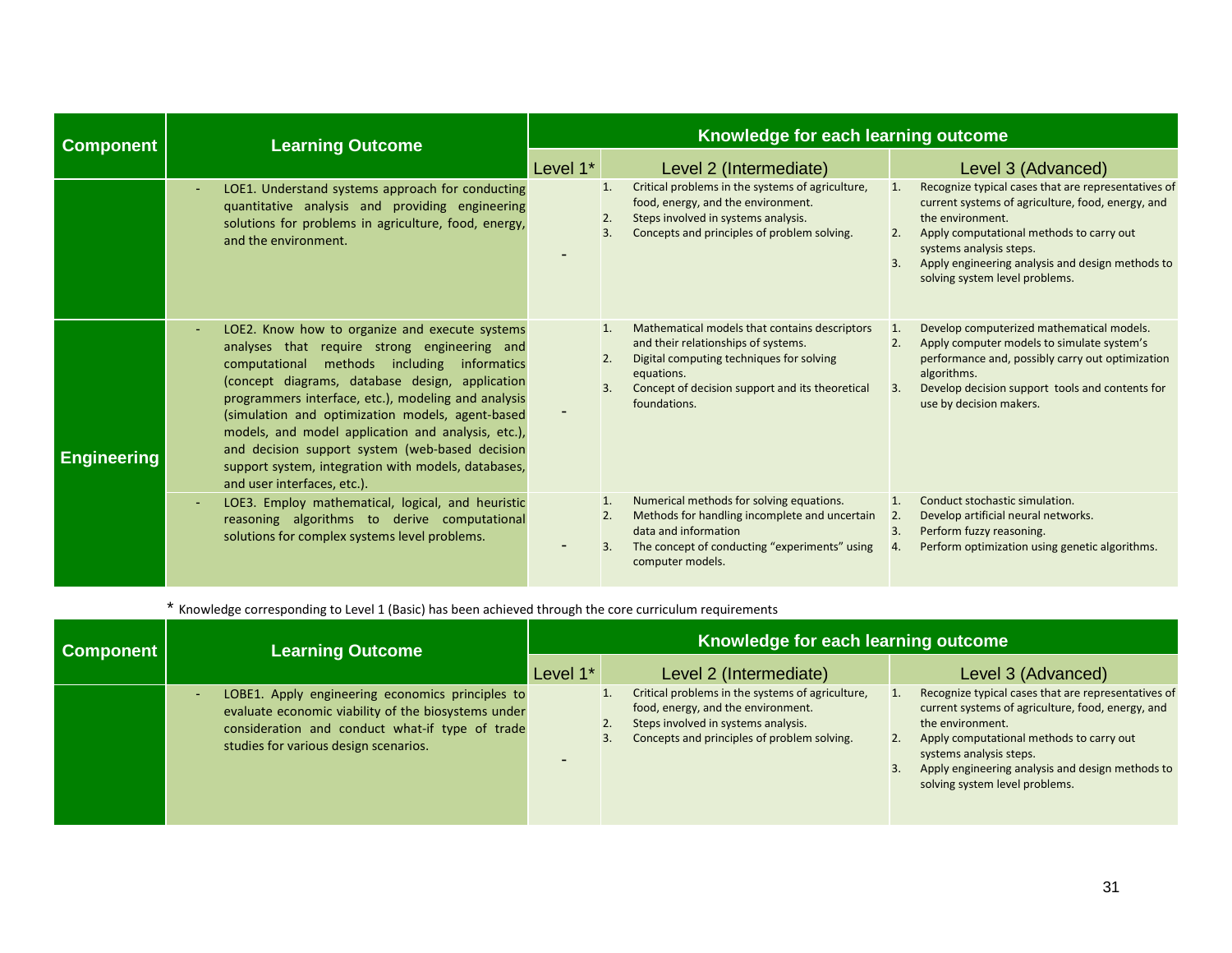| <b>Component</b>   | <b>Learning Outcome</b>                                                                                                                                                                                                                                                                                                                                                                                                                                                                                            | Knowledge for each learning outcome |                                                                                                                                                                                                                                        |                                    |                                                                                                                                                                                                                                                                                           |  |
|--------------------|--------------------------------------------------------------------------------------------------------------------------------------------------------------------------------------------------------------------------------------------------------------------------------------------------------------------------------------------------------------------------------------------------------------------------------------------------------------------------------------------------------------------|-------------------------------------|----------------------------------------------------------------------------------------------------------------------------------------------------------------------------------------------------------------------------------------|------------------------------------|-------------------------------------------------------------------------------------------------------------------------------------------------------------------------------------------------------------------------------------------------------------------------------------------|--|
|                    |                                                                                                                                                                                                                                                                                                                                                                                                                                                                                                                    | Level 1*                            | Level 2 (Intermediate)                                                                                                                                                                                                                 |                                    | Level 3 (Advanced)                                                                                                                                                                                                                                                                        |  |
|                    | LOE1. Understand systems approach for conducting<br>٠<br>quantitative analysis and providing engineering<br>solutions for problems in agriculture, food, energy,<br>and the environment.                                                                                                                                                                                                                                                                                                                           |                                     | Critical problems in the systems of agriculture,<br>$\mathbf{1}$<br>food, energy, and the environment.<br>Steps involved in systems analysis.<br>$\overline{2}$<br>$\overline{3}$<br>Concepts and principles of problem solving.       | 2.<br>3                            | Recognize typical cases that are representatives of<br>current systems of agriculture, food, energy, and<br>the environment.<br>Apply computational methods to carry out<br>systems analysis steps.<br>Apply engineering analysis and design methods to<br>solving system level problems. |  |
| <b>Engineering</b> | LOE2. Know how to organize and execute systems<br>٠<br>analyses that require strong engineering and<br>methods including informatics<br>computational<br>(concept diagrams, database design, application<br>programmers interface, etc.), modeling and analysis<br>(simulation and optimization models, agent-based<br>models, and model application and analysis, etc.),<br>and decision support system (web-based decision<br>support system, integration with models, databases,<br>and user interfaces, etc.). |                                     | Mathematical models that contains descriptors<br>$\mathbf{1}$<br>and their relationships of systems.<br>Digital computing techniques for solving<br>2<br>equations.<br>Concept of decision support and its theoretical<br>foundations. | $\mathbf{1}$ .<br>2.<br>3.         | Develop computerized mathematical models.<br>Apply computer models to simulate system's<br>performance and, possibly carry out optimization<br>algorithms.<br>Develop decision support tools and contents for<br>use by decision makers.                                                  |  |
|                    | LOE3. Employ mathematical, logical, and heuristic<br>٠<br>reasoning algorithms to derive computational<br>solutions for complex systems level problems.                                                                                                                                                                                                                                                                                                                                                            |                                     | Numerical methods for solving equations.<br>$\mathbf{1}$<br>Methods for handling incomplete and uncertain<br>2.<br>data and information<br>The concept of conducting "experiments" using<br>3.<br>computer models.                     | 1.<br>2.<br>$\overline{3}$ .<br>4. | Conduct stochastic simulation.<br>Develop artificial neural networks.<br>Perform fuzzy reasoning.<br>Perform optimization using genetic algorithms.                                                                                                                                       |  |

| Component | <b>Learning Outcome</b>                                                                                                                                                                             | Knowledge for each learning outcome |                                                                                                                                                                              |                                                                                                                                                                                                                                                                                                 |  |  |
|-----------|-----------------------------------------------------------------------------------------------------------------------------------------------------------------------------------------------------|-------------------------------------|------------------------------------------------------------------------------------------------------------------------------------------------------------------------------|-------------------------------------------------------------------------------------------------------------------------------------------------------------------------------------------------------------------------------------------------------------------------------------------------|--|--|
|           |                                                                                                                                                                                                     | Level 1*                            | Level 2 (Intermediate)                                                                                                                                                       | Level 3 (Advanced)                                                                                                                                                                                                                                                                              |  |  |
|           | LOBE1. Apply engineering economics principles to<br>evaluate economic viability of the biosystems under<br>consideration and conduct what-if type of trade<br>studies for various design scenarios. |                                     | Critical problems in the systems of agriculture,<br>food, energy, and the environment.<br>Steps involved in systems analysis.<br>Concepts and principles of problem solving. | Recognize typical cases that are representatives of<br>current systems of agriculture, food, energy, and<br>the environment.<br>Apply computational methods to carry out<br>systems analysis steps.<br>Apply engineering analysis and design methods to<br>3.<br>solving system level problems. |  |  |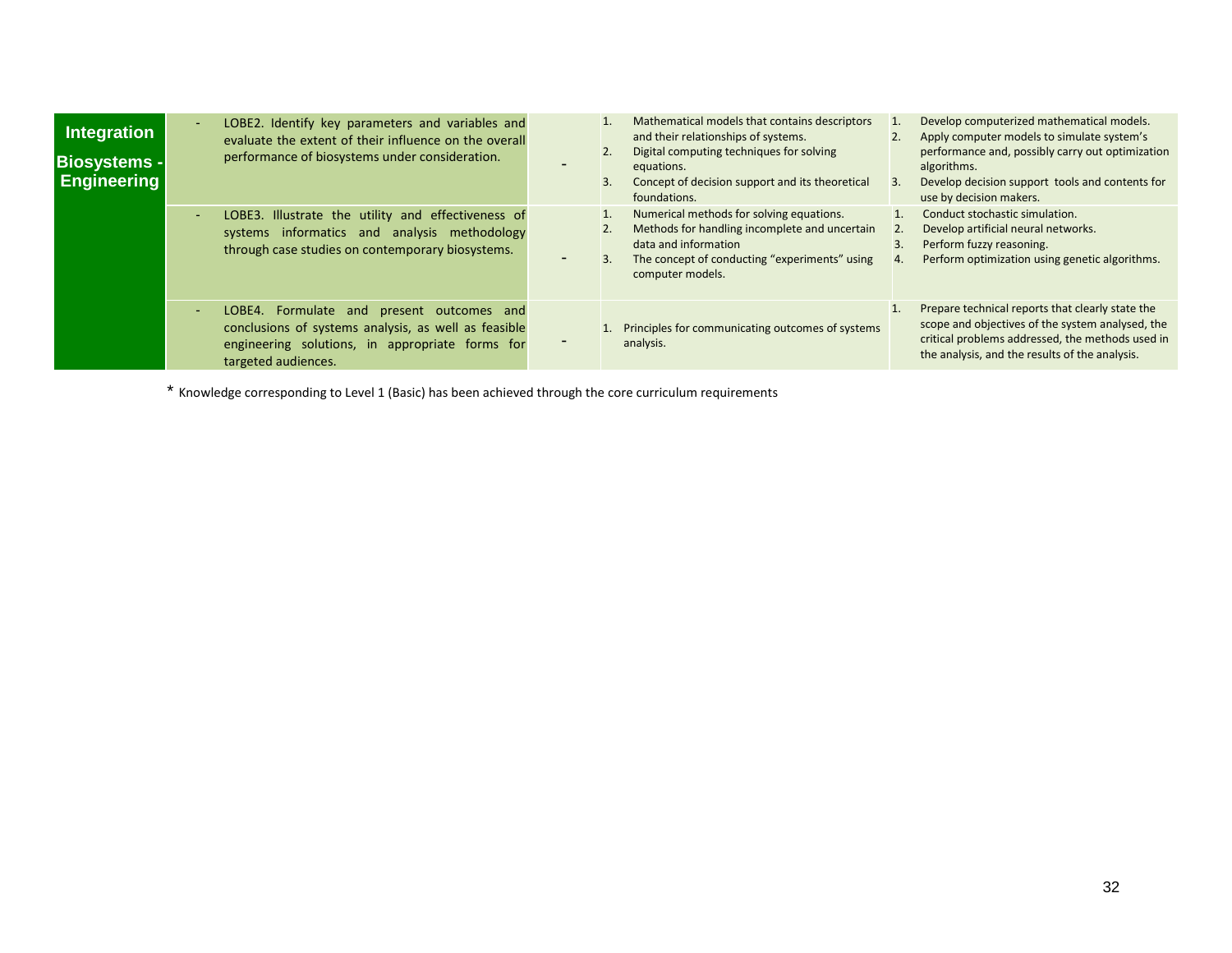| Integration<br><b>Biosystems -</b><br><b>Engineering</b> | LOBE2. Identify key parameters and variables and<br>$\overline{\phantom{a}}$<br>evaluate the extent of their influence on the overall<br>performance of biosystems under consideration. |                          | Mathematical models that contains descriptors<br>and their relationships of systems.<br>Digital computing techniques for solving<br>equations.<br>Concept of decision support and its theoretical<br>foundations. | 2.<br>3.       | Develop computerized mathematical models.<br>Apply computer models to simulate system's<br>performance and, possibly carry out optimization<br>algorithms.<br>Develop decision support tools and contents for<br>use by decision makers. |
|----------------------------------------------------------|-----------------------------------------------------------------------------------------------------------------------------------------------------------------------------------------|--------------------------|-------------------------------------------------------------------------------------------------------------------------------------------------------------------------------------------------------------------|----------------|------------------------------------------------------------------------------------------------------------------------------------------------------------------------------------------------------------------------------------------|
|                                                          | LOBE3. Illustrate the utility and effectiveness of<br>systems informatics and analysis methodology<br>through case studies on contemporary biosystems.                                  |                          | Numerical methods for solving equations.<br>Methods for handling incomplete and uncertain<br>data and information<br>The concept of conducting "experiments" using<br>computer models.                            | 2.<br>3.<br>4. | Conduct stochastic simulation.<br>Develop artificial neural networks.<br>Perform fuzzy reasoning.<br>Perform optimization using genetic algorithms.                                                                                      |
|                                                          | LOBE4. Formulate and present outcomes and<br>conclusions of systems analysis, as well as feasible<br>engineering solutions, in appropriate forms for<br>targeted audiences.             | $\overline{\phantom{0}}$ | Principles for communicating outcomes of systems<br>analysis.                                                                                                                                                     |                | Prepare technical reports that clearly state the<br>scope and objectives of the system analysed, the<br>critical problems addressed, the methods used in<br>the analysis, and the results of the analysis.                               |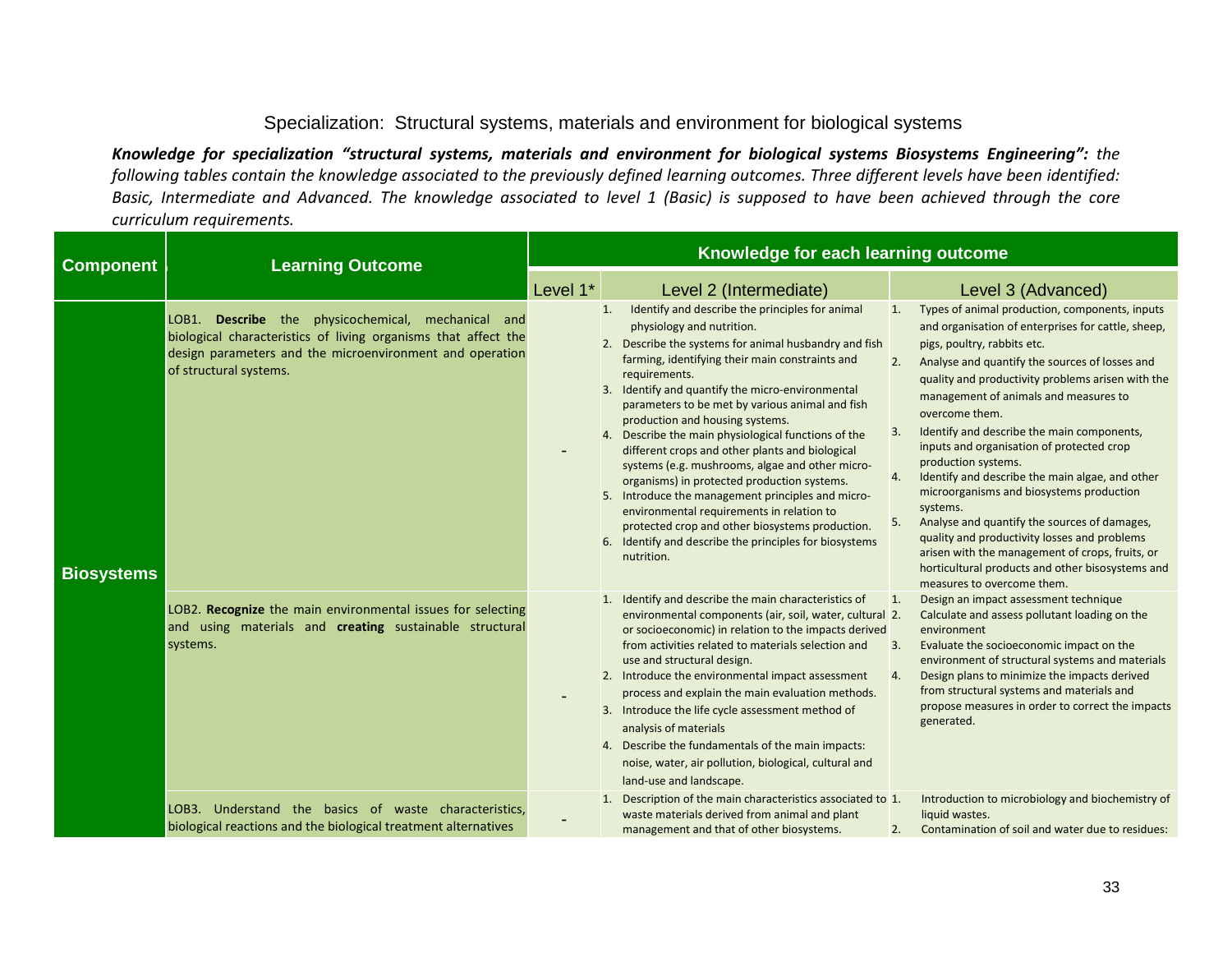## Specialization: Structural systems, materials and environment for biological systems

*Knowledge for specialization "structural systems, materials and environment for biological systems Biosystems Engineering": the following tables contain the knowledge associated to the previously defined learning outcomes. Three different levels have been identified: Basic, Intermediate and Advanced. The knowledge associated to level 1 (Basic) is supposed to have been achieved through the core curriculum requirements.* 

| <b>Component</b>  | <b>Learning Outcome</b>                                                                                                                                                                                    | Knowledge for each learning outcome |                                                                                                                                                                                                                                                                                                                                                                                                                                                                                                                                                                                                                                                                                                                                                                                                       |                                        |                                                                                                                                                                                                                                                                                                                                                                                                                                                                                                                                                                                                                                                                                                                                                                         |
|-------------------|------------------------------------------------------------------------------------------------------------------------------------------------------------------------------------------------------------|-------------------------------------|-------------------------------------------------------------------------------------------------------------------------------------------------------------------------------------------------------------------------------------------------------------------------------------------------------------------------------------------------------------------------------------------------------------------------------------------------------------------------------------------------------------------------------------------------------------------------------------------------------------------------------------------------------------------------------------------------------------------------------------------------------------------------------------------------------|----------------------------------------|-------------------------------------------------------------------------------------------------------------------------------------------------------------------------------------------------------------------------------------------------------------------------------------------------------------------------------------------------------------------------------------------------------------------------------------------------------------------------------------------------------------------------------------------------------------------------------------------------------------------------------------------------------------------------------------------------------------------------------------------------------------------------|
|                   |                                                                                                                                                                                                            | Level 1*                            | Level 2 (Intermediate)                                                                                                                                                                                                                                                                                                                                                                                                                                                                                                                                                                                                                                                                                                                                                                                |                                        | Level 3 (Advanced)                                                                                                                                                                                                                                                                                                                                                                                                                                                                                                                                                                                                                                                                                                                                                      |
| <b>Biosystems</b> | LOB1. Describe the physicochemical, mechanical and<br>biological characteristics of living organisms that affect the<br>design parameters and the microenvironment and operation<br>of structural systems. |                                     | Identify and describe the principles for animal<br>1.<br>physiology and nutrition.<br>2. Describe the systems for animal husbandry and fish<br>farming, identifying their main constraints and<br>requirements.<br>Identify and quantify the micro-environmental<br>3.<br>parameters to be met by various animal and fish<br>production and housing systems.<br>4. Describe the main physiological functions of the<br>different crops and other plants and biological<br>systems (e.g. mushrooms, algae and other micro-<br>organisms) in protected production systems.<br>5. Introduce the management principles and micro-<br>environmental requirements in relation to<br>protected crop and other biosystems production.<br>6. Identify and describe the principles for biosystems<br>nutrition. | $\mathbf{1}$ .<br>2.<br>3.<br>4.<br>5. | Types of animal production, components, inputs<br>and organisation of enterprises for cattle, sheep,<br>pigs, poultry, rabbits etc.<br>Analyse and quantify the sources of losses and<br>quality and productivity problems arisen with the<br>management of animals and measures to<br>overcome them.<br>Identify and describe the main components,<br>inputs and organisation of protected crop<br>production systems.<br>Identify and describe the main algae, and other<br>microorganisms and biosystems production<br>systems.<br>Analyse and quantify the sources of damages,<br>quality and productivity losses and problems<br>arisen with the management of crops, fruits, or<br>horticultural products and other bisosystems and<br>measures to overcome them. |
|                   | LOB2. Recognize the main environmental issues for selecting<br>and using materials and creating sustainable structural<br>systems.                                                                         |                                     | 1. Identify and describe the main characteristics of<br>environmental components (air, soil, water, cultural 2.<br>or socioeconomic) in relation to the impacts derived<br>from activities related to materials selection and<br>use and structural design.<br>2. Introduce the environmental impact assessment<br>process and explain the main evaluation methods.<br>3. Introduce the life cycle assessment method of<br>analysis of materials<br>4. Describe the fundamentals of the main impacts:<br>noise, water, air pollution, biological, cultural and<br>land-use and landscape.                                                                                                                                                                                                             | 1.<br>3.<br>4.                         | Design an impact assessment technique<br>Calculate and assess pollutant loading on the<br>environment<br>Evaluate the socioeconomic impact on the<br>environment of structural systems and materials<br>Design plans to minimize the impacts derived<br>from structural systems and materials and<br>propose measures in order to correct the impacts<br>generated.                                                                                                                                                                                                                                                                                                                                                                                                     |
|                   | LOB3. Understand the basics of waste characteristics,<br>biological reactions and the biological treatment alternatives                                                                                    |                                     | Description of the main characteristics associated to 1.<br>1.<br>waste materials derived from animal and plant<br>management and that of other biosystems.                                                                                                                                                                                                                                                                                                                                                                                                                                                                                                                                                                                                                                           | 2.                                     | Introduction to microbiology and biochemistry of<br>liquid wastes.<br>Contamination of soil and water due to residues:                                                                                                                                                                                                                                                                                                                                                                                                                                                                                                                                                                                                                                                  |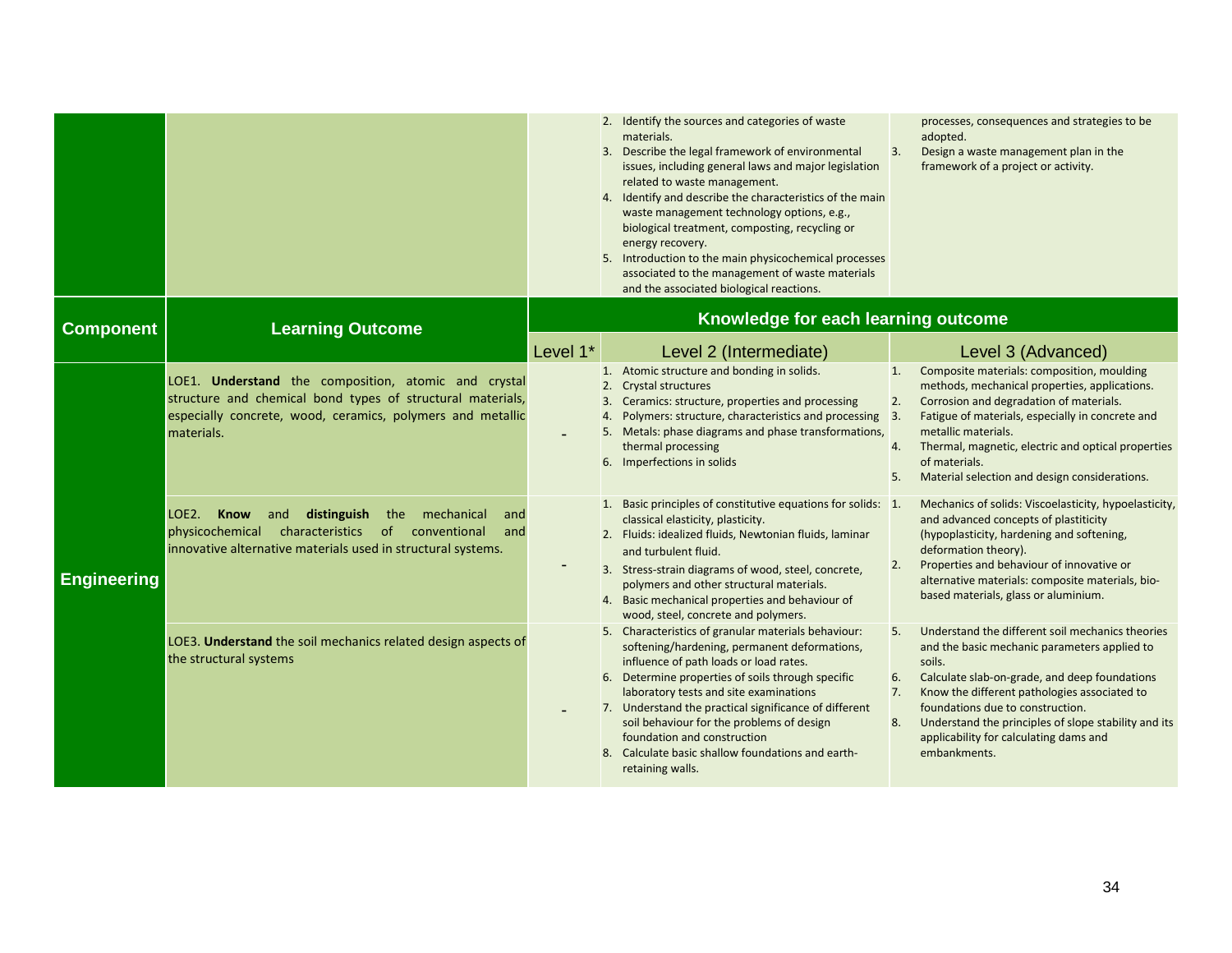|                    |                                                                                                                                                                                                        |          | 2. Identify the sources and categories of waste<br>materials.<br>3. Describe the legal framework of environmental<br>issues, including general laws and major legislation<br>related to waste management.<br>4. Identify and describe the characteristics of the main<br>waste management technology options, e.g.,<br>biological treatment, composting, recycling or<br>energy recovery.<br>Introduction to the main physicochemical processes<br>5.<br>associated to the management of waste materials<br>and the associated biological reactions. | 3.                   | processes, consequences and strategies to be<br>adopted.<br>Design a waste management plan in the<br>framework of a project or activity.                                                                                                                                                                                                                          |
|--------------------|--------------------------------------------------------------------------------------------------------------------------------------------------------------------------------------------------------|----------|------------------------------------------------------------------------------------------------------------------------------------------------------------------------------------------------------------------------------------------------------------------------------------------------------------------------------------------------------------------------------------------------------------------------------------------------------------------------------------------------------------------------------------------------------|----------------------|-------------------------------------------------------------------------------------------------------------------------------------------------------------------------------------------------------------------------------------------------------------------------------------------------------------------------------------------------------------------|
| <b>Component</b>   | <b>Learning Outcome</b>                                                                                                                                                                                |          | Knowledge for each learning outcome                                                                                                                                                                                                                                                                                                                                                                                                                                                                                                                  |                      |                                                                                                                                                                                                                                                                                                                                                                   |
|                    |                                                                                                                                                                                                        | Level 1* | Level 2 (Intermediate)                                                                                                                                                                                                                                                                                                                                                                                                                                                                                                                               |                      | Level 3 (Advanced)                                                                                                                                                                                                                                                                                                                                                |
|                    | LOE1. Understand the composition, atomic and crystal<br>structure and chemical bond types of structural materials,<br>especially concrete, wood, ceramics, polymers and metallic<br>materials.         |          | 1. Atomic structure and bonding in solids.<br>2. Crystal structures<br>Ceramics: structure, properties and processing<br>3.<br>Polymers: structure, characteristics and processing 3.<br>4.<br>5. Metals: phase diagrams and phase transformations,<br>thermal processing<br>6. Imperfections in solids                                                                                                                                                                                                                                              | 1.<br>2.<br>4.<br>5. | Composite materials: composition, moulding<br>methods, mechanical properties, applications.<br>Corrosion and degradation of materials.<br>Fatigue of materials, especially in concrete and<br>metallic materials.<br>Thermal, magnetic, electric and optical properties<br>of materials.<br>Material selection and design considerations.                         |
| <b>Engineering</b> | <b>Know</b><br>LOE2.<br>distinguish<br>mechanical<br>and<br>the<br>and<br>physicochemical<br>characteristics<br>of conventional<br>and<br>innovative alternative materials used in structural systems. |          | 1. Basic principles of constitutive equations for solids: 1.<br>classical elasticity, plasticity.<br>2. Fluids: idealized fluids, Newtonian fluids, laminar<br>and turbulent fluid.<br>3. Stress-strain diagrams of wood, steel, concrete,<br>polymers and other structural materials.<br>4. Basic mechanical properties and behaviour of<br>wood, steel, concrete and polymers.                                                                                                                                                                     | 2.                   | Mechanics of solids: Viscoelasticity, hypoelasticity,<br>and advanced concepts of plastiticity<br>(hypoplasticity, hardening and softening,<br>deformation theory).<br>Properties and behaviour of innovative or<br>alternative materials: composite materials, bio-<br>based materials, glass or aluminium.                                                      |
|                    | LOE3. Understand the soil mechanics related design aspects of<br>the structural systems                                                                                                                |          | 5. Characteristics of granular materials behaviour:<br>softening/hardening, permanent deformations,<br>influence of path loads or load rates.<br>6. Determine properties of soils through specific<br>laboratory tests and site examinations<br>7. Understand the practical significance of different<br>soil behaviour for the problems of design<br>foundation and construction<br>Calculate basic shallow foundations and earth-<br>8.<br>retaining walls.                                                                                        | 5.<br>6.<br>7.<br>8. | Understand the different soil mechanics theories<br>and the basic mechanic parameters applied to<br>soils.<br>Calculate slab-on-grade, and deep foundations<br>Know the different pathologies associated to<br>foundations due to construction.<br>Understand the principles of slope stability and its<br>applicability for calculating dams and<br>embankments. |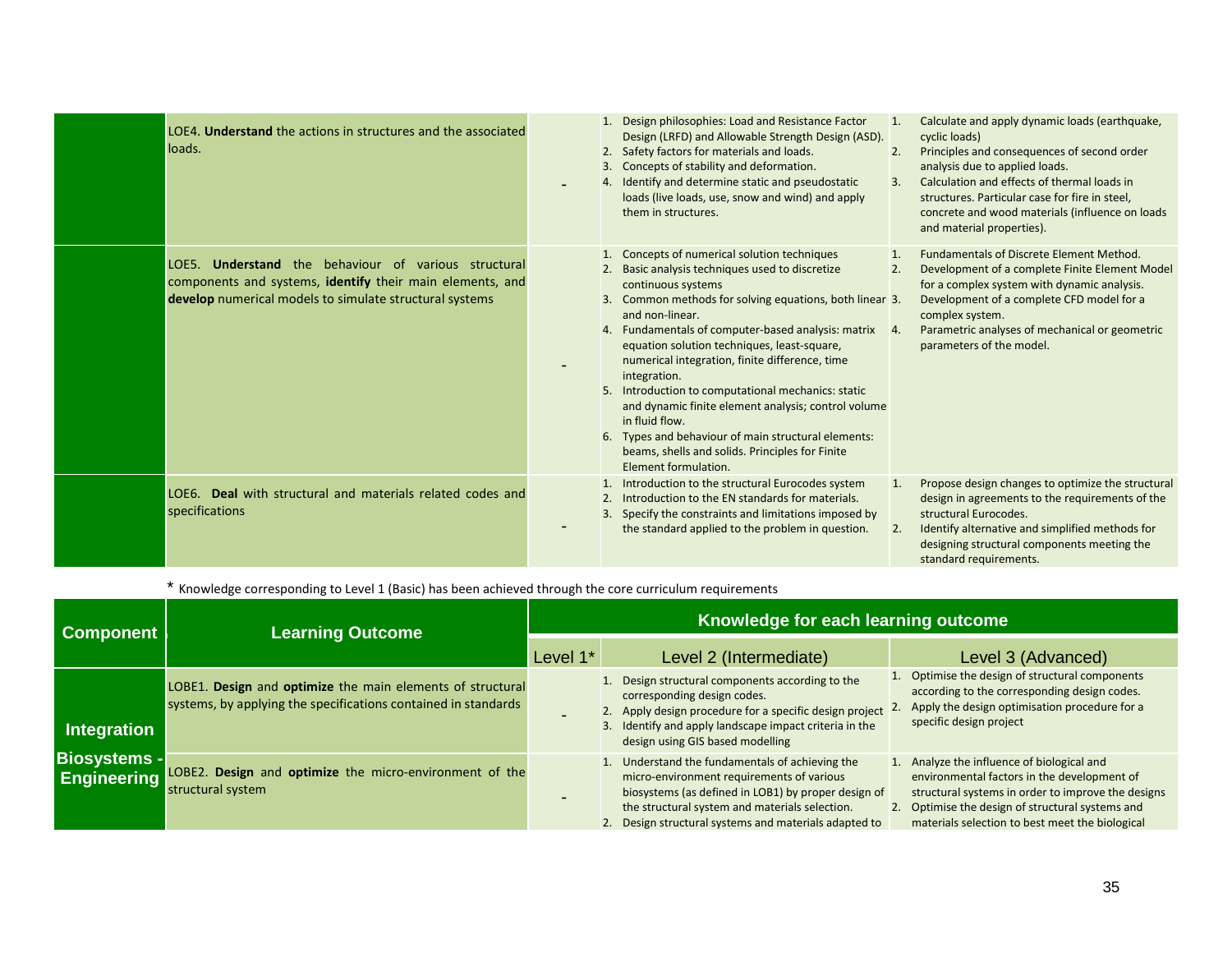| LOE4. Understand the actions in structures and the associated<br>loads.                                                                                                                    |    | Design philosophies: Load and Resistance Factor<br>Design (LRFD) and Allowable Strength Design (ASD).<br>2. Safety factors for materials and loads.<br>3. Concepts of stability and deformation.<br>4. Identify and determine static and pseudostatic<br>loads (live loads, use, snow and wind) and apply<br>them in structures.                                                                                                                                                                                                                                                                                                      | 1.<br>2.<br>3. | Calculate and apply dynamic loads (earthquake,<br>cyclic loads)<br>Principles and consequences of second order<br>analysis due to applied loads.<br>Calculation and effects of thermal loads in<br>structures. Particular case for fire in steel,<br>concrete and wood materials (influence on loads<br>and material properties). |
|--------------------------------------------------------------------------------------------------------------------------------------------------------------------------------------------|----|---------------------------------------------------------------------------------------------------------------------------------------------------------------------------------------------------------------------------------------------------------------------------------------------------------------------------------------------------------------------------------------------------------------------------------------------------------------------------------------------------------------------------------------------------------------------------------------------------------------------------------------|----------------|-----------------------------------------------------------------------------------------------------------------------------------------------------------------------------------------------------------------------------------------------------------------------------------------------------------------------------------|
| LOE5. <b>Understand</b> the behaviour of various structural<br>components and systems, <b>identify</b> their main elements, and<br>develop numerical models to simulate structural systems |    | Concepts of numerical solution techniques<br>Basic analysis techniques used to discretize<br>continuous systems<br>3. Common methods for solving equations, both linear 3.<br>and non-linear.<br>4. Fundamentals of computer-based analysis: matrix<br>equation solution techniques, least-square,<br>numerical integration, finite difference, time<br>integration.<br>5. Introduction to computational mechanics: static<br>and dynamic finite element analysis; control volume<br>in fluid flow.<br>6. Types and behaviour of main structural elements:<br>beams, shells and solids. Principles for Finite<br>Element formulation. | 2.<br>4.       | <b>Fundamentals of Discrete Element Method.</b><br>Development of a complete Finite Element Model<br>for a complex system with dynamic analysis.<br>Development of a complete CFD model for a<br>complex system.<br>Parametric analyses of mechanical or geometric<br>parameters of the model.                                    |
| LOE6. Deal with structural and materials related codes and<br>specifications                                                                                                               | 2. | Introduction to the structural Eurocodes system<br>Introduction to the EN standards for materials.<br>Specify the constraints and limitations imposed by<br>the standard applied to the problem in question.                                                                                                                                                                                                                                                                                                                                                                                                                          | 1.<br>2.       | Propose design changes to optimize the structural<br>design in agreements to the requirements of the<br>structural Eurocodes.<br>Identify alternative and simplified methods for<br>designing structural components meeting the<br>standard requirements.                                                                         |

| <b>Component</b> | <b>Learning Outcome</b>                                                                                                      | Knowledge for each learning outcome |                                                                                                                                                                                                                                                                |                                                                                                                                                                                                                                                        |  |  |
|------------------|------------------------------------------------------------------------------------------------------------------------------|-------------------------------------|----------------------------------------------------------------------------------------------------------------------------------------------------------------------------------------------------------------------------------------------------------------|--------------------------------------------------------------------------------------------------------------------------------------------------------------------------------------------------------------------------------------------------------|--|--|
|                  |                                                                                                                              | Level 1*                            | Level 2 (Intermediate)                                                                                                                                                                                                                                         | Level 3 (Advanced)                                                                                                                                                                                                                                     |  |  |
| Integration      | LOBE1. Design and optimize the main elements of structural<br>systems, by applying the specifications contained in standards |                                     | 1. Design structural components according to the<br>corresponding design codes.<br>2. Apply design procedure for a specific design project<br>3. Identify and apply landscape impact criteria in the<br>design using GIS based modelling                       | 1. Optimise the design of structural components<br>according to the corresponding design codes.<br>Apply the design optimisation procedure for a<br>specific design project                                                                            |  |  |
|                  | Biosystems -<br>Engineering LOBE2. Design and optimize the micro-environment of the<br>structural system                     |                                     | 1. Understand the fundamentals of achieving the<br>micro-environment requirements of various<br>biosystems (as defined in LOB1) by proper design of<br>the structural system and materials selection.<br>2. Design structural systems and materials adapted to | 1. Analyze the influence of biological and<br>environmental factors in the development of<br>structural systems in order to improve the designs<br>2. Optimise the design of structural systems and<br>materials selection to best meet the biological |  |  |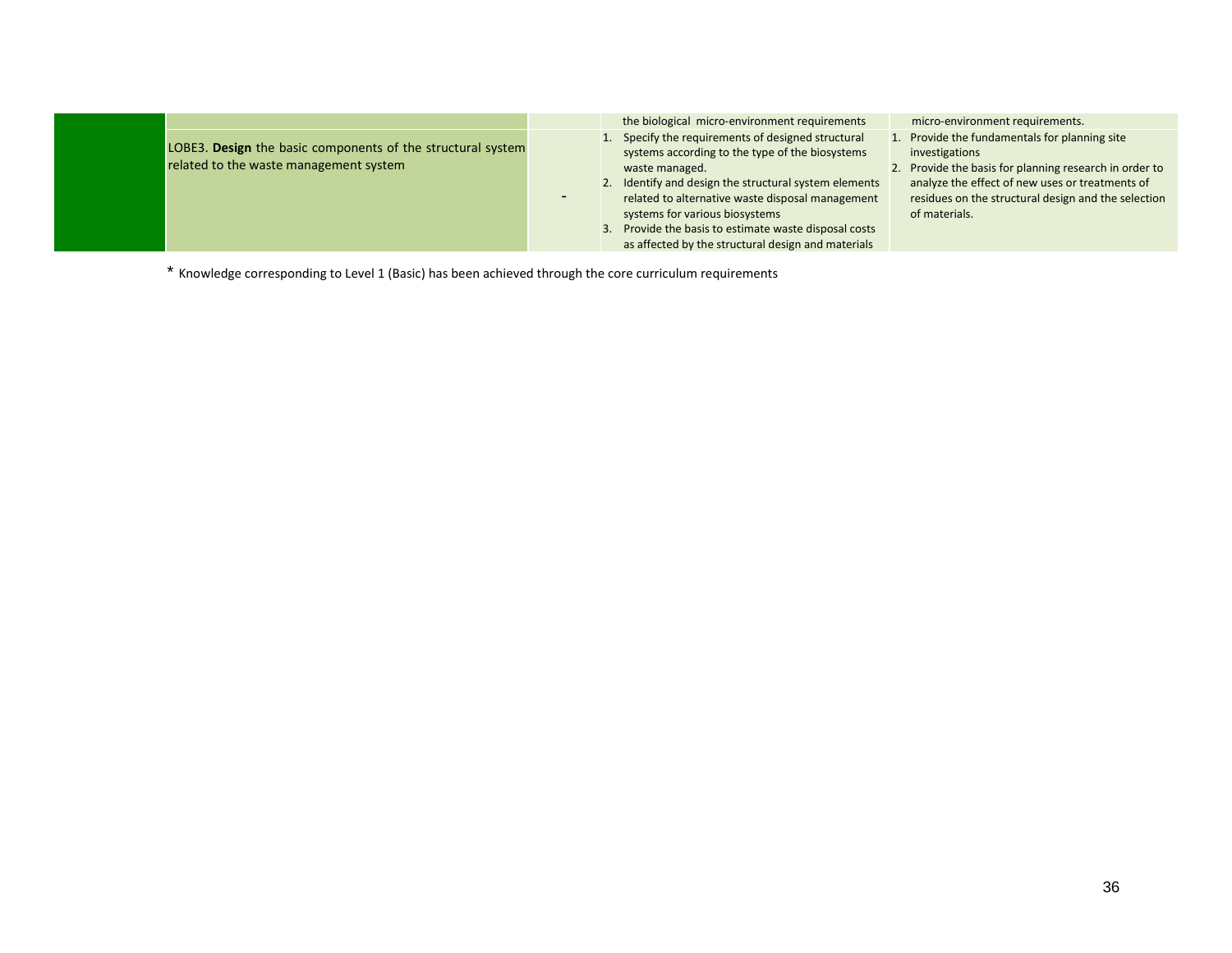| Specify the requirements of designed structural<br>Provide the fundamentals for planning site                                                                                                                                                                                                                                                                                                                                                                                                                                                                                                                                                   | micro-environment requirements. |
|-------------------------------------------------------------------------------------------------------------------------------------------------------------------------------------------------------------------------------------------------------------------------------------------------------------------------------------------------------------------------------------------------------------------------------------------------------------------------------------------------------------------------------------------------------------------------------------------------------------------------------------------------|---------------------------------|
| LOBE3. Design the basic components of the structural system<br>systems according to the type of the biosystems<br>investigations<br>related to the waste management system<br>2. Provide the basis for planning research in order to<br>waste managed.<br>analyze the effect of new uses or treatments of<br>2. Identify and design the structural system elements<br>residues on the structural design and the selection<br>related to alternative waste disposal management<br>systems for various biosystems<br>of materials.<br>3. Provide the basis to estimate waste disposal costs<br>as affected by the structural design and materials |                                 |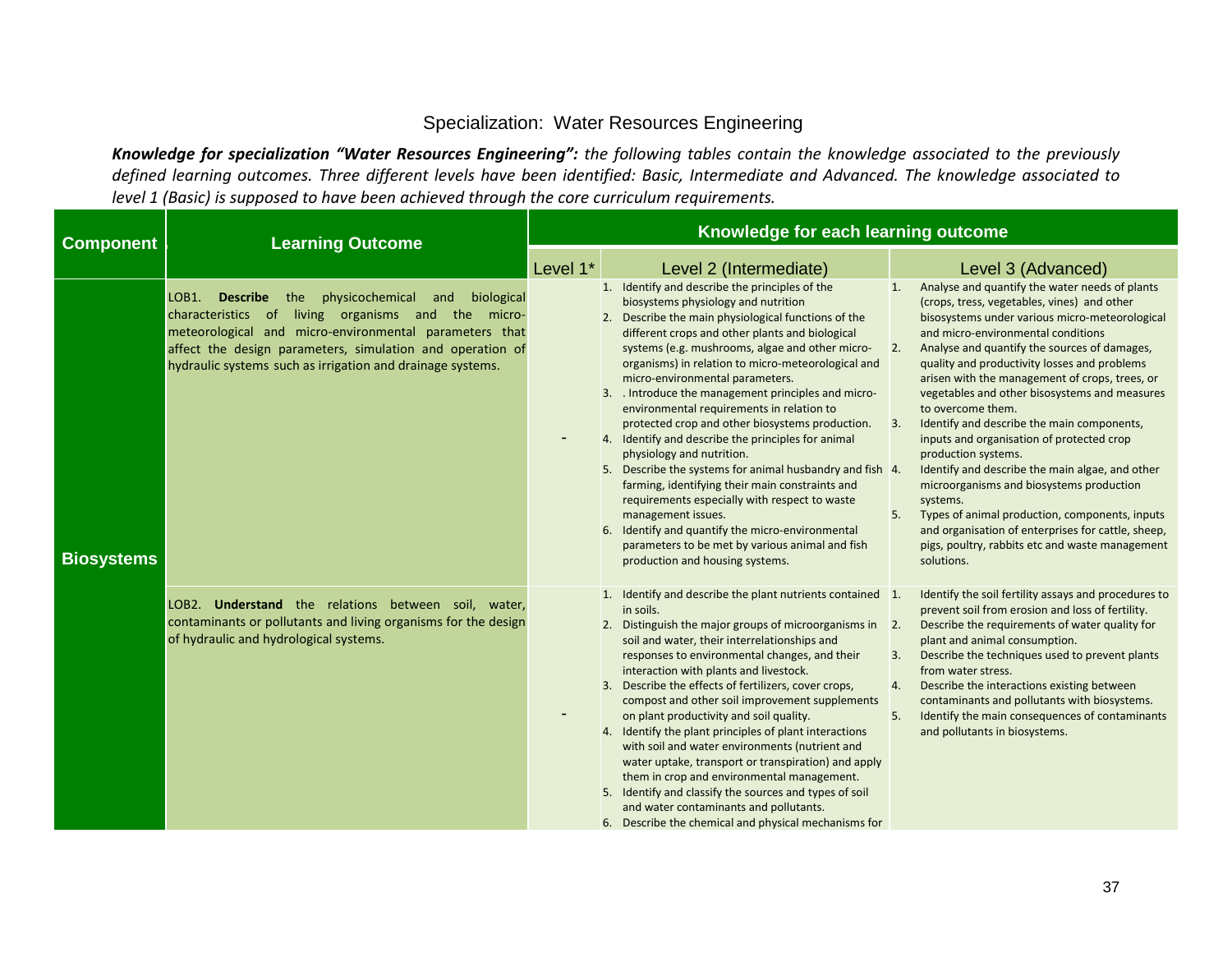## Specialization: Water Resources Engineering

*Knowledge for specialization "Water Resources Engineering": the following tables contain the knowledge associated to the previously defined learning outcomes. Three different levels have been identified: Basic, Intermediate and Advanced. The knowledge associated to level 1 (Basic) is supposed to have been achieved through the core curriculum requirements.* 

| Knowledge for each learning outcome<br><b>Learning Outcome</b><br><b>Component</b> |                                                                                                                                                                                                                                                                                                                 |          |                                                                                                                                                                                                                                                                                                                                                                                                                                                                                                                                                                                                                                                                                                                                                                                                                                                                                                                       |                      |                                                                                                                                                                                                                                                                                                                                                                                                                                                                                                                                                                                                                                                                                                                                                                                                                     |
|------------------------------------------------------------------------------------|-----------------------------------------------------------------------------------------------------------------------------------------------------------------------------------------------------------------------------------------------------------------------------------------------------------------|----------|-----------------------------------------------------------------------------------------------------------------------------------------------------------------------------------------------------------------------------------------------------------------------------------------------------------------------------------------------------------------------------------------------------------------------------------------------------------------------------------------------------------------------------------------------------------------------------------------------------------------------------------------------------------------------------------------------------------------------------------------------------------------------------------------------------------------------------------------------------------------------------------------------------------------------|----------------------|---------------------------------------------------------------------------------------------------------------------------------------------------------------------------------------------------------------------------------------------------------------------------------------------------------------------------------------------------------------------------------------------------------------------------------------------------------------------------------------------------------------------------------------------------------------------------------------------------------------------------------------------------------------------------------------------------------------------------------------------------------------------------------------------------------------------|
|                                                                                    |                                                                                                                                                                                                                                                                                                                 | Level 1* | Level 2 (Intermediate)                                                                                                                                                                                                                                                                                                                                                                                                                                                                                                                                                                                                                                                                                                                                                                                                                                                                                                |                      | Level 3 (Advanced)                                                                                                                                                                                                                                                                                                                                                                                                                                                                                                                                                                                                                                                                                                                                                                                                  |
| <b>Biosystems</b>                                                                  | physicochemical and biological<br>LOB1.<br><b>Describe</b><br>the<br>characteristics of<br>living organisms and the micro-<br>meteorological and micro-environmental parameters that<br>affect the design parameters, simulation and operation of<br>hydraulic systems such as irrigation and drainage systems. |          | 1. Identify and describe the principles of the<br>biosystems physiology and nutrition<br>2. Describe the main physiological functions of the<br>different crops and other plants and biological<br>systems (e.g. mushrooms, algae and other micro-<br>organisms) in relation to micro-meteorological and<br>micro-environmental parameters.<br>3. . Introduce the management principles and micro-<br>environmental requirements in relation to<br>protected crop and other biosystems production.<br>4. Identify and describe the principles for animal<br>physiology and nutrition.<br>5. Describe the systems for animal husbandry and fish 4.<br>farming, identifying their main constraints and<br>requirements especially with respect to waste<br>management issues.<br>6. Identify and quantify the micro-environmental<br>parameters to be met by various animal and fish<br>production and housing systems. | 1.<br>2.<br>3.<br>5. | Analyse and quantify the water needs of plants<br>(crops, tress, vegetables, vines) and other<br>bisosystems under various micro-meteorological<br>and micro-environmental conditions<br>Analyse and quantify the sources of damages,<br>quality and productivity losses and problems<br>arisen with the management of crops, trees, or<br>vegetables and other bisosystems and measures<br>to overcome them.<br>Identify and describe the main components,<br>inputs and organisation of protected crop<br>production systems.<br>Identify and describe the main algae, and other<br>microorganisms and biosystems production<br>systems.<br>Types of animal production, components, inputs<br>and organisation of enterprises for cattle, sheep,<br>pigs, poultry, rabbits etc and waste management<br>solutions. |
|                                                                                    | LOB2. Understand the relations between soil, water,<br>contaminants or pollutants and living organisms for the design<br>of hydraulic and hydrological systems.                                                                                                                                                 |          | 1. Identify and describe the plant nutrients contained 1.<br>in soils.<br>2. Distinguish the major groups of microorganisms in 2.<br>soil and water, their interrelationships and<br>responses to environmental changes, and their<br>interaction with plants and livestock.<br>Describe the effects of fertilizers, cover crops,<br>3.<br>compost and other soil improvement supplements<br>on plant productivity and soil quality.<br>4. Identify the plant principles of plant interactions<br>with soil and water environments (nutrient and<br>water uptake, transport or transpiration) and apply<br>them in crop and environmental management.<br>5. Identify and classify the sources and types of soil<br>and water contaminants and pollutants.<br>6. Describe the chemical and physical mechanisms for                                                                                                     | 3.<br>4.<br>5.       | Identify the soil fertility assays and procedures to<br>prevent soil from erosion and loss of fertility.<br>Describe the requirements of water quality for<br>plant and animal consumption.<br>Describe the techniques used to prevent plants<br>from water stress.<br>Describe the interactions existing between<br>contaminants and pollutants with biosystems.<br>Identify the main consequences of contaminants<br>and pollutants in biosystems.                                                                                                                                                                                                                                                                                                                                                                |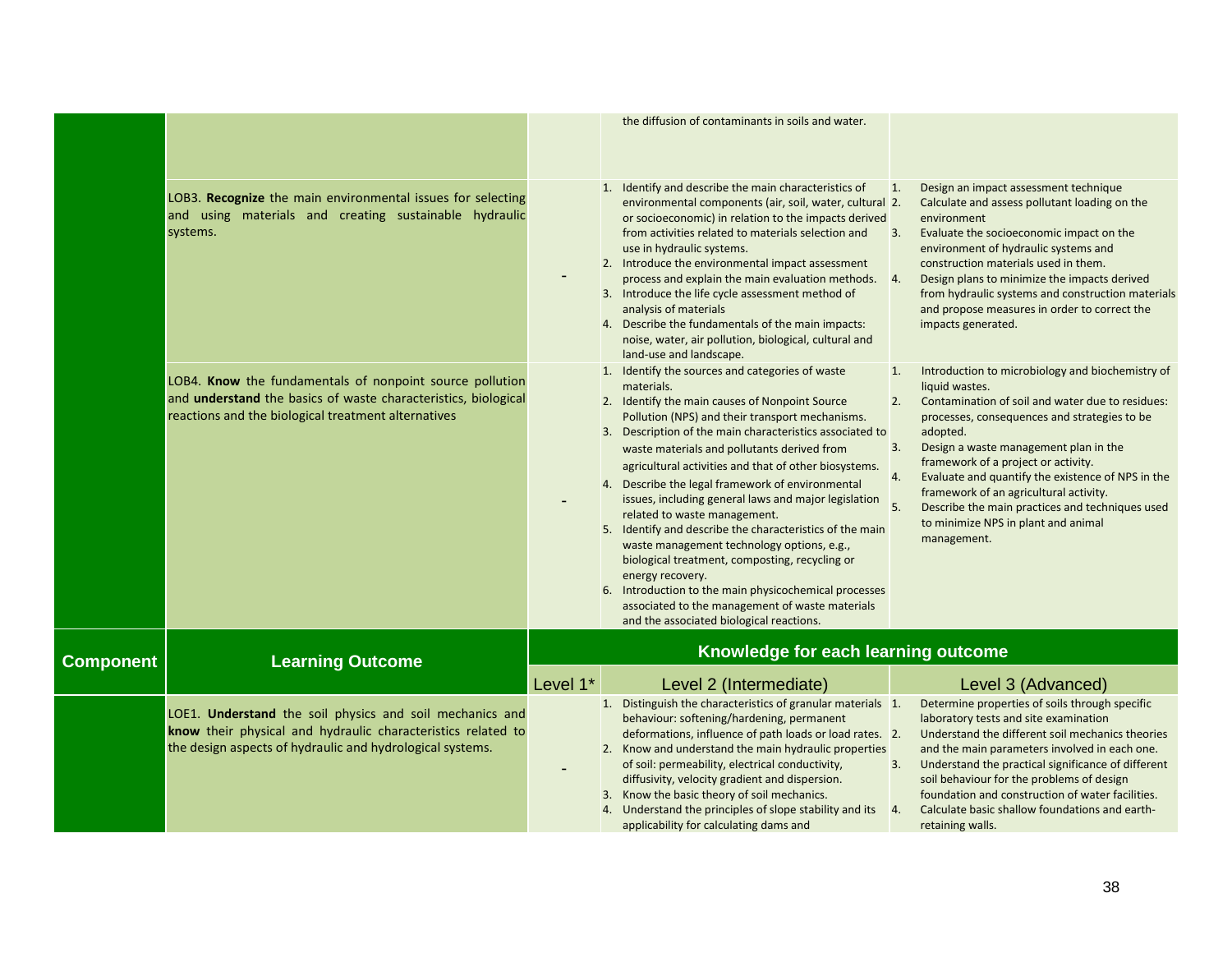|                  |                                                                                                                                                                                       |          | the diffusion of contaminants in soils and water.                                                                                                                                                                                                                                                                                                                                                                                                                                                                                                                                                                                                                                                                                                                                                                                                                                                                                                                                                                                                                                                                                                                                                                                                                                                                                |
|------------------|---------------------------------------------------------------------------------------------------------------------------------------------------------------------------------------|----------|----------------------------------------------------------------------------------------------------------------------------------------------------------------------------------------------------------------------------------------------------------------------------------------------------------------------------------------------------------------------------------------------------------------------------------------------------------------------------------------------------------------------------------------------------------------------------------------------------------------------------------------------------------------------------------------------------------------------------------------------------------------------------------------------------------------------------------------------------------------------------------------------------------------------------------------------------------------------------------------------------------------------------------------------------------------------------------------------------------------------------------------------------------------------------------------------------------------------------------------------------------------------------------------------------------------------------------|
|                  | LOB3. Recognize the main environmental issues for selecting<br>and using materials and creating sustainable hydraulic<br>systems.                                                     |          | 1. Identify and describe the main characteristics of<br>Design an impact assessment technique<br>1.<br>environmental components (air, soil, water, cultural 2.<br>Calculate and assess pollutant loading on the<br>or socioeconomic) in relation to the impacts derived<br>environment<br>from activities related to materials selection and<br>3.<br>Evaluate the socioeconomic impact on the<br>use in hydraulic systems.<br>environment of hydraulic systems and<br>2. Introduce the environmental impact assessment<br>construction materials used in them.<br>process and explain the main evaluation methods. 4.<br>Design plans to minimize the impacts derived<br>3. Introduce the life cycle assessment method of<br>from hydraulic systems and construction materials<br>analysis of materials<br>and propose measures in order to correct the<br>4. Describe the fundamentals of the main impacts:<br>impacts generated.<br>noise, water, air pollution, biological, cultural and<br>land-use and landscape.                                                                                                                                                                                                                                                                                                          |
|                  | LOB4. Know the fundamentals of nonpoint source pollution<br>and understand the basics of waste characteristics, biological<br>reactions and the biological treatment alternatives     |          | 1. Identify the sources and categories of waste<br>Introduction to microbiology and biochemistry of<br>materials.<br>liquid wastes.<br>Contamination of soil and water due to residues:<br>2. Identify the main causes of Nonpoint Source<br>2.<br>Pollution (NPS) and their transport mechanisms.<br>processes, consequences and strategies to be<br>3. Description of the main characteristics associated to<br>adopted.<br>Design a waste management plan in the<br>3.<br>waste materials and pollutants derived from<br>framework of a project or activity.<br>agricultural activities and that of other biosystems.<br>Evaluate and quantify the existence of NPS in the<br>4.<br>4. Describe the legal framework of environmental<br>framework of an agricultural activity.<br>issues, including general laws and major legislation<br>5.<br>Describe the main practices and techniques used<br>related to waste management.<br>to minimize NPS in plant and animal<br>5. Identify and describe the characteristics of the main<br>management.<br>waste management technology options, e.g.,<br>biological treatment, composting, recycling or<br>energy recovery.<br>6. Introduction to the main physicochemical processes<br>associated to the management of waste materials<br>and the associated biological reactions. |
| <b>Component</b> | <b>Learning Outcome</b>                                                                                                                                                               |          | Knowledge for each learning outcome                                                                                                                                                                                                                                                                                                                                                                                                                                                                                                                                                                                                                                                                                                                                                                                                                                                                                                                                                                                                                                                                                                                                                                                                                                                                                              |
|                  |                                                                                                                                                                                       | Level 1* | Level 3 (Advanced)<br>Level 2 (Intermediate)                                                                                                                                                                                                                                                                                                                                                                                                                                                                                                                                                                                                                                                                                                                                                                                                                                                                                                                                                                                                                                                                                                                                                                                                                                                                                     |
|                  | LOE1. Understand the soil physics and soil mechanics and<br>know their physical and hydraulic characteristics related to<br>the design aspects of hydraulic and hydrological systems. |          | 1. Distinguish the characteristics of granular materials 1.<br>Determine properties of soils through specific<br>behaviour: softening/hardening, permanent<br>laboratory tests and site examination<br>deformations, influence of path loads or load rates. 2.<br>Understand the different soil mechanics theories<br>2. Know and understand the main hydraulic properties<br>and the main parameters involved in each one.<br>of soil: permeability, electrical conductivity,<br>3.<br>Understand the practical significance of different<br>diffusivity, velocity gradient and dispersion.<br>soil behaviour for the problems of design<br>3. Know the basic theory of soil mechanics.<br>foundation and construction of water facilities.<br>Calculate basic shallow foundations and earth-<br>4. Understand the principles of slope stability and its<br>$\overline{4}$ .<br>applicability for calculating dams and<br>retaining walls.                                                                                                                                                                                                                                                                                                                                                                                      |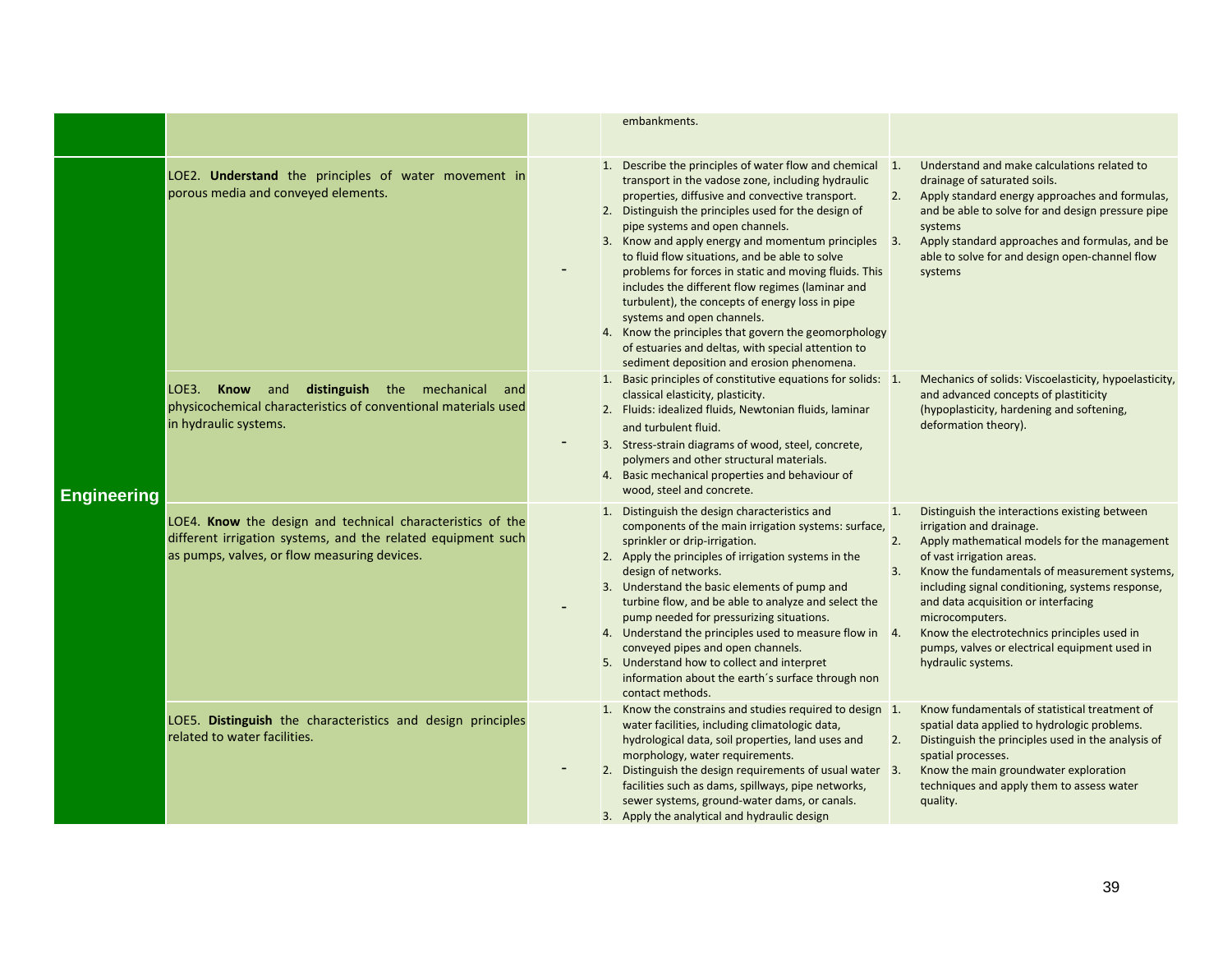|                    |                                                                                                                                                                            | embankments.                                                                                                                                                                                                                                                                                                                                                                                                                                                                                                                                                                                                                                                                                                                   |                |                                                                                                                                                                                                                                                                                                                                                                                                                                             |
|--------------------|----------------------------------------------------------------------------------------------------------------------------------------------------------------------------|--------------------------------------------------------------------------------------------------------------------------------------------------------------------------------------------------------------------------------------------------------------------------------------------------------------------------------------------------------------------------------------------------------------------------------------------------------------------------------------------------------------------------------------------------------------------------------------------------------------------------------------------------------------------------------------------------------------------------------|----------------|---------------------------------------------------------------------------------------------------------------------------------------------------------------------------------------------------------------------------------------------------------------------------------------------------------------------------------------------------------------------------------------------------------------------------------------------|
|                    |                                                                                                                                                                            |                                                                                                                                                                                                                                                                                                                                                                                                                                                                                                                                                                                                                                                                                                                                |                |                                                                                                                                                                                                                                                                                                                                                                                                                                             |
| <b>Engineering</b> | LOE2. Understand the principles of water movement in<br>porous media and conveyed elements.                                                                                | 1. Describe the principles of water flow and chemical 1.<br>transport in the vadose zone, including hydraulic<br>properties, diffusive and convective transport.<br>2. Distinguish the principles used for the design of<br>pipe systems and open channels.<br>3. Know and apply energy and momentum principles 3.<br>to fluid flow situations, and be able to solve<br>problems for forces in static and moving fluids. This<br>includes the different flow regimes (laminar and<br>turbulent), the concepts of energy loss in pipe<br>systems and open channels.<br>4. Know the principles that govern the geomorphology<br>of estuaries and deltas, with special attention to<br>sediment deposition and erosion phenomena. | 2.             | Understand and make calculations related to<br>drainage of saturated soils.<br>Apply standard energy approaches and formulas,<br>and be able to solve for and design pressure pipe<br>systems<br>Apply standard approaches and formulas, and be<br>able to solve for and design open-channel flow<br>systems                                                                                                                                |
|                    | distinguish the mechanical and<br>LOE3. <b>Know</b> and<br>physicochemical characteristics of conventional materials used<br>in hydraulic systems.                         | 1. Basic principles of constitutive equations for solids: 1.<br>classical elasticity, plasticity.<br>2. Fluids: idealized fluids, Newtonian fluids, laminar<br>and turbulent fluid.<br>3. Stress-strain diagrams of wood, steel, concrete,<br>polymers and other structural materials.<br>4. Basic mechanical properties and behaviour of<br>wood, steel and concrete.                                                                                                                                                                                                                                                                                                                                                         |                | Mechanics of solids: Viscoelasticity, hypoelasticity,<br>and advanced concepts of plastiticity<br>(hypoplasticity, hardening and softening,<br>deformation theory).                                                                                                                                                                                                                                                                         |
|                    | LOE4. Know the design and technical characteristics of the<br>different irrigation systems, and the related equipment such<br>as pumps, valves, or flow measuring devices. | 1. Distinguish the design characteristics and<br>components of the main irrigation systems: surface,<br>sprinkler or drip-irrigation.<br>2. Apply the principles of irrigation systems in the<br>design of networks.<br>3. Understand the basic elements of pump and<br>turbine flow, and be able to analyze and select the<br>pump needed for pressurizing situations.<br>4. Understand the principles used to measure flow in 4.<br>conveyed pipes and open channels.<br>5. Understand how to collect and interpret<br>information about the earth's surface through non<br>contact methods.                                                                                                                                 | 1.<br>2.<br>3. | Distinguish the interactions existing between<br>irrigation and drainage.<br>Apply mathematical models for the management<br>of vast irrigation areas.<br>Know the fundamentals of measurement systems,<br>including signal conditioning, systems response,<br>and data acquisition or interfacing<br>microcomputers.<br>Know the electrotechnics principles used in<br>pumps, valves or electrical equipment used in<br>hydraulic systems. |
|                    | LOE5. Distinguish the characteristics and design principles<br>related to water facilities.                                                                                | 1. Know the constrains and studies required to design 1.<br>water facilities, including climatologic data,<br>hydrological data, soil properties, land uses and<br>morphology, water requirements.<br>2. Distinguish the design requirements of usual water 3.<br>facilities such as dams, spillways, pipe networks,<br>sewer systems, ground-water dams, or canals.<br>3. Apply the analytical and hydraulic design                                                                                                                                                                                                                                                                                                           | 2.             | Know fundamentals of statistical treatment of<br>spatial data applied to hydrologic problems.<br>Distinguish the principles used in the analysis of<br>spatial processes.<br>Know the main groundwater exploration<br>techniques and apply them to assess water<br>quality.                                                                                                                                                                 |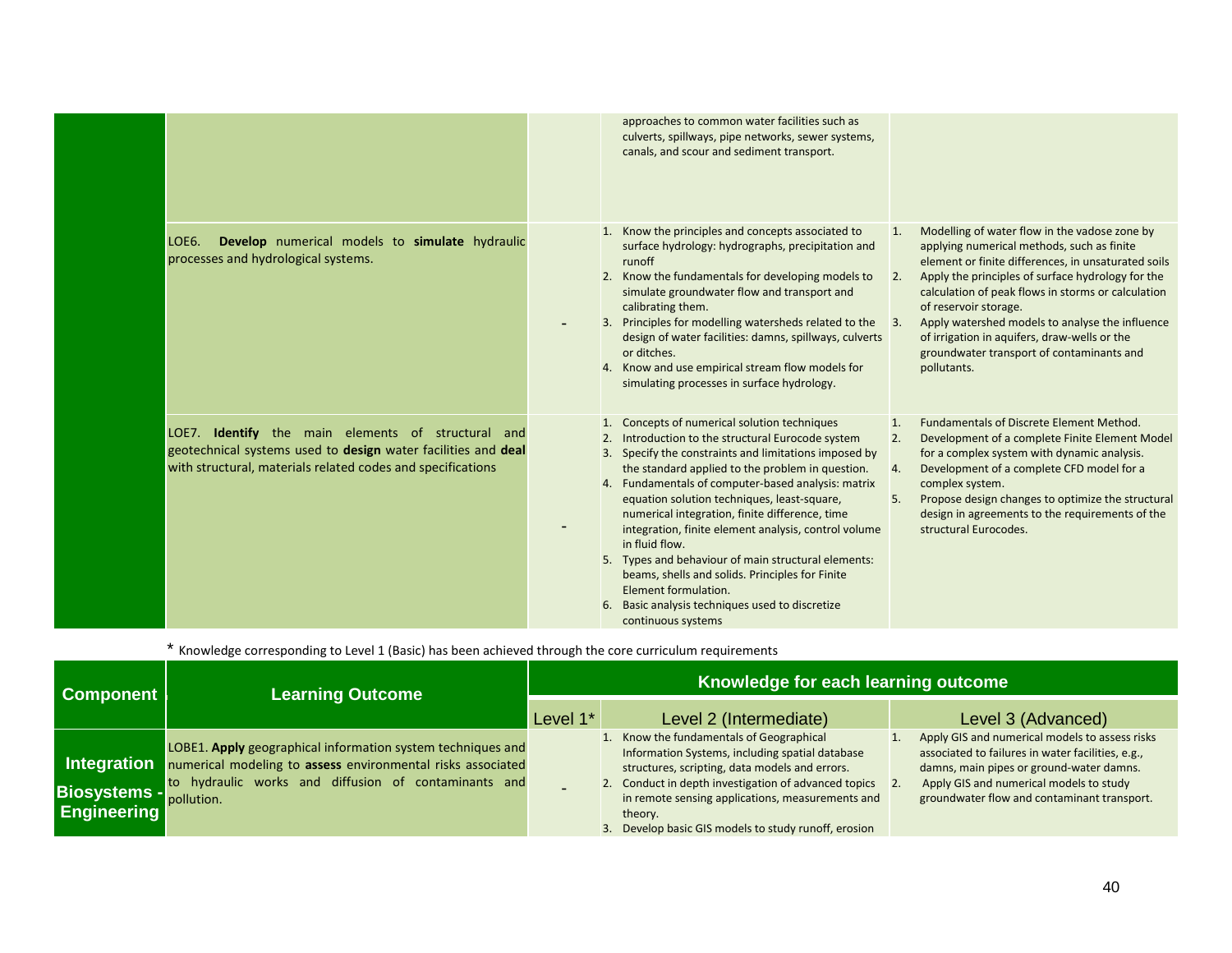|                                                                                                                                                                                    | approaches to common water facilities such as<br>culverts, spillways, pipe networks, sewer systems,<br>canals, and scour and sediment transport.                                                                                                                                                                                                                                                                                                                                                                                                                                                                                                                                                                                                                                                                                                                                                                                                                                                                                |
|------------------------------------------------------------------------------------------------------------------------------------------------------------------------------------|---------------------------------------------------------------------------------------------------------------------------------------------------------------------------------------------------------------------------------------------------------------------------------------------------------------------------------------------------------------------------------------------------------------------------------------------------------------------------------------------------------------------------------------------------------------------------------------------------------------------------------------------------------------------------------------------------------------------------------------------------------------------------------------------------------------------------------------------------------------------------------------------------------------------------------------------------------------------------------------------------------------------------------|
| Develop numerical models to simulate hydraulic<br>LOE6.<br>processes and hydrological systems.                                                                                     | 1. Know the principles and concepts associated to<br>Modelling of water flow in the vadose zone by<br>1.<br>applying numerical methods, such as finite<br>surface hydrology: hydrographs, precipitation and<br>runoff<br>element or finite differences, in unsaturated soils<br>2. Know the fundamentals for developing models to<br>Apply the principles of surface hydrology for the<br>2.<br>simulate groundwater flow and transport and<br>calculation of peak flows in storms or calculation<br>calibrating them.<br>of reservoir storage.<br>Principles for modelling watersheds related to the<br>Apply watershed models to analyse the influence<br>$\overline{3}$ .<br>of irrigation in aquifers, draw-wells or the<br>design of water facilities: damns, spillways, culverts<br>or ditches.<br>groundwater transport of contaminants and<br>4. Know and use empirical stream flow models for<br>pollutants.<br>simulating processes in surface hydrology.                                                             |
| LOE7. Identify the main elements of structural and<br>geotechnical systems used to design water facilities and deal<br>with structural, materials related codes and specifications | 1. Concepts of numerical solution techniques<br>Fundamentals of Discrete Element Method.<br>1.<br>Introduction to the structural Eurocode system<br>2.<br>Development of a complete Finite Element Model<br>2<br>3.<br>Specify the constraints and limitations imposed by<br>for a complex system with dynamic analysis.<br>the standard applied to the problem in question.<br>Development of a complete CFD model for a<br>4.<br>4. Fundamentals of computer-based analysis: matrix<br>complex system.<br>Propose design changes to optimize the structural<br>equation solution techniques, least-square,<br>5.<br>numerical integration, finite difference, time<br>design in agreements to the requirements of the<br>integration, finite element analysis, control volume<br>structural Eurocodes.<br>in fluid flow.<br>Types and behaviour of main structural elements:<br>beams, shells and solids. Principles for Finite<br>Element formulation.<br>Basic analysis techniques used to discretize<br>continuous systems |

| Component                                                | <b>Learning Outcome</b>                                                                                                                                                                             | Knowledge for each learning outcome |                                                                                                                                                                                                                                                                                                                           |                                                                                                                                                                                                                                                           |  |
|----------------------------------------------------------|-----------------------------------------------------------------------------------------------------------------------------------------------------------------------------------------------------|-------------------------------------|---------------------------------------------------------------------------------------------------------------------------------------------------------------------------------------------------------------------------------------------------------------------------------------------------------------------------|-----------------------------------------------------------------------------------------------------------------------------------------------------------------------------------------------------------------------------------------------------------|--|
|                                                          |                                                                                                                                                                                                     | Level 1*                            | Level 2 (Intermediate)                                                                                                                                                                                                                                                                                                    | Level 3 (Advanced)                                                                                                                                                                                                                                        |  |
| Integration<br><b>Biosystems -</b><br><b>Engineering</b> | LOBE1. Apply geographical information system techniques and<br>numerical modeling to assess environmental risks associated<br>hydraulic works and diffusion of contaminants and<br>to<br>pollution. |                                     | 1. Know the fundamentals of Geographical<br>Information Systems, including spatial database<br>structures, scripting, data models and errors.<br>2. Conduct in depth investigation of advanced topics<br>in remote sensing applications, measurements and<br>theory.<br>Develop basic GIS models to study runoff, erosion | Apply GIS and numerical models to assess risks<br>associated to failures in water facilities, e.g.,<br>damns, main pipes or ground-water damns.<br>Apply GIS and numerical models to study<br>$\mathbf{2}$<br>groundwater flow and contaminant transport. |  |